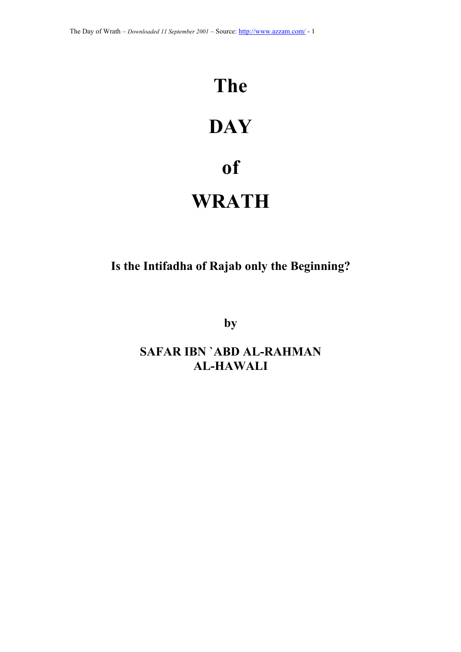# **The**

## **DAY**

### **of**

## **WRATH**

**Is the Intifadha of Rajab only the Beginning?** 

**by** 

### **SAFAR IBN `ABD AL-RAHMAN AL-HAWALI**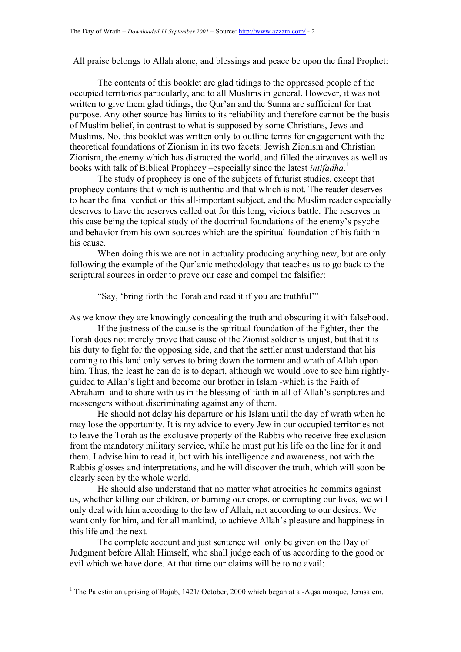All praise belongs to Allah alone, and blessings and peace be upon the final Prophet:

The contents of this booklet are glad tidings to the oppressed people of the occupied territories particularly, and to all Muslims in general. However, it was not written to give them glad tidings, the Qur'an and the Sunna are sufficient for that purpose. Any other source has limits to its reliability and therefore cannot be the basis of Muslim belief, in contrast to what is supposed by some Christians, Jews and Muslims. No, this booklet was written only to outline terms for engagement with the theoretical foundations of Zionism in its two facets: Jewish Zionism and Christian Zionism, the enemy which has distracted the world, and filled the airwaves as well as books with talk of Biblical Prophecy –especially since the latest *intifadha*. [1](#page-1-0)

The study of prophecy is one of the subjects of futurist studies, except that prophecy contains that which is authentic and that which is not. The reader deserves to hear the final verdict on this all-important subject, and the Muslim reader especially deserves to have the reserves called out for this long, vicious battle. The reserves in this case being the topical study of the doctrinal foundations of the enemy's psyche and behavior from his own sources which are the spiritual foundation of his faith in his cause.

When doing this we are not in actuality producing anything new, but are only following the example of the Qur'anic methodology that teaches us to go back to the scriptural sources in order to prove our case and compel the falsifier:

"Say, 'bring forth the Torah and read it if you are truthful'"

As we know they are knowingly concealing the truth and obscuring it with falsehood.

If the justness of the cause is the spiritual foundation of the fighter, then the Torah does not merely prove that cause of the Zionist soldier is unjust, but that it is his duty to fight for the opposing side, and that the settler must understand that his coming to this land only serves to bring down the torment and wrath of Allah upon him. Thus, the least he can do is to depart, although we would love to see him rightlyguided to Allah's light and become our brother in Islam -which is the Faith of Abraham- and to share with us in the blessing of faith in all of Allah's scriptures and messengers without discriminating against any of them.

He should not delay his departure or his Islam until the day of wrath when he may lose the opportunity. It is my advice to every Jew in our occupied territories not to leave the Torah as the exclusive property of the Rabbis who receive free exclusion from the mandatory military service, while he must put his life on the line for it and them. I advise him to read it, but with his intelligence and awareness, not with the Rabbis glosses and interpretations, and he will discover the truth, which will soon be clearly seen by the whole world.

He should also understand that no matter what atrocities he commits against us, whether killing our children, or burning our crops, or corrupting our lives, we will only deal with him according to the law of Allah, not according to our desires. We want only for him, and for all mankind, to achieve Allah's pleasure and happiness in this life and the next.

The complete account and just sentence will only be given on the Day of Judgment before Allah Himself, who shall judge each of us according to the good or evil which we have done. At that time our claims will be to no avail:

<span id="page-1-0"></span><sup>&</sup>lt;sup>1</sup> The Palestinian uprising of Rajab, 1421/ October, 2000 which began at al-Aqsa mosque, Jerusalem.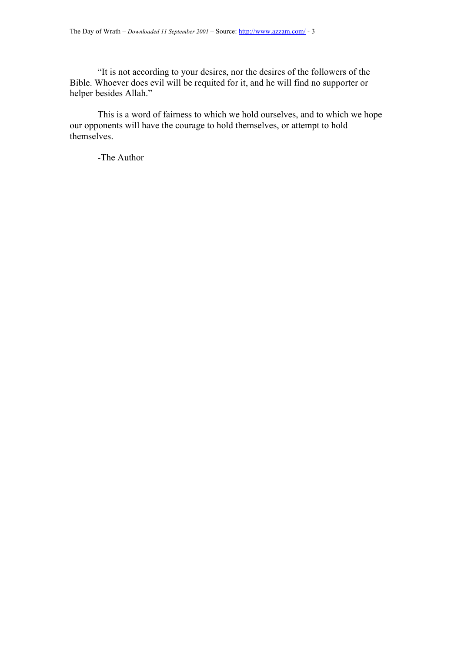"It is not according to your desires, nor the desires of the followers of the Bible. Whoever does evil will be requited for it, and he will find no supporter or helper besides Allah."

This is a word of fairness to which we hold ourselves, and to which we hope our opponents will have the courage to hold themselves, or attempt to hold themselves.

-The Author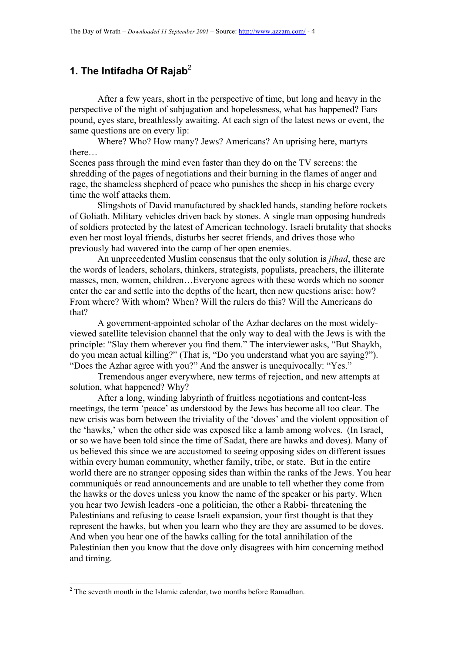### **1. The Intifadha Of Rajab**[2](#page-3-0)

After a few years, short in the perspective of time, but long and heavy in the perspective of the night of subjugation and hopelessness, what has happened? Ears pound, eyes stare, breathlessly awaiting. At each sign of the latest news or event, the same questions are on every lip:

Where? Who? How many? Jews? Americans? An uprising here, martyrs there…

Scenes pass through the mind even faster than they do on the TV screens: the shredding of the pages of negotiations and their burning in the flames of anger and rage, the shameless shepherd of peace who punishes the sheep in his charge every time the wolf attacks them.

Slingshots of David manufactured by shackled hands, standing before rockets of Goliath. Military vehicles driven back by stones. A single man opposing hundreds of soldiers protected by the latest of American technology. Israeli brutality that shocks even her most loyal friends, disturbs her secret friends, and drives those who previously had wavered into the camp of her open enemies.

An unprecedented Muslim consensus that the only solution is *jihad*, these are the words of leaders, scholars, thinkers, strategists, populists, preachers, the illiterate masses, men, women, children…Everyone agrees with these words which no sooner enter the ear and settle into the depths of the heart, then new questions arise: how? From where? With whom? When? Will the rulers do this? Will the Americans do that?

A government-appointed scholar of the Azhar declares on the most widelyviewed satellite television channel that the only way to deal with the Jews is with the principle: "Slay them wherever you find them." The interviewer asks, "But Shaykh, do you mean actual killing?" (That is, "Do you understand what you are saying?"). "Does the Azhar agree with you?" And the answer is unequivocally: "Yes."

Tremendous anger everywhere, new terms of rejection, and new attempts at solution, what happened? Why?

After a long, winding labyrinth of fruitless negotiations and content-less meetings, the term 'peace' as understood by the Jews has become all too clear. The new crisis was born between the triviality of the 'doves' and the violent opposition of the 'hawks,' when the other side was exposed like a lamb among wolves. (In Israel, or so we have been told since the time of Sadat, there are hawks and doves). Many of us believed this since we are accustomed to seeing opposing sides on different issues within every human community, whether family, tribe, or state. But in the entire world there are no stranger opposing sides than within the ranks of the Jews. You hear communiqués or read announcements and are unable to tell whether they come from the hawks or the doves unless you know the name of the speaker or his party. When you hear two Jewish leaders -one a politician, the other a Rabbi- threatening the Palestinians and refusing to cease Israeli expansion, your first thought is that they represent the hawks, but when you learn who they are they are assumed to be doves. And when you hear one of the hawks calling for the total annihilation of the Palestinian then you know that the dove only disagrees with him concerning method and timing.

<span id="page-3-0"></span> $2^2$  The seventh month in the Islamic calendar, two months before Ramadhan.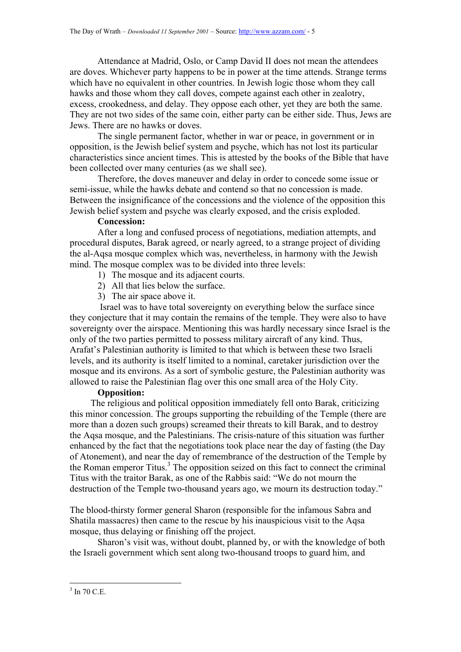Attendance at Madrid, Oslo, or Camp David II does not mean the attendees are doves. Whichever party happens to be in power at the time attends. Strange terms which have no equivalent in other countries. In Jewish logic those whom they call hawks and those whom they call doves, compete against each other in zealotry, excess, crookedness, and delay. They oppose each other, yet they are both the same. They are not two sides of the same coin, either party can be either side. Thus, Jews are Jews. There are no hawks or doves.

The single permanent factor, whether in war or peace, in government or in opposition, is the Jewish belief system and psyche, which has not lost its particular characteristics since ancient times. This is attested by the books of the Bible that have been collected over many centuries (as we shall see).

Therefore, the doves maneuver and delay in order to concede some issue or semi-issue, while the hawks debate and contend so that no concession is made. Between the insignificance of the concessions and the violence of the opposition this Jewish belief system and psyche was clearly exposed, and the crisis exploded.

#### **Concession:**

After a long and confused process of negotiations, mediation attempts, and procedural disputes, Barak agreed, or nearly agreed, to a strange project of dividing the al-Aqsa mosque complex which was, nevertheless, in harmony with the Jewish mind. The mosque complex was to be divided into three levels:

- 1) The mosque and its adjacent courts.
- 2) All that lies below the surface.
- 3) The air space above it.

 Israel was to have total sovereignty on everything below the surface since they conjecture that it may contain the remains of the temple. They were also to have sovereignty over the airspace. Mentioning this was hardly necessary since Israel is the only of the two parties permitted to possess military aircraft of any kind. Thus, Arafat's Palestinian authority is limited to that which is between these two Israeli levels, and its authority is itself limited to a nominal, caretaker jurisdiction over the mosque and its environs. As a sort of symbolic gesture, the Palestinian authority was allowed to raise the Palestinian flag over this one small area of the Holy City.

#### **Opposition:**

The religious and political opposition immediately fell onto Barak, criticizing this minor concession. The groups supporting the rebuilding of the Temple (there are more than a dozen such groups) screamed their threats to kill Barak, and to destroy the Aqsa mosque, and the Palestinians. The crisis-nature of this situation was further enhanced by the fact that the negotiations took place near the day of fasting (the Day of Atonement), and near the day of remembrance of the destruction of the Temple by the Roman emperor Titus.<sup>3</sup> The opposition seized on this fact to connect the criminal Titus with the traitor Barak, as one of the Rabbis said: "We do not mourn the destruction of the Temple two-thousand years ago, we mourn its destruction today."

The blood-thirsty former general Sharon (responsible for the infamous Sabra and Shatila massacres) then came to the rescue by his inauspicious visit to the Aqsa mosque, thus delaying or finishing off the project.

Sharon's visit was, without doubt, planned by, or with the knowledge of both the Israeli government which sent along two-thousand troops to guard him, and

<span id="page-4-0"></span> $3 \text{ In } 70 \text{ C.E.}$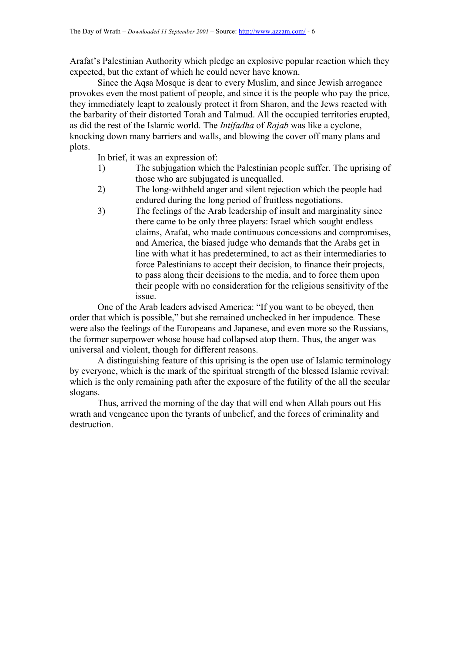Arafat's Palestinian Authority which pledge an explosive popular reaction which they expected, but the extant of which he could never have known.

Since the Aqsa Mosque is dear to every Muslim, and since Jewish arrogance provokes even the most patient of people, and since it is the people who pay the price, they immediately leapt to zealously protect it from Sharon, and the Jews reacted with the barbarity of their distorted Torah and Talmud. All the occupied territories erupted, as did the rest of the Islamic world. The *Intifadha* of *Rajab* was like a cyclone, knocking down many barriers and walls, and blowing the cover off many plans and plots.

In brief, it was an expression of:

- 1) The subjugation which the Palestinian people suffer. The uprising of those who are subjugated is unequalled.
- 2) The long-withheld anger and silent rejection which the people had endured during the long period of fruitless negotiations.
- 3) The feelings of the Arab leadership of insult and marginality since there came to be only three players: Israel which sought endless claims, Arafat, who made continuous concessions and compromises, and America, the biased judge who demands that the Arabs get in line with what it has predetermined, to act as their intermediaries to force Palestinians to accept their decision, to finance their projects, to pass along their decisions to the media, and to force them upon their people with no consideration for the religious sensitivity of the issue.

One of the Arab leaders advised America: "If you want to be obeyed, then order that which is possible," but she remained unchecked in her impudence*.* These were also the feelings of the Europeans and Japanese, and even more so the Russians, the former superpower whose house had collapsed atop them. Thus, the anger was universal and violent, though for different reasons.

A distinguishing feature of this uprising is the open use of Islamic terminology by everyone, which is the mark of the spiritual strength of the blessed Islamic revival: which is the only remaining path after the exposure of the futility of the all the secular slogans.

Thus, arrived the morning of the day that will end when Allah pours out His wrath and vengeance upon the tyrants of unbelief, and the forces of criminality and destruction.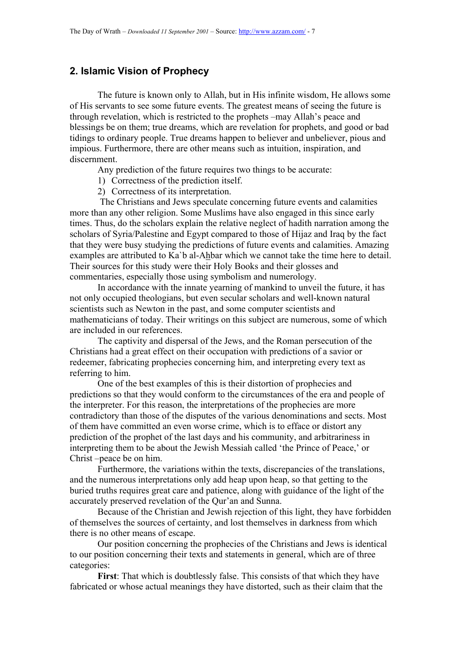#### **2. Islamic Vision of Prophecy**

The future is known only to Allah, but in His infinite wisdom, He allows some of His servants to see some future events. The greatest means of seeing the future is through revelation, which is restricted to the prophets –may Allah's peace and blessings be on them; true dreams, which are revelation for prophets, and good or bad tidings to ordinary people. True dreams happen to believer and unbeliever, pious and impious. Furthermore, there are other means such as intuition, inspiration, and discernment.

Any prediction of the future requires two things to be accurate:

- 1) Correctness of the prediction itself.
- 2) Correctness of its interpretation.

 The Christians and Jews speculate concerning future events and calamities more than any other religion. Some Muslims have also engaged in this since early times. Thus, do the scholars explain the relative neglect of hadith narration among the scholars of Syria/Palestine and Egypt compared to those of Hijaz and Iraq by the fact that they were busy studying the predictions of future events and calamities. Amazing examples are attributed to Ka`b al-Ahbar which we cannot take the time here to detail. Their sources for this study were their Holy Books and their glosses and commentaries, especially those using symbolism and numerology.

In accordance with the innate yearning of mankind to unveil the future, it has not only occupied theologians, but even secular scholars and well-known natural scientists such as Newton in the past, and some computer scientists and mathematicians of today. Their writings on this subject are numerous, some of which are included in our references.

The captivity and dispersal of the Jews, and the Roman persecution of the Christians had a great effect on their occupation with predictions of a savior or redeemer, fabricating prophecies concerning him, and interpreting every text as referring to him.

One of the best examples of this is their distortion of prophecies and predictions so that they would conform to the circumstances of the era and people of the interpreter. For this reason, the interpretations of the prophecies are more contradictory than those of the disputes of the various denominations and sects. Most of them have committed an even worse crime, which is to efface or distort any prediction of the prophet of the last days and his community, and arbitrariness in interpreting them to be about the Jewish Messiah called 'the Prince of Peace,' or Christ –peace be on him.

Furthermore, the variations within the texts, discrepancies of the translations, and the numerous interpretations only add heap upon heap, so that getting to the buried truths requires great care and patience, along with guidance of the light of the accurately preserved revelation of the Qur'an and Sunna.

Because of the Christian and Jewish rejection of this light, they have forbidden of themselves the sources of certainty, and lost themselves in darkness from which there is no other means of escape.

Our position concerning the prophecies of the Christians and Jews is identical to our position concerning their texts and statements in general, which are of three categories:

**First**: That which is doubtlessly false. This consists of that which they have fabricated or whose actual meanings they have distorted, such as their claim that the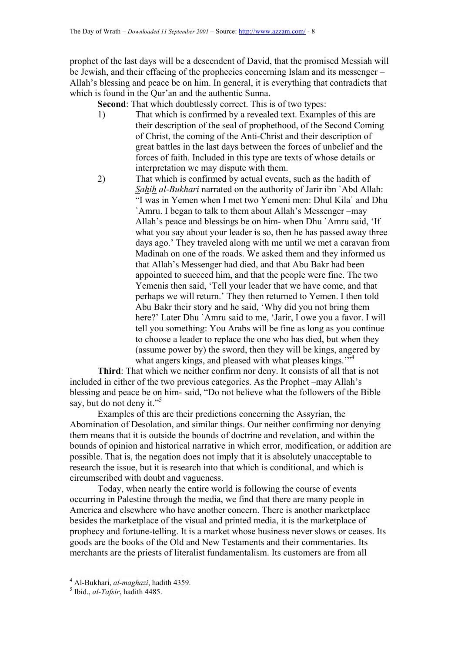prophet of the last days will be a descendent of David, that the promised Messiah will be Jewish, and their effacing of the prophecies concerning Islam and its messenger – Allah's blessing and peace be on him. In general, it is everything that contradicts that which is found in the Qur'an and the authentic Sunna.

**Second**: That which doubtlessly correct. This is of two types:

- 1) That which is confirmed by a revealed text. Examples of this are their description of the seal of prophethood, of the Second Coming of Christ, the coming of the Anti-Christ and their description of great battles in the last days between the forces of unbelief and the forces of faith. Included in this type are texts of whose details or interpretation we may dispute with them.
- 2) That which is confirmed by actual events, such as the hadith of *Sahih al-Bukhari* narrated on the authority of Jarir ibn `Abd Allah: "I was in Yemen when I met two Yemeni men: Dhul Kila` and Dhu `Amru. I began to talk to them about Allah's Messenger –may Allah's peace and blessings be on him- when Dhu `Amru said, 'If what you say about your leader is so, then he has passed away three days ago.' They traveled along with me until we met a caravan from Madinah on one of the roads. We asked them and they informed us that Allah's Messenger had died, and that Abu Bakr had been appointed to succeed him, and that the people were fine. The two Yemenis then said, 'Tell your leader that we have come, and that perhaps we will return.' They then returned to Yemen. I then told Abu Bakr their story and he said, 'Why did you not bring them here?' Later Dhu `Amru said to me, 'Jarir, I owe you a favor. I will tell you something: You Arabs will be fine as long as you continue to choose a leader to replace the one who has died, but when they (assume power by) the sword, then they will be kings, angered by what angers kings, and pleased with what pleases kings."<sup>3[4](#page-7-0)</sup>

**Third**: That which we neither confirm nor deny. It consists of all that is not included in either of the two previous categories. As the Prophet –may Allah's blessing and peace be on him- said, "Do not believe what the followers of the Bible say, but do not deny it."<sup>5</sup>

Examples of this are their predictions concerning the Assyrian, the Abomination of Desolation, and similar things. Our neither confirming nor denying them means that it is outside the bounds of doctrine and revelation, and within the bounds of opinion and historical narrative in which error, modification, or addition are possible. That is, the negation does not imply that it is absolutely unacceptable to research the issue, but it is research into that which is conditional, and which is circumscribed with doubt and vagueness.

Today, when nearly the entire world is following the course of events occurring in Palestine through the media, we find that there are many people in America and elsewhere who have another concern. There is another marketplace besides the marketplace of the visual and printed media, it is the marketplace of prophecy and fortune-telling. It is a market whose business never slows or ceases. Its goods are the books of the Old and New Testaments and their commentaries. Its merchants are the priests of literalist fundamentalism. Its customers are from all

<span id="page-7-0"></span><sup>&</sup>lt;sup>4</sup> Al-Bukhari, *al-maghazi*, hadith 4359.

<span id="page-7-1"></span> $<sup>5</sup>$  Ibid., *al-Tafsir*, hadith 4485.</sup>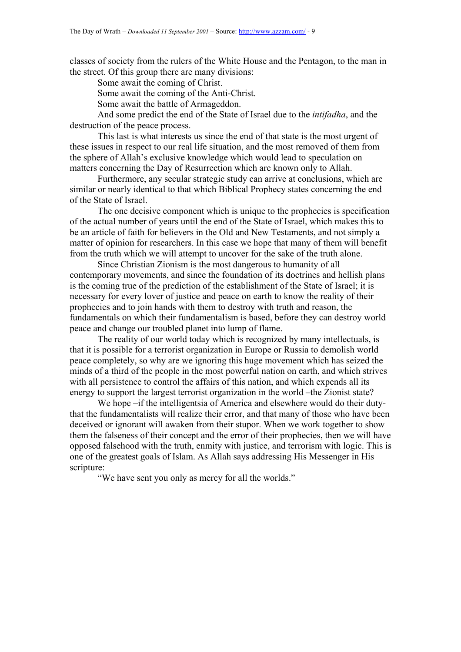classes of society from the rulers of the White House and the Pentagon, to the man in the street. Of this group there are many divisions:

Some await the coming of Christ.

Some await the coming of the Anti-Christ.

Some await the battle of Armageddon.

And some predict the end of the State of Israel due to the *intifadha*, and the destruction of the peace process.

This last is what interests us since the end of that state is the most urgent of these issues in respect to our real life situation, and the most removed of them from the sphere of Allah's exclusive knowledge which would lead to speculation on matters concerning the Day of Resurrection which are known only to Allah.

Furthermore, any secular strategic study can arrive at conclusions, which are similar or nearly identical to that which Biblical Prophecy states concerning the end of the State of Israel.

The one decisive component which is unique to the prophecies is specification of the actual number of years until the end of the State of Israel, which makes this to be an article of faith for believers in the Old and New Testaments, and not simply a matter of opinion for researchers. In this case we hope that many of them will benefit from the truth which we will attempt to uncover for the sake of the truth alone.

Since Christian Zionism is the most dangerous to humanity of all contemporary movements, and since the foundation of its doctrines and hellish plans is the coming true of the prediction of the establishment of the State of Israel; it is necessary for every lover of justice and peace on earth to know the reality of their prophecies and to join hands with them to destroy with truth and reason, the fundamentals on which their fundamentalism is based, before they can destroy world peace and change our troubled planet into lump of flame.

The reality of our world today which is recognized by many intellectuals, is that it is possible for a terrorist organization in Europe or Russia to demolish world peace completely, so why are we ignoring this huge movement which has seized the minds of a third of the people in the most powerful nation on earth, and which strives with all persistence to control the affairs of this nation, and which expends all its energy to support the largest terrorist organization in the world –the Zionist state?

We hope –if the intelligentsia of America and elsewhere would do their dutythat the fundamentalists will realize their error, and that many of those who have been deceived or ignorant will awaken from their stupor. When we work together to show them the falseness of their concept and the error of their prophecies, then we will have opposed falsehood with the truth, enmity with justice, and terrorism with logic. This is one of the greatest goals of Islam. As Allah says addressing His Messenger in His scripture:

"We have sent you only as mercy for all the worlds."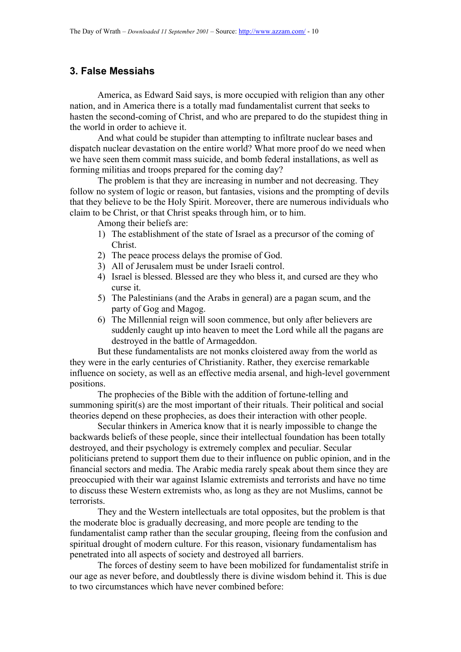#### **3. False Messiahs**

America, as Edward Said says, is more occupied with religion than any other nation, and in America there is a totally mad fundamentalist current that seeks to hasten the second-coming of Christ, and who are prepared to do the stupidest thing in the world in order to achieve it.

And what could be stupider than attempting to infiltrate nuclear bases and dispatch nuclear devastation on the entire world? What more proof do we need when we have seen them commit mass suicide, and bomb federal installations, as well as forming militias and troops prepared for the coming day?

The problem is that they are increasing in number and not decreasing. They follow no system of logic or reason, but fantasies, visions and the prompting of devils that they believe to be the Holy Spirit. Moreover, there are numerous individuals who claim to be Christ, or that Christ speaks through him, or to him.

Among their beliefs are:

- 1) The establishment of the state of Israel as a precursor of the coming of Christ.
- 2) The peace process delays the promise of God.
- 3) All of Jerusalem must be under Israeli control.
- 4) Israel is blessed. Blessed are they who bless it, and cursed are they who curse it.
- 5) The Palestinians (and the Arabs in general) are a pagan scum, and the party of Gog and Magog.
- 6) The Millennial reign will soon commence, but only after believers are suddenly caught up into heaven to meet the Lord while all the pagans are destroyed in the battle of Armageddon.

But these fundamentalists are not monks cloistered away from the world as they were in the early centuries of Christianity. Rather, they exercise remarkable influence on society, as well as an effective media arsenal, and high-level government positions.

The prophecies of the Bible with the addition of fortune-telling and summoning spirit(s) are the most important of their rituals. Their political and social theories depend on these prophecies, as does their interaction with other people.

Secular thinkers in America know that it is nearly impossible to change the backwards beliefs of these people, since their intellectual foundation has been totally destroyed, and their psychology is extremely complex and peculiar. Secular politicians pretend to support them due to their influence on public opinion, and in the financial sectors and media. The Arabic media rarely speak about them since they are preoccupied with their war against Islamic extremists and terrorists and have no time to discuss these Western extremists who, as long as they are not Muslims, cannot be terrorists.

They and the Western intellectuals are total opposites, but the problem is that the moderate bloc is gradually decreasing, and more people are tending to the fundamentalist camp rather than the secular grouping, fleeing from the confusion and spiritual drought of modern culture. For this reason, visionary fundamentalism has penetrated into all aspects of society and destroyed all barriers.

The forces of destiny seem to have been mobilized for fundamentalist strife in our age as never before, and doubtlessly there is divine wisdom behind it. This is due to two circumstances which have never combined before: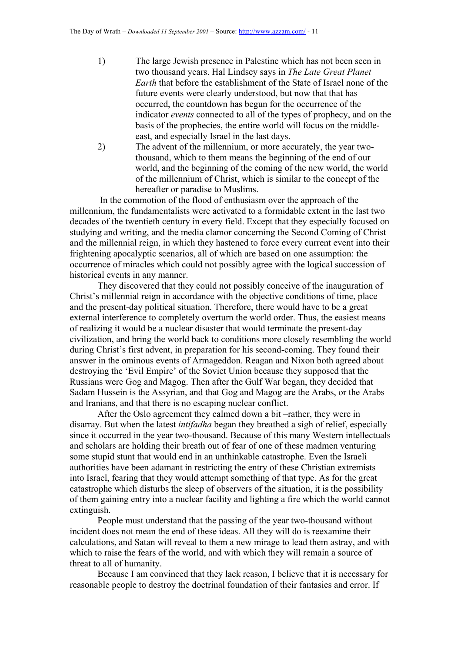- 1) The large Jewish presence in Palestine which has not been seen in two thousand years. Hal Lindsey says in *The Late Great Planet Earth* that before the establishment of the State of Israel none of the future events were clearly understood, but now that that has occurred, the countdown has begun for the occurrence of the indicator *events* connected to all of the types of prophecy, and on the basis of the prophecies, the entire world will focus on the middleeast, and especially Israel in the last days.
- 2) The advent of the millennium, or more accurately, the year twothousand, which to them means the beginning of the end of our world, and the beginning of the coming of the new world, the world of the millennium of Christ, which is similar to the concept of the hereafter or paradise to Muslims.

In the commotion of the flood of enthusiasm over the approach of the millennium, the fundamentalists were activated to a formidable extent in the last two decades of the twentieth century in every field. Except that they especially focused on studying and writing, and the media clamor concerning the Second Coming of Christ and the millennial reign, in which they hastened to force every current event into their frightening apocalyptic scenarios, all of which are based on one assumption: the occurrence of miracles which could not possibly agree with the logical succession of historical events in any manner.

They discovered that they could not possibly conceive of the inauguration of Christ's millennial reign in accordance with the objective conditions of time, place and the present-day political situation. Therefore, there would have to be a great external interference to completely overturn the world order. Thus, the easiest means of realizing it would be a nuclear disaster that would terminate the present-day civilization, and bring the world back to conditions more closely resembling the world during Christ's first advent, in preparation for his second-coming. They found their answer in the ominous events of Armageddon. Reagan and Nixon both agreed about destroying the 'Evil Empire' of the Soviet Union because they supposed that the Russians were Gog and Magog. Then after the Gulf War began, they decided that Sadam Hussein is the Assyrian, and that Gog and Magog are the Arabs, or the Arabs and Iranians, and that there is no escaping nuclear conflict.

After the Oslo agreement they calmed down a bit –rather, they were in disarray. But when the latest *intifadha* began they breathed a sigh of relief, especially since it occurred in the year two-thousand. Because of this many Western intellectuals and scholars are holding their breath out of fear of one of these madmen venturing some stupid stunt that would end in an unthinkable catastrophe. Even the Israeli authorities have been adamant in restricting the entry of these Christian extremists into Israel, fearing that they would attempt something of that type. As for the great catastrophe which disturbs the sleep of observers of the situation, it is the possibility of them gaining entry into a nuclear facility and lighting a fire which the world cannot extinguish.

People must understand that the passing of the year two-thousand without incident does not mean the end of these ideas. All they will do is reexamine their calculations, and Satan will reveal to them a new mirage to lead them astray, and with which to raise the fears of the world, and with which they will remain a source of threat to all of humanity.

Because I am convinced that they lack reason, I believe that it is necessary for reasonable people to destroy the doctrinal foundation of their fantasies and error. If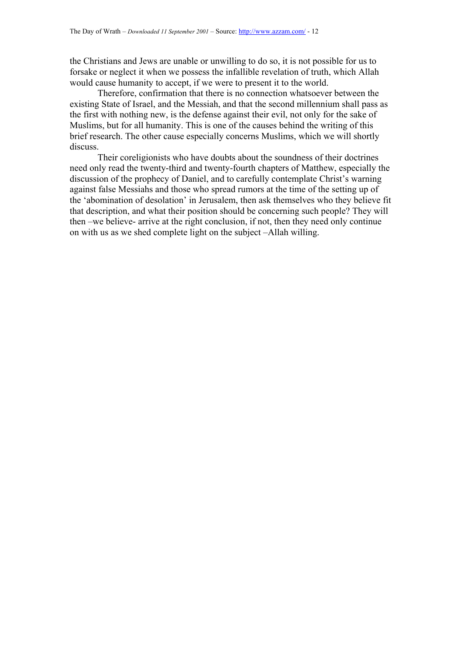the Christians and Jews are unable or unwilling to do so, it is not possible for us to forsake or neglect it when we possess the infallible revelation of truth, which Allah would cause humanity to accept, if we were to present it to the world.

Therefore, confirmation that there is no connection whatsoever between the existing State of Israel, and the Messiah, and that the second millennium shall pass as the first with nothing new, is the defense against their evil, not only for the sake of Muslims, but for all humanity. This is one of the causes behind the writing of this brief research. The other cause especially concerns Muslims, which we will shortly discuss.

Their coreligionists who have doubts about the soundness of their doctrines need only read the twenty-third and twenty-fourth chapters of Matthew, especially the discussion of the prophecy of Daniel, and to carefully contemplate Christ's warning against false Messiahs and those who spread rumors at the time of the setting up of the 'abomination of desolation' in Jerusalem, then ask themselves who they believe fit that description, and what their position should be concerning such people? They will then –we believe- arrive at the right conclusion, if not, then they need only continue on with us as we shed complete light on the subject –Allah willing.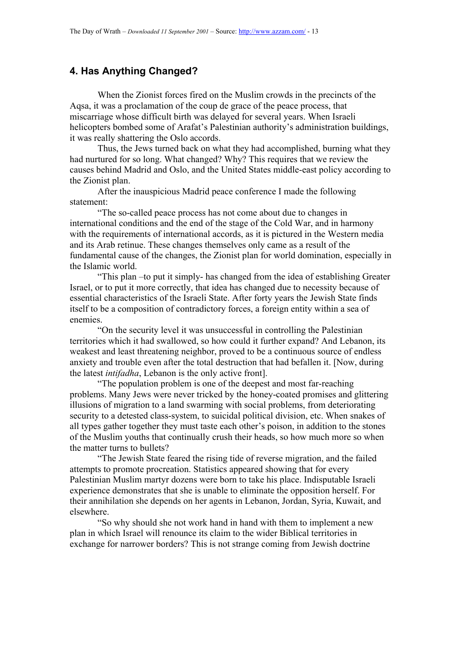#### **4. Has Anything Changed?**

When the Zionist forces fired on the Muslim crowds in the precincts of the Aqsa, it was a proclamation of the coup de grace of the peace process, that miscarriage whose difficult birth was delayed for several years. When Israeli helicopters bombed some of Arafat's Palestinian authority's administration buildings, it was really shattering the Oslo accords.

Thus, the Jews turned back on what they had accomplished, burning what they had nurtured for so long. What changed? Why? This requires that we review the causes behind Madrid and Oslo, and the United States middle-east policy according to the Zionist plan.

After the inauspicious Madrid peace conference I made the following statement:

"The so-called peace process has not come about due to changes in international conditions and the end of the stage of the Cold War, and in harmony with the requirements of international accords, as it is pictured in the Western media and its Arab retinue. These changes themselves only came as a result of the fundamental cause of the changes, the Zionist plan for world domination, especially in the Islamic world.

"This plan –to put it simply- has changed from the idea of establishing Greater Israel, or to put it more correctly, that idea has changed due to necessity because of essential characteristics of the Israeli State. After forty years the Jewish State finds itself to be a composition of contradictory forces, a foreign entity within a sea of enemies.

"On the security level it was unsuccessful in controlling the Palestinian territories which it had swallowed, so how could it further expand? And Lebanon, its weakest and least threatening neighbor, proved to be a continuous source of endless anxiety and trouble even after the total destruction that had befallen it. [Now, during the latest *intifadha*, Lebanon is the only active front].

"The population problem is one of the deepest and most far-reaching problems. Many Jews were never tricked by the honey-coated promises and glittering illusions of migration to a land swarming with social problems, from deteriorating security to a detested class-system, to suicidal political division, etc. When snakes of all types gather together they must taste each other's poison, in addition to the stones of the Muslim youths that continually crush their heads, so how much more so when the matter turns to bullets?

"The Jewish State feared the rising tide of reverse migration, and the failed attempts to promote procreation. Statistics appeared showing that for every Palestinian Muslim martyr dozens were born to take his place. Indisputable Israeli experience demonstrates that she is unable to eliminate the opposition herself. For their annihilation she depends on her agents in Lebanon, Jordan, Syria, Kuwait, and elsewhere.

"So why should she not work hand in hand with them to implement a new plan in which Israel will renounce its claim to the wider Biblical territories in exchange for narrower borders? This is not strange coming from Jewish doctrine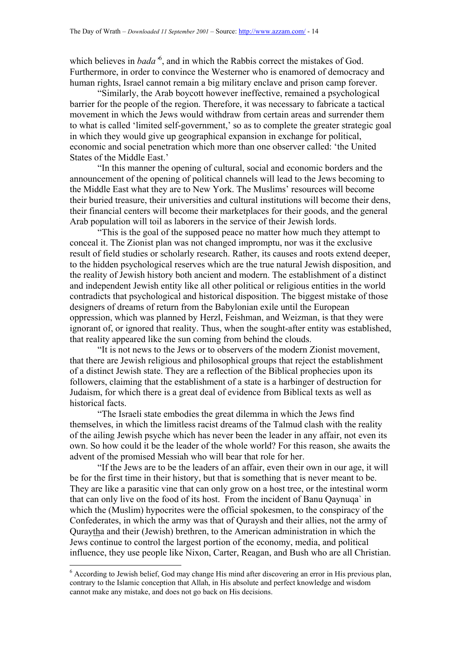which believes in *bada*<sup>,[6](#page-13-0)</sup>, and in which the Rabbis correct the mistakes of God. Furthermore, in order to convince the Westerner who is enamored of democracy and human rights, Israel cannot remain a big military enclave and prison camp forever.

"Similarly, the Arab boycott however ineffective, remained a psychological barrier for the people of the region. Therefore, it was necessary to fabricate a tactical movement in which the Jews would withdraw from certain areas and surrender them to what is called 'limited self-government,' so as to complete the greater strategic goal in which they would give up geographical expansion in exchange for political, economic and social penetration which more than one observer called: 'the United States of the Middle East.'

"In this manner the opening of cultural, social and economic borders and the announcement of the opening of political channels will lead to the Jews becoming to the Middle East what they are to New York. The Muslims' resources will become their buried treasure, their universities and cultural institutions will become their dens, their financial centers will become their marketplaces for their goods, and the general Arab population will toil as laborers in the service of their Jewish lords.

"This is the goal of the supposed peace no matter how much they attempt to conceal it. The Zionist plan was not changed impromptu, nor was it the exclusive result of field studies or scholarly research. Rather, its causes and roots extend deeper, to the hidden psychological reserves which are the true natural Jewish disposition, and the reality of Jewish history both ancient and modern. The establishment of a distinct and independent Jewish entity like all other political or religious entities in the world contradicts that psychological and historical disposition. The biggest mistake of those designers of dreams of return from the Babylonian exile until the European oppression, which was planned by Herzl, Feishman, and Weizman, is that they were ignorant of, or ignored that reality. Thus, when the sought-after entity was established, that reality appeared like the sun coming from behind the clouds.

"It is not news to the Jews or to observers of the modern Zionist movement, that there are Jewish religious and philosophical groups that reject the establishment of a distinct Jewish state. They are a reflection of the Biblical prophecies upon its followers, claiming that the establishment of a state is a harbinger of destruction for Judaism, for which there is a great deal of evidence from Biblical texts as well as historical facts.

"The Israeli state embodies the great dilemma in which the Jews find themselves, in which the limitless racist dreams of the Talmud clash with the reality of the ailing Jewish psyche which has never been the leader in any affair, not even its own. So how could it be the leader of the whole world? For this reason, she awaits the advent of the promised Messiah who will bear that role for her.

"If the Jews are to be the leaders of an affair, even their own in our age, it will be for the first time in their history, but that is something that is never meant to be. They are like a parasitic vine that can only grow on a host tree, or the intestinal worm that can only live on the food of its host. From the incident of Banu Qaynuqa` in which the (Muslim) hypocrites were the official spokesmen, to the conspiracy of the Confederates, in which the army was that of Quraysh and their allies, not the army of Quraytha and their (Jewish) brethren, to the American administration in which the Jews continue to control the largest portion of the economy, media, and political influence, they use people like Nixon, Carter, Reagan, and Bush who are all Christian.

<span id="page-13-0"></span><sup>&</sup>lt;sup>6</sup> According to Jewish belief, God may change His mind after discovering an error in His previous plan, contrary to the Islamic conception that Allah, in His absolute and perfect knowledge and wisdom cannot make any mistake, and does not go back on His decisions.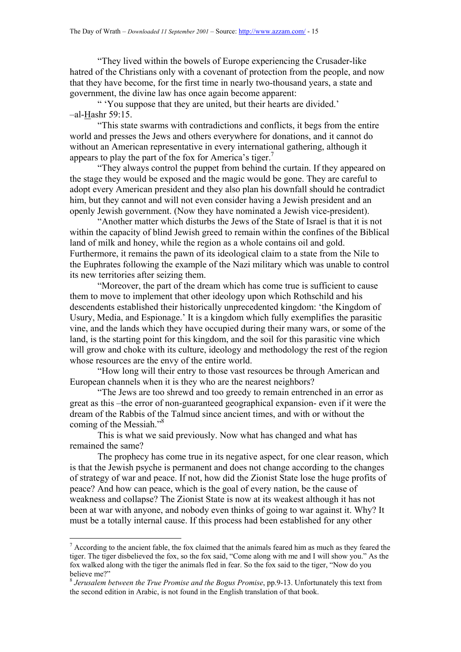"They lived within the bowels of Europe experiencing the Crusader-like hatred of the Christians only with a covenant of protection from the people, and now that they have become, for the first time in nearly two-thousand years, a state and government, the divine law has once again become apparent:

" 'You suppose that they are united, but their hearts are divided.' –al-Hashr 59:15.

"This state swarms with contradictions and conflicts, it begs from the entire world and presses the Jews and others everywhere for donations, and it cannot do without an American representative in every international gathering, although it appears to play the part of the fox for America's tiger.<sup>[7](#page-14-0)</sup>

"They always control the puppet from behind the curtain. If they appeared on the stage they would be exposed and the magic would be gone. They are careful to adopt every American president and they also plan his downfall should he contradict him, but they cannot and will not even consider having a Jewish president and an openly Jewish government. (Now they have nominated a Jewish vice-president).

"Another matter which disturbs the Jews of the State of Israel is that it is not within the capacity of blind Jewish greed to remain within the confines of the Biblical land of milk and honey, while the region as a whole contains oil and gold. Furthermore, it remains the pawn of its ideological claim to a state from the Nile to the Euphrates following the example of the Nazi military which was unable to control its new territories after seizing them.

"Moreover, the part of the dream which has come true is sufficient to cause them to move to implement that other ideology upon which Rothschild and his descendents established their historically unprecedented kingdom: 'the Kingdom of Usury, Media, and Espionage.' It is a kingdom which fully exemplifies the parasitic vine, and the lands which they have occupied during their many wars, or some of the land, is the starting point for this kingdom, and the soil for this parasitic vine which will grow and choke with its culture, ideology and methodology the rest of the region whose resources are the envy of the entire world.

"How long will their entry to those vast resources be through American and European channels when it is they who are the nearest neighbors?

"The Jews are too shrewd and too greedy to remain entrenched in an error as great as this –the error of non-guaranteed geographical expansion- even if it were the dream of the Rabbis of the Talmud since ancient times, and with or without the coming of the Messiah.["8](#page-14-1)

This is what we said previously. Now what has changed and what has remained the same?

 $\overline{a}$ 

The prophecy has come true in its negative aspect, for one clear reason, which is that the Jewish psyche is permanent and does not change according to the changes of strategy of war and peace. If not, how did the Zionist State lose the huge profits of peace? And how can peace, which is the goal of every nation, be the cause of weakness and collapse? The Zionist State is now at its weakest although it has not been at war with anyone, and nobody even thinks of going to war against it. Why? It must be a totally internal cause. If this process had been established for any other

<span id="page-14-0"></span> $<sup>7</sup>$  According to the ancient fable, the fox claimed that the animals feared him as much as they feared the</sup> tiger. The tiger disbelieved the fox, so the fox said, "Come along with me and I will show you." As the fox walked along with the tiger the animals fled in fear. So the fox said to the tiger, "Now do you believe me?"

<span id="page-14-1"></span><sup>8</sup> *Jerusalem between the True Promise and the Bogus Promise*, pp.9-13. Unfortunately this text from the second edition in Arabic, is not found in the English translation of that book.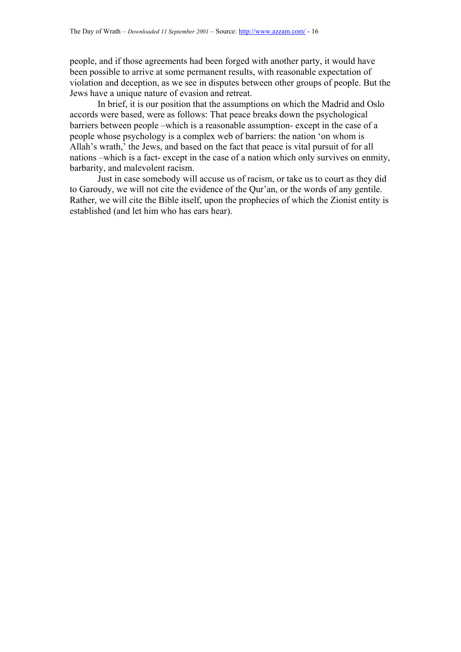people, and if those agreements had been forged with another party, it would have been possible to arrive at some permanent results, with reasonable expectation of violation and deception, as we see in disputes between other groups of people. But the Jews have a unique nature of evasion and retreat.

In brief, it is our position that the assumptions on which the Madrid and Oslo accords were based, were as follows: That peace breaks down the psychological barriers between people –which is a reasonable assumption- except in the case of a people whose psychology is a complex web of barriers: the nation 'on whom is Allah's wrath,' the Jews, and based on the fact that peace is vital pursuit of for all nations –which is a fact- except in the case of a nation which only survives on enmity, barbarity, and malevolent racism.

Just in case somebody will accuse us of racism, or take us to court as they did to Garoudy, we will not cite the evidence of the Qur'an, or the words of any gentile. Rather, we will cite the Bible itself, upon the prophecies of which the Zionist entity is established (and let him who has ears hear).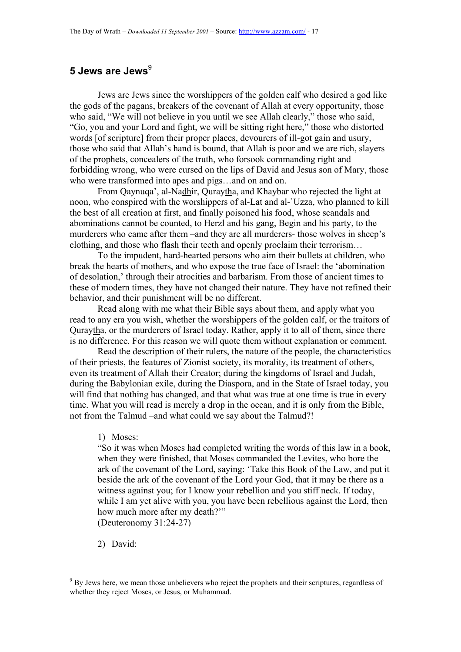#### **5 Jews are Jews**<sup>[9](#page-16-0)</sup>

Jews are Jews since the worshippers of the golden calf who desired a god like the gods of the pagans, breakers of the covenant of Allah at every opportunity, those who said, "We will not believe in you until we see Allah clearly," those who said, "Go, you and your Lord and fight, we will be sitting right here," those who distorted words [of scripture] from their proper places, devourers of ill-got gain and usury, those who said that Allah's hand is bound, that Allah is poor and we are rich, slayers of the prophets, concealers of the truth, who forsook commanding right and forbidding wrong, who were cursed on the lips of David and Jesus son of Mary, those who were transformed into apes and pigs…and on and on.

From Qaynuqa', al-Nadhir, Quraytha, and Khaybar who rejected the light at noon, who conspired with the worshippers of al-Lat and al-`Uzza, who planned to kill the best of all creation at first, and finally poisoned his food, whose scandals and abominations cannot be counted, to Herzl and his gang, Begin and his party, to the murderers who came after them –and they are all murderers- those wolves in sheep's clothing, and those who flash their teeth and openly proclaim their terrorism…

To the impudent, hard-hearted persons who aim their bullets at children, who break the hearts of mothers, and who expose the true face of Israel: the 'abomination of desolation,' through their atrocities and barbarism. From those of ancient times to these of modern times, they have not changed their nature. They have not refined their behavior, and their punishment will be no different.

Read along with me what their Bible says about them, and apply what you read to any era you wish, whether the worshippers of the golden calf, or the traitors of Quraytha, or the murderers of Israel today. Rather, apply it to all of them, since there is no difference. For this reason we will quote them without explanation or comment.

Read the description of their rulers, the nature of the people, the characteristics of their priests, the features of Zionist society, its morality, its treatment of others, even its treatment of Allah their Creator; during the kingdoms of Israel and Judah, during the Babylonian exile, during the Diaspora, and in the State of Israel today, you will find that nothing has changed, and that what was true at one time is true in every time. What you will read is merely a drop in the ocean, and it is only from the Bible, not from the Talmud –and what could we say about the Talmud?!

1) Moses:

"So it was when Moses had completed writing the words of this law in a book, when they were finished, that Moses commanded the Levites, who bore the ark of the covenant of the Lord, saying: 'Take this Book of the Law, and put it beside the ark of the covenant of the Lord your God, that it may be there as a witness against you; for I know your rebellion and you stiff neck. If today, while I am yet alive with you, you have been rebellious against the Lord, then how much more after my death?'"

(Deuteronomy 31:24-27)

2) David:

<span id="page-16-0"></span> $9^9$  By Jews here, we mean those unbelievers who reject the prophets and their scriptures, regardless of whether they reject Moses, or Jesus, or Muhammad.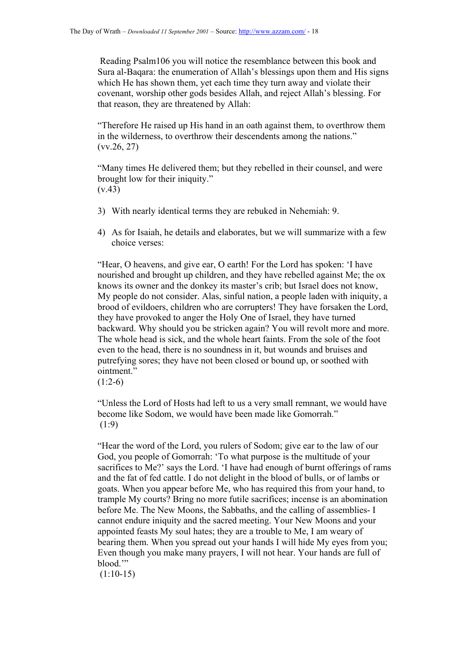Reading Psalm106 you will notice the resemblance between this book and Sura al-Baqara: the enumeration of Allah's blessings upon them and His signs which He has shown them, yet each time they turn away and violate their covenant, worship other gods besides Allah, and reject Allah's blessing. For that reason, they are threatened by Allah:

"Therefore He raised up His hand in an oath against them, to overthrow them in the wilderness, to overthrow their descendents among the nations." (vv.26, 27)

"Many times He delivered them; but they rebelled in their counsel, and were brought low for their iniquity."  $(v.43)$ 

- 3) With nearly identical terms they are rebuked in Nehemiah: 9.
- 4) As for Isaiah, he details and elaborates, but we will summarize with a few choice verses:

"Hear, O heavens, and give ear, O earth! For the Lord has spoken: 'I have nourished and brought up children, and they have rebelled against Me; the ox knows its owner and the donkey its master's crib; but Israel does not know, My people do not consider. Alas, sinful nation, a people laden with iniquity, a brood of evildoers, children who are corrupters! They have forsaken the Lord, they have provoked to anger the Holy One of Israel, they have turned backward. Why should you be stricken again? You will revolt more and more. The whole head is sick, and the whole heart faints. From the sole of the foot even to the head, there is no soundness in it, but wounds and bruises and putrefying sores; they have not been closed or bound up, or soothed with ointment."

 $(1:2-6)$ 

"Unless the Lord of Hosts had left to us a very small remnant, we would have become like Sodom, we would have been made like Gomorrah." (1:9)

"Hear the word of the Lord, you rulers of Sodom; give ear to the law of our God, you people of Gomorrah: 'To what purpose is the multitude of your sacrifices to Me?' says the Lord. 'I have had enough of burnt offerings of rams and the fat of fed cattle. I do not delight in the blood of bulls, or of lambs or goats. When you appear before Me, who has required this from your hand, to trample My courts? Bring no more futile sacrifices; incense is an abomination before Me. The New Moons, the Sabbaths, and the calling of assemblies- I cannot endure iniquity and the sacred meeting. Your New Moons and your appointed feasts My soul hates; they are a trouble to Me, I am weary of bearing them. When you spread out your hands I will hide My eyes from you; Even though you make many prayers, I will not hear. Your hands are full of blood.'"

 $(1:10-15)$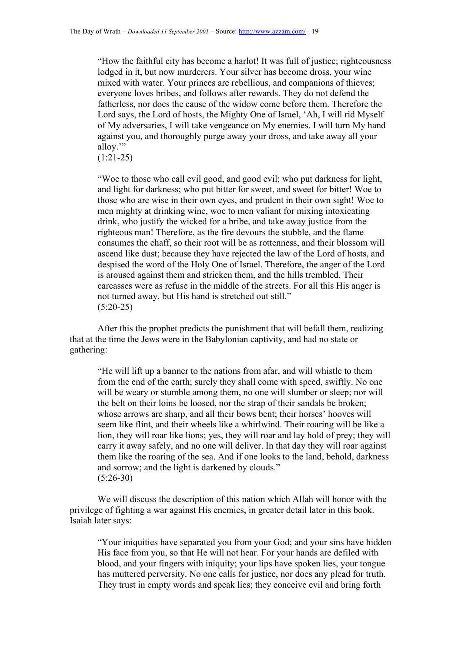"How the faithful city has become a harlot! It was full of justice; righteousness lodged in it, but now murderers. Your silver has become dross, your wine mixed with water. Your princes are rebellious, and companions of thieves; everyone loves bribes, and follows after rewards. They do not defend the fatherless, nor does the cause of the widow come before them. Therefore the Lord says, the Lord of hosts, the Mighty One of Israel, 'Ah, I will rid Myself of My adversaries, I will take vengeance on My enemies. I will turn My hand against you, and thoroughly purge away your dross, and take away all your alloy.'"

 $(1:21-25)$ 

"Woe to those who call evil good, and good evil; who put darkness for light, and light for darkness; who put bitter for sweet, and sweet for bitter! Woe to those who are wise in their own eyes, and prudent in their own sight! Woe to men mighty at drinking wine, woe to men valiant for mixing intoxicating drink, who justify the wicked for a bribe, and take away justice from the righteous man! Therefore, as the fire devours the stubble, and the flame consumes the chaff, so their root will be as rottenness, and their blossom will ascend like dust; because they have rejected the law of the Lord of hosts, and despised the word of the Holy One of Israel. Therefore, the anger of the Lord is aroused against them and stricken them, and the hills trembled. Their carcasses were as refuse in the middle of the streets. For all this His anger is not turned away, but His hand is stretched out still."  $(5:20-25)$ 

After this the prophet predicts the punishment that will befall them, realizing that at the time the Jews were in the Babylonian captivity, and had no state or gathering:

"He will lift up a banner to the nations from afar, and will whistle to them from the end of the earth; surely they shall come with speed, swiftly. No one will be weary or stumble among them, no one will slumber or sleep; nor will the belt on their loins be loosed, nor the strap of their sandals be broken; whose arrows are sharp, and all their bows bent; their horses' hooves will seem like flint, and their wheels like a whirlwind. Their roaring will be like a lion, they will roar like lions; yes, they will roar and lay hold of prey; they will carry it away safely, and no one will deliver. In that day they will roar against them like the roaring of the sea. And if one looks to the land, behold, darkness and sorrow; and the light is darkened by clouds."  $(5:26-30)$ 

We will discuss the description of this nation which Allah will honor with the privilege of fighting a war against His enemies, in greater detail later in this book. Isaiah later says:

"Your iniquities have separated you from your God; and your sins have hidden His face from you, so that He will not hear. For your hands are defiled with blood, and your fingers with iniquity; your lips have spoken lies, your tongue has muttered perversity. No one calls for justice, nor does any plead for truth. They trust in empty words and speak lies; they conceive evil and bring forth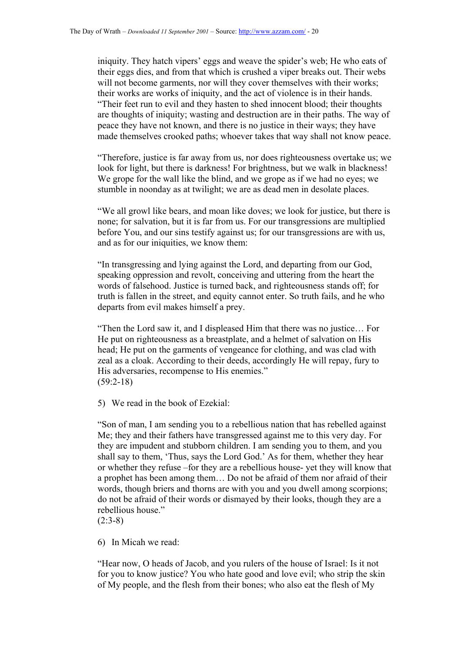iniquity. They hatch vipers' eggs and weave the spider's web; He who eats of their eggs dies, and from that which is crushed a viper breaks out. Their webs will not become garments, nor will they cover themselves with their works; their works are works of iniquity, and the act of violence is in their hands. "Their feet run to evil and they hasten to shed innocent blood; their thoughts are thoughts of iniquity; wasting and destruction are in their paths. The way of peace they have not known, and there is no justice in their ways; they have made themselves crooked paths; whoever takes that way shall not know peace.

"Therefore, justice is far away from us, nor does righteousness overtake us; we look for light, but there is darkness! For brightness, but we walk in blackness! We grope for the wall like the blind, and we grope as if we had no eyes; we stumble in noonday as at twilight; we are as dead men in desolate places.

"We all growl like bears, and moan like doves; we look for justice, but there is none; for salvation, but it is far from us. For our transgressions are multiplied before You, and our sins testify against us; for our transgressions are with us, and as for our iniquities, we know them:

"In transgressing and lying against the Lord, and departing from our God, speaking oppression and revolt, conceiving and uttering from the heart the words of falsehood. Justice is turned back, and righteousness stands off; for truth is fallen in the street, and equity cannot enter. So truth fails, and he who departs from evil makes himself a prey.

"Then the Lord saw it, and I displeased Him that there was no justice… For He put on righteousness as a breastplate, and a helmet of salvation on His head; He put on the garments of vengeance for clothing, and was clad with zeal as a cloak. According to their deeds, accordingly He will repay, fury to His adversaries, recompense to His enemies." (59:2-18)

5) We read in the book of Ezekial:

"Son of man, I am sending you to a rebellious nation that has rebelled against Me; they and their fathers have transgressed against me to this very day. For they are impudent and stubborn children. I am sending you to them, and you shall say to them, 'Thus, says the Lord God.' As for them, whether they hear or whether they refuse –for they are a rebellious house- yet they will know that a prophet has been among them… Do not be afraid of them nor afraid of their words, though briers and thorns are with you and you dwell among scorpions; do not be afraid of their words or dismayed by their looks, though they are a rebellious house."

 $(2:3-8)$ 

6) In Micah we read:

"Hear now, O heads of Jacob, and you rulers of the house of Israel: Is it not for you to know justice? You who hate good and love evil; who strip the skin of My people, and the flesh from their bones; who also eat the flesh of My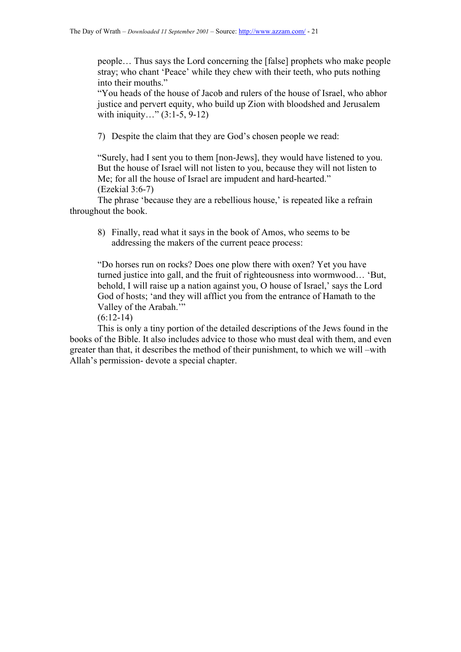people… Thus says the Lord concerning the [false] prophets who make people stray; who chant 'Peace' while they chew with their teeth, who puts nothing into their mouths."

"You heads of the house of Jacob and rulers of the house of Israel, who abhor justice and pervert equity, who build up Zion with bloodshed and Jerusalem with iniquity…" (3:1-5, 9-12)

7) Despite the claim that they are God's chosen people we read:

"Surely, had I sent you to them [non-Jews], they would have listened to you. But the house of Israel will not listen to you, because they will not listen to Me; for all the house of Israel are impudent and hard-hearted." (Ezekial 3:6-7)

The phrase 'because they are a rebellious house,' is repeated like a refrain throughout the book.

8) Finally, read what it says in the book of Amos, who seems to be addressing the makers of the current peace process:

"Do horses run on rocks? Does one plow there with oxen? Yet you have turned justice into gall, and the fruit of righteousness into wormwood… 'But, behold, I will raise up a nation against you, O house of Israel,' says the Lord God of hosts; 'and they will afflict you from the entrance of Hamath to the Valley of the Arabah.'"

 $(6:12-14)$ 

This is only a tiny portion of the detailed descriptions of the Jews found in the books of the Bible. It also includes advice to those who must deal with them, and even greater than that, it describes the method of their punishment, to which we will –with Allah's permission- devote a special chapter.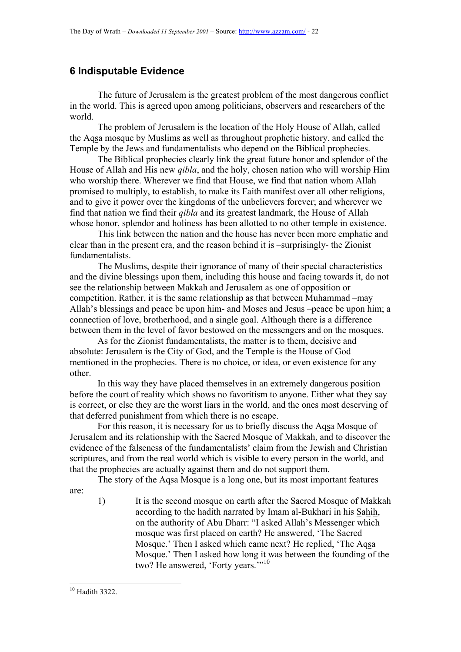#### **6 Indisputable Evidence**

The future of Jerusalem is the greatest problem of the most dangerous conflict in the world. This is agreed upon among politicians, observers and researchers of the world.

The problem of Jerusalem is the location of the Holy House of Allah, called the Aqsa mosque by Muslims as well as throughout prophetic history, and called the Temple by the Jews and fundamentalists who depend on the Biblical prophecies.

The Biblical prophecies clearly link the great future honor and splendor of the House of Allah and His new *qibla*, and the holy, chosen nation who will worship Him who worship there. Wherever we find that House, we find that nation whom Allah promised to multiply, to establish, to make its Faith manifest over all other religions, and to give it power over the kingdoms of the unbelievers forever; and wherever we find that nation we find their *qibla* and its greatest landmark, the House of Allah whose honor, splendor and holiness has been allotted to no other temple in existence.

This link between the nation and the house has never been more emphatic and clear than in the present era, and the reason behind it is –surprisingly- the Zionist fundamentalists.

The Muslims, despite their ignorance of many of their special characteristics and the divine blessings upon them, including this house and facing towards it, do not see the relationship between Makkah and Jerusalem as one of opposition or competition. Rather, it is the same relationship as that between Muhammad –may Allah's blessings and peace be upon him- and Moses and Jesus –peace be upon him; a connection of love, brotherhood, and a single goal. Although there is a difference between them in the level of favor bestowed on the messengers and on the mosques.

As for the Zionist fundamentalists, the matter is to them, decisive and absolute: Jerusalem is the City of God, and the Temple is the House of God mentioned in the prophecies. There is no choice, or idea, or even existence for any other.

In this way they have placed themselves in an extremely dangerous position before the court of reality which shows no favoritism to anyone. Either what they say is correct, or else they are the worst liars in the world, and the ones most deserving of that deferred punishment from which there is no escape.

For this reason, it is necessary for us to briefly discuss the Aqsa Mosque of Jerusalem and its relationship with the Sacred Mosque of Makkah, and to discover the evidence of the falseness of the fundamentalists' claim from the Jewish and Christian scriptures, and from the real world which is visible to every person in the world, and that the prophecies are actually against them and do not support them.

The story of the Aqsa Mosque is a long one, but its most important features are:

1) It is the second mosque on earth after the Sacred Mosque of Makkah according to the hadith narrated by Imam al-Bukhari in his Sahih, on the authority of Abu Dharr: "I asked Allah's Messenger which mosque was first placed on earth? He answered, 'The Sacred Mosque.' Then I asked which came next? He replied, 'The Aqsa Mosque.' Then I asked how long it was between the founding of the two? He answered, 'Forty years."<sup>10</sup>

<span id="page-21-0"></span><sup>10</sup> Hadith 3322.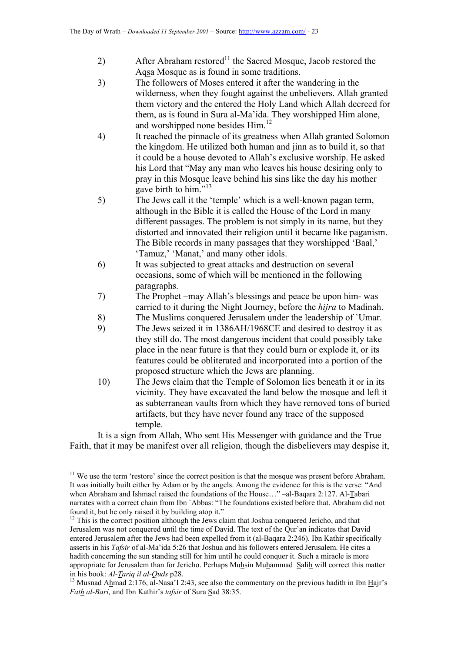- 2) After Abraham restored<sup>11</sup> the Sacred Mosque, Jacob restored the Aqsa Mosque as is found in some traditions.
- 3) The followers of Moses entered it after the wandering in the wilderness, when they fought against the unbelievers. Allah granted them victory and the entered the Holy Land which Allah decreed for them, as is found in Sura al-Ma'ida. They worshipped Him alone, and worshipped none besides Him.<sup>[12](#page-22-1)</sup>
- 4) It reached the pinnacle of its greatness when Allah granted Solomon the kingdom. He utilized both human and jinn as to build it, so that it could be a house devoted to Allah's exclusive worship. He asked his Lord that "May any man who leaves his house desiring only to pray in this Mosque leave behind his sins like the day his mother gave birth to him."<sup>[13](#page-22-2)</sup>
- 5) The Jews call it the 'temple' which is a well-known pagan term, although in the Bible it is called the House of the Lord in many different passages. The problem is not simply in its name, but they distorted and innovated their religion until it became like paganism. The Bible records in many passages that they worshipped 'Baal,' 'Tamuz,' 'Manat,' and many other idols.
- 6) It was subjected to great attacks and destruction on several occasions, some of which will be mentioned in the following paragraphs.
- 7) The Prophet –may Allah's blessings and peace be upon him- was carried to it during the Night Journey, before the *hijra* to Madinah.
- 8) The Muslims conquered Jerusalem under the leadership of `Umar.
- 9) The Jews seized it in 1386AH/1968CE and desired to destroy it as they still do. The most dangerous incident that could possibly take place in the near future is that they could burn or explode it, or its features could be obliterated and incorporated into a portion of the proposed structure which the Jews are planning.
- 10) The Jews claim that the Temple of Solomon lies beneath it or in its vicinity. They have excavated the land below the mosque and left it as subterranean vaults from which they have removed tons of buried artifacts, but they have never found any trace of the supposed temple.

It is a sign from Allah, Who sent His Messenger with guidance and the True Faith, that it may be manifest over all religion, though the disbelievers may despise it,

<span id="page-22-0"></span> $11$  We use the term 'restore' since the correct position is that the mosque was present before Abraham. It was initially built either by Adam or by the angels. Among the evidence for this is the verse: "And when Abraham and Ishmael raised the foundations of the House…" –al-Baqara 2:127. Al-Tabari narrates with a correct chain from Ibn `Abbas: "The foundations existed before that. Abraham did not found it, but he only raised it by building atop it."

<span id="page-22-1"></span> $12$  This is the correct position although the Jews claim that Joshua conquered Jericho, and that Jerusalem was not conquered until the time of David. The text of the Qur'an indicates that David entered Jerusalem after the Jews had been expelled from it (al-Baqara 2:246). Ibn Kathir specifically asserts in his *Tafsir* of al-Ma'ida 5:26 that Joshua and his followers entered Jerusalem. He cites a hadith concerning the sun standing still for him until he could conquer it. Such a miracle is more appropriate for Jerusalem than for Jericho. Perhaps Muhsin Muhammad Salih will correct this matter in his book: *Al-Tariq il al-Quds* p28.<br><sup>13</sup> Musnad A<u>h</u>mad 2:176, al-Nasa'I 2:43, see also the commentary on the previous hadith in Ibn Hajr's

<span id="page-22-2"></span>*Fath al-Bari,* and Ibn Kathir's *tafsir* of Sura Sad 38:35.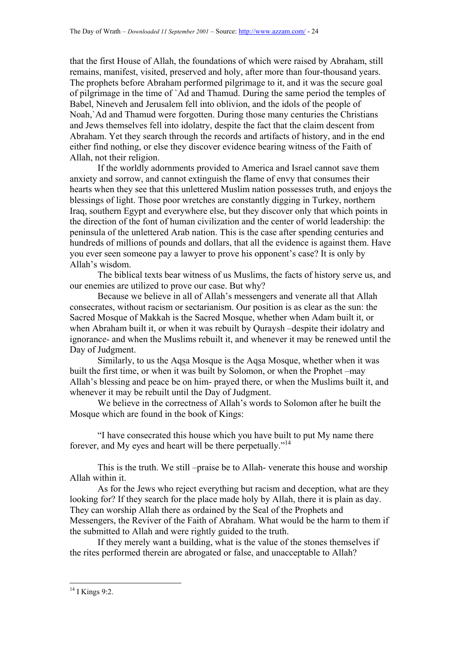that the first House of Allah, the foundations of which were raised by Abraham, still remains, manifest, visited, preserved and holy, after more than four-thousand years. The prophets before Abraham performed pilgrimage to it, and it was the secure goal of pilgrimage in the time of `Ad and Thamud. During the same period the temples of Babel, Nineveh and Jerusalem fell into oblivion, and the idols of the people of Noah,`Ad and Thamud were forgotten. During those many centuries the Christians and Jews themselves fell into idolatry, despite the fact that the claim descent from Abraham. Yet they search through the records and artifacts of history, and in the end either find nothing, or else they discover evidence bearing witness of the Faith of Allah, not their religion.

If the worldly adornments provided to America and Israel cannot save them anxiety and sorrow, and cannot extinguish the flame of envy that consumes their hearts when they see that this unlettered Muslim nation possesses truth, and enjoys the blessings of light. Those poor wretches are constantly digging in Turkey, northern Iraq, southern Egypt and everywhere else, but they discover only that which points in the direction of the font of human civilization and the center of world leadership: the peninsula of the unlettered Arab nation. This is the case after spending centuries and hundreds of millions of pounds and dollars, that all the evidence is against them. Have you ever seen someone pay a lawyer to prove his opponent's case? It is only by Allah's wisdom.

The biblical texts bear witness of us Muslims, the facts of history serve us, and our enemies are utilized to prove our case. But why?

Because we believe in all of Allah's messengers and venerate all that Allah consecrates, without racism or sectarianism. Our position is as clear as the sun: the Sacred Mosque of Makkah is the Sacred Mosque, whether when Adam built it, or when Abraham built it, or when it was rebuilt by Quraysh –despite their idolatry and ignorance- and when the Muslims rebuilt it, and whenever it may be renewed until the Day of Judgment.

Similarly, to us the Aqsa Mosque is the Aqsa Mosque, whether when it was built the first time, or when it was built by Solomon, or when the Prophet –may Allah's blessing and peace be on him- prayed there, or when the Muslims built it, and whenever it may be rebuilt until the Day of Judgment.

We believe in the correctness of Allah's words to Solomon after he built the Mosque which are found in the book of Kings:

"I have consecrated this house which you have built to put My name there forever, and My eyes and heart will be there perpetually."[14](#page-23-0)

This is the truth. We still –praise be to Allah- venerate this house and worship Allah within it.

As for the Jews who reject everything but racism and deception, what are they looking for? If they search for the place made holy by Allah, there it is plain as day. They can worship Allah there as ordained by the Seal of the Prophets and Messengers, the Reviver of the Faith of Abraham. What would be the harm to them if the submitted to Allah and were rightly guided to the truth.

If they merely want a building, what is the value of the stones themselves if the rites performed therein are abrogated or false, and unacceptable to Allah?

<span id="page-23-0"></span> $14$  I Kings 9:2.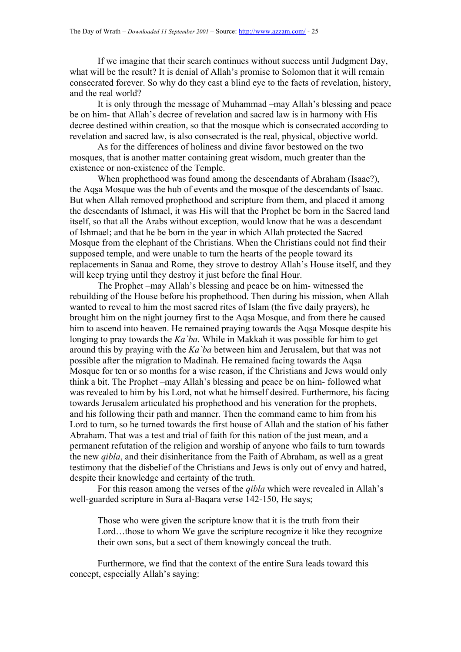If we imagine that their search continues without success until Judgment Day, what will be the result? It is denial of Allah's promise to Solomon that it will remain consecrated forever. So why do they cast a blind eye to the facts of revelation, history, and the real world?

It is only through the message of Muhammad –may Allah's blessing and peace be on him- that Allah's decree of revelation and sacred law is in harmony with His decree destined within creation, so that the mosque which is consecrated according to revelation and sacred law, is also consecrated is the real, physical, objective world.

As for the differences of holiness and divine favor bestowed on the two mosques, that is another matter containing great wisdom, much greater than the existence or non-existence of the Temple.

When prophethood was found among the descendants of Abraham (Isaac?), the Aqsa Mosque was the hub of events and the mosque of the descendants of Isaac. But when Allah removed prophethood and scripture from them, and placed it among the descendants of Ishmael, it was His will that the Prophet be born in the Sacred land itself, so that all the Arabs without exception, would know that he was a descendant of Ishmael; and that he be born in the year in which Allah protected the Sacred Mosque from the elephant of the Christians. When the Christians could not find their supposed temple, and were unable to turn the hearts of the people toward its replacements in Sanaa and Rome, they strove to destroy Allah's House itself, and they will keep trying until they destroy it just before the final Hour.

The Prophet –may Allah's blessing and peace be on him- witnessed the rebuilding of the House before his prophethood. Then during his mission, when Allah wanted to reveal to him the most sacred rites of Islam (the five daily prayers), he brought him on the night journey first to the Aqsa Mosque, and from there he caused him to ascend into heaven. He remained praying towards the Aqsa Mosque despite his longing to pray towards the *Ka`ba*. While in Makkah it was possible for him to get around this by praying with the *Ka`ba* between him and Jerusalem, but that was not possible after the migration to Madinah. He remained facing towards the Aqsa Mosque for ten or so months for a wise reason, if the Christians and Jews would only think a bit. The Prophet –may Allah's blessing and peace be on him- followed what was revealed to him by his Lord, not what he himself desired. Furthermore, his facing towards Jerusalem articulated his prophethood and his veneration for the prophets, and his following their path and manner. Then the command came to him from his Lord to turn, so he turned towards the first house of Allah and the station of his father Abraham. That was a test and trial of faith for this nation of the just mean, and a permanent refutation of the religion and worship of anyone who fails to turn towards the new *qibla*, and their disinheritance from the Faith of Abraham, as well as a great testimony that the disbelief of the Christians and Jews is only out of envy and hatred, despite their knowledge and certainty of the truth.

For this reason among the verses of the *qibla* which were revealed in Allah's well-guarded scripture in Sura al-Baqara verse 142-150, He says;

Those who were given the scripture know that it is the truth from their Lord…those to whom We gave the scripture recognize it like they recognize their own sons, but a sect of them knowingly conceal the truth.

Furthermore, we find that the context of the entire Sura leads toward this concept, especially Allah's saying: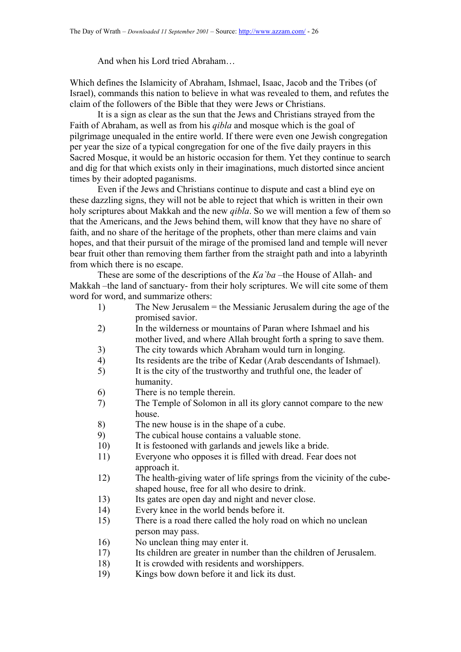And when his Lord tried Abraham…

Which defines the Islamicity of Abraham, Ishmael, Isaac, Jacob and the Tribes (of Israel), commands this nation to believe in what was revealed to them, and refutes the claim of the followers of the Bible that they were Jews or Christians.

It is a sign as clear as the sun that the Jews and Christians strayed from the Faith of Abraham, as well as from his *qibla* and mosque which is the goal of pilgrimage unequaled in the entire world. If there were even one Jewish congregation per year the size of a typical congregation for one of the five daily prayers in this Sacred Mosque, it would be an historic occasion for them. Yet they continue to search and dig for that which exists only in their imaginations, much distorted since ancient times by their adopted paganisms.

Even if the Jews and Christians continue to dispute and cast a blind eye on these dazzling signs, they will not be able to reject that which is written in their own holy scriptures about Makkah and the new *qibla*. So we will mention a few of them so that the Americans, and the Jews behind them, will know that they have no share of faith, and no share of the heritage of the prophets, other than mere claims and vain hopes, and that their pursuit of the mirage of the promised land and temple will never bear fruit other than removing them farther from the straight path and into a labyrinth from which there is no escape.

These are some of the descriptions of the *Ka`ba* –the House of Allah- and Makkah –the land of sanctuary- from their holy scriptures. We will cite some of them word for word, and summarize others:

- 1) The New Jerusalem = the Messianic Jerusalem during the age of the promised savior.
- 2) In the wilderness or mountains of Paran where Ishmael and his mother lived, and where Allah brought forth a spring to save them.
- 3) The city towards which Abraham would turn in longing.
- 4) Its residents are the tribe of Kedar (Arab descendants of Ishmael).
- 5) It is the city of the trustworthy and truthful one, the leader of humanity.
- 6) There is no temple therein.
- 7) The Temple of Solomon in all its glory cannot compare to the new house.
- 8) The new house is in the shape of a cube.
- 9) The cubical house contains a valuable stone.
- 10) It is festooned with garlands and jewels like a bride.
- 11) Everyone who opposes it is filled with dread. Fear does not approach it.
- 12) The health-giving water of life springs from the vicinity of the cubeshaped house, free for all who desire to drink.
- 13) Its gates are open day and night and never close.
- 14) Every knee in the world bends before it.
- 15) There is a road there called the holy road on which no unclean person may pass.
- 16) No unclean thing may enter it.
- 17) Its children are greater in number than the children of Jerusalem.
- 18) It is crowded with residents and worshippers.
- 19) Kings bow down before it and lick its dust.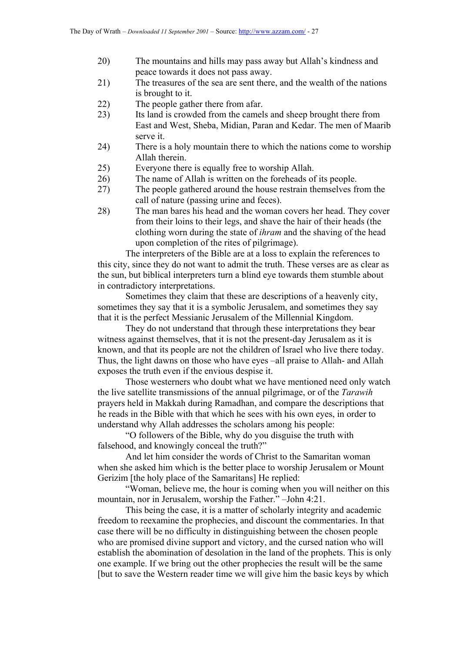- 20) The mountains and hills may pass away but Allah's kindness and peace towards it does not pass away.
- 21) The treasures of the sea are sent there, and the wealth of the nations is brought to it.
- 22) The people gather there from afar.
- 23) Its land is crowded from the camels and sheep brought there from East and West, Sheba, Midian, Paran and Kedar. The men of Maarib serve it.
- 24) There is a holy mountain there to which the nations come to worship Allah therein.
- 25) Everyone there is equally free to worship Allah.
- 26) The name of Allah is written on the foreheads of its people.
- 27) The people gathered around the house restrain themselves from the call of nature (passing urine and feces).
- 28) The man bares his head and the woman covers her head. They cover from their loins to their legs, and shave the hair of their heads (the clothing worn during the state of *ihram* and the shaving of the head upon completion of the rites of pilgrimage).

The interpreters of the Bible are at a loss to explain the references to this city, since they do not want to admit the truth. These verses are as clear as the sun, but biblical interpreters turn a blind eye towards them stumble about in contradictory interpretations.

Sometimes they claim that these are descriptions of a heavenly city, sometimes they say that it is a symbolic Jerusalem, and sometimes they say that it is the perfect Messianic Jerusalem of the Millennial Kingdom.

They do not understand that through these interpretations they bear witness against themselves, that it is not the present-day Jerusalem as it is known, and that its people are not the children of Israel who live there today. Thus, the light dawns on those who have eyes –all praise to Allah- and Allah exposes the truth even if the envious despise it.

Those westerners who doubt what we have mentioned need only watch the live satellite transmissions of the annual pilgrimage, or of the *Tarawih* prayers held in Makkah during Ramadhan, and compare the descriptions that he reads in the Bible with that which he sees with his own eyes, in order to understand why Allah addresses the scholars among his people:

"O followers of the Bible, why do you disguise the truth with falsehood, and knowingly conceal the truth?"

And let him consider the words of Christ to the Samaritan woman when she asked him which is the better place to worship Jerusalem or Mount Gerizim [the holy place of the Samaritans] He replied:

"Woman, believe me, the hour is coming when you will neither on this mountain, nor in Jerusalem, worship the Father." –John 4:21.

This being the case, it is a matter of scholarly integrity and academic freedom to reexamine the prophecies, and discount the commentaries. In that case there will be no difficulty in distinguishing between the chosen people who are promised divine support and victory, and the cursed nation who will establish the abomination of desolation in the land of the prophets. This is only one example. If we bring out the other prophecies the result will be the same [but to save the Western reader time we will give him the basic keys by which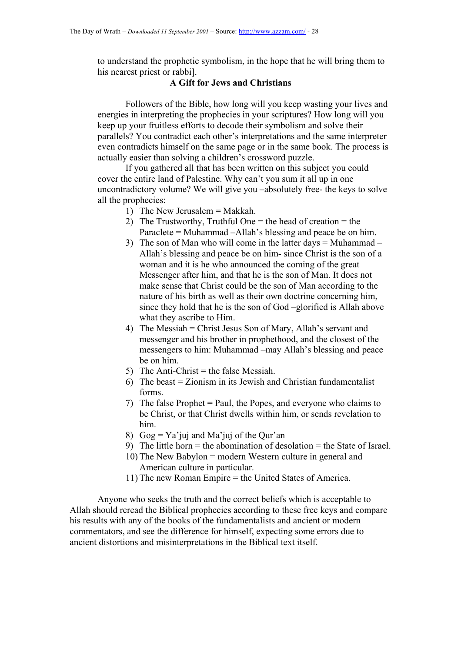to understand the prophetic symbolism, in the hope that he will bring them to his nearest priest or rabbi].

#### **A Gift for Jews and Christians**

Followers of the Bible, how long will you keep wasting your lives and energies in interpreting the prophecies in your scriptures? How long will you keep up your fruitless efforts to decode their symbolism and solve their parallels? You contradict each other's interpretations and the same interpreter even contradicts himself on the same page or in the same book. The process is actually easier than solving a children's crossword puzzle.

If you gathered all that has been written on this subject you could cover the entire land of Palestine. Why can't you sum it all up in one uncontradictory volume? We will give you –absolutely free- the keys to solve all the prophecies:

- 1) The New Jerusalem = Makkah.
- 2) The Trustworthy, Truthful One  $=$  the head of creation  $=$  the Paraclete = Muhammad –Allah's blessing and peace be on him.
- 3) The son of Man who will come in the latter days  $=$  Muhammad  $-$ Allah's blessing and peace be on him- since Christ is the son of a woman and it is he who announced the coming of the great Messenger after him, and that he is the son of Man. It does not make sense that Christ could be the son of Man according to the nature of his birth as well as their own doctrine concerning him, since they hold that he is the son of God –glorified is Allah above what they ascribe to Him.
- 4) The Messiah = Christ Jesus Son of Mary, Allah's servant and messenger and his brother in prophethood, and the closest of the messengers to him: Muhammad –may Allah's blessing and peace be on him.
- 5) The Anti-Christ = the false Messiah.
- 6) The beast  $=$  Zionism in its Jewish and Christian fundamentalist forms.
- 7) The false Prophet = Paul, the Popes, and everyone who claims to be Christ, or that Christ dwells within him, or sends revelation to him.
- 8)  $Gog = Ya'juj$  and Ma'juj of the Qur'an
- 9) The little horn = the abomination of desolation = the State of Israel.
- 10) The New Babylon = modern Western culture in general and American culture in particular.
- 11) The new Roman Empire = the United States of America.

Anyone who seeks the truth and the correct beliefs which is acceptable to Allah should reread the Biblical prophecies according to these free keys and compare his results with any of the books of the fundamentalists and ancient or modern commentators, and see the difference for himself, expecting some errors due to ancient distortions and misinterpretations in the Biblical text itself.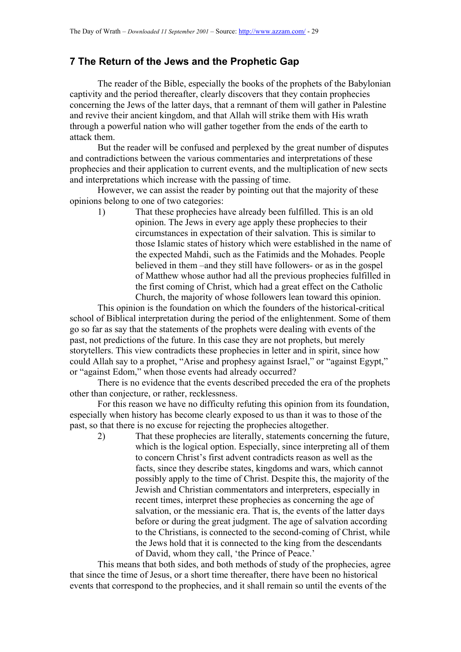#### **7 The Return of the Jews and the Prophetic Gap**

The reader of the Bible, especially the books of the prophets of the Babylonian captivity and the period thereafter, clearly discovers that they contain prophecies concerning the Jews of the latter days, that a remnant of them will gather in Palestine and revive their ancient kingdom, and that Allah will strike them with His wrath through a powerful nation who will gather together from the ends of the earth to attack them.

But the reader will be confused and perplexed by the great number of disputes and contradictions between the various commentaries and interpretations of these prophecies and their application to current events, and the multiplication of new sects and interpretations which increase with the passing of time.

However, we can assist the reader by pointing out that the majority of these opinions belong to one of two categories:

1) That these prophecies have already been fulfilled. This is an old opinion. The Jews in every age apply these prophecies to their circumstances in expectation of their salvation. This is similar to those Islamic states of history which were established in the name of the expected Mahdi, such as the Fatimids and the Mohades. People believed in them –and they still have followers- or as in the gospel of Matthew whose author had all the previous prophecies fulfilled in the first coming of Christ, which had a great effect on the Catholic Church, the majority of whose followers lean toward this opinion.

This opinion is the foundation on which the founders of the historical-critical school of Biblical interpretation during the period of the enlightenment. Some of them go so far as say that the statements of the prophets were dealing with events of the past, not predictions of the future. In this case they are not prophets, but merely storytellers. This view contradicts these prophecies in letter and in spirit, since how could Allah say to a prophet, "Arise and prophesy against Israel," or "against Egypt," or "against Edom," when those events had already occurred?

There is no evidence that the events described preceded the era of the prophets other than conjecture, or rather, recklessness.

For this reason we have no difficulty refuting this opinion from its foundation, especially when history has become clearly exposed to us than it was to those of the past, so that there is no excuse for rejecting the prophecies altogether.

2) That these prophecies are literally, statements concerning the future, which is the logical option. Especially, since interpreting all of them to concern Christ's first advent contradicts reason as well as the facts, since they describe states, kingdoms and wars, which cannot possibly apply to the time of Christ. Despite this, the majority of the Jewish and Christian commentators and interpreters, especially in recent times, interpret these prophecies as concerning the age of salvation, or the messianic era. That is, the events of the latter days before or during the great judgment. The age of salvation according to the Christians, is connected to the second-coming of Christ, while the Jews hold that it is connected to the king from the descendants of David, whom they call, 'the Prince of Peace.'

This means that both sides, and both methods of study of the prophecies, agree that since the time of Jesus, or a short time thereafter, there have been no historical events that correspond to the prophecies, and it shall remain so until the events of the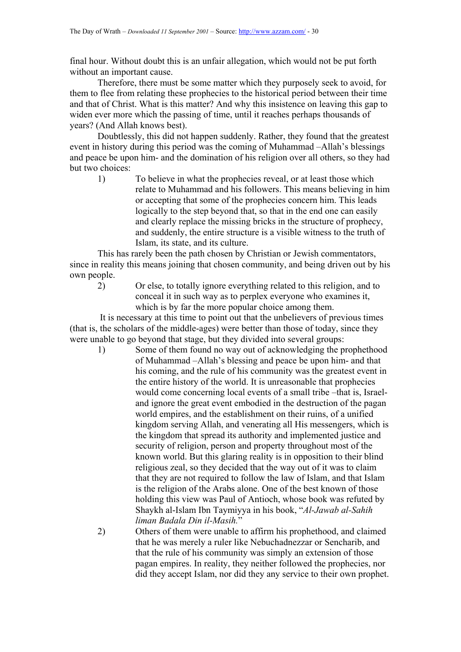final hour. Without doubt this is an unfair allegation, which would not be put forth without an important cause.

Therefore, there must be some matter which they purposely seek to avoid, for them to flee from relating these prophecies to the historical period between their time and that of Christ. What is this matter? And why this insistence on leaving this gap to widen ever more which the passing of time, until it reaches perhaps thousands of years? (And Allah knows best).

Doubtlessly, this did not happen suddenly. Rather, they found that the greatest event in history during this period was the coming of Muhammad –Allah's blessings and peace be upon him- and the domination of his religion over all others, so they had but two choices:

1) To believe in what the prophecies reveal, or at least those which relate to Muhammad and his followers. This means believing in him or accepting that some of the prophecies concern him. This leads logically to the step beyond that, so that in the end one can easily and clearly replace the missing bricks in the structure of prophecy, and suddenly, the entire structure is a visible witness to the truth of Islam, its state, and its culture.

This has rarely been the path chosen by Christian or Jewish commentators, since in reality this means joining that chosen community, and being driven out by his own people.

2) Or else, to totally ignore everything related to this religion, and to conceal it in such way as to perplex everyone who examines it, which is by far the more popular choice among them.

 It is necessary at this time to point out that the unbelievers of previous times (that is, the scholars of the middle-ages) were better than those of today, since they were unable to go beyond that stage, but they divided into several groups:

- 1) Some of them found no way out of acknowledging the prophethood of Muhammad –Allah's blessing and peace be upon him- and that his coming, and the rule of his community was the greatest event in the entire history of the world. It is unreasonable that prophecies would come concerning local events of a small tribe –that is, Israeland ignore the great event embodied in the destruction of the pagan world empires, and the establishment on their ruins, of a unified kingdom serving Allah, and venerating all His messengers, which is the kingdom that spread its authority and implemented justice and security of religion, person and property throughout most of the known world. But this glaring reality is in opposition to their blind religious zeal, so they decided that the way out of it was to claim that they are not required to follow the law of Islam, and that Islam is the religion of the Arabs alone. One of the best known of those holding this view was Paul of Antioch, whose book was refuted by Shaykh al-Islam Ibn Taymiyya in his book, "*Al-Jawab al-Sahih liman Badala Din il-Masih.*"
- 2) Others of them were unable to affirm his prophethood, and claimed that he was merely a ruler like Nebuchadnezzar or Sencharib, and that the rule of his community was simply an extension of those pagan empires. In reality, they neither followed the prophecies, nor did they accept Islam, nor did they any service to their own prophet.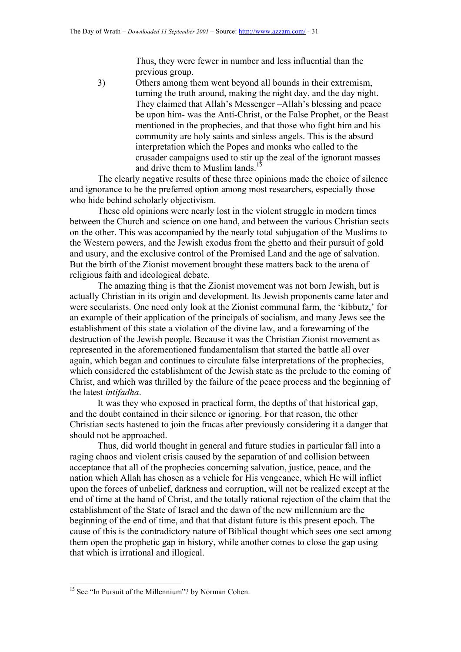Thus, they were fewer in number and less influential than the previous group.

3) Others among them went beyond all bounds in their extremism, turning the truth around, making the night day, and the day night. They claimed that Allah's Messenger –Allah's blessing and peace be upon him- was the Anti-Christ, or the False Prophet, or the Beast mentioned in the prophecies, and that those who fight him and his community are holy saints and sinless angels. This is the absurd interpretation which the Popes and monks who called to the crusader campaigns used to stir up the zeal of the ignorant masses and drive them to Muslim lands.<sup>13</sup>

The clearly negative results of these three opinions made the choice of silence and ignorance to be the preferred option among most researchers, especially those who hide behind scholarly objectivism.

These old opinions were nearly lost in the violent struggle in modern times between the Church and science on one hand, and between the various Christian sects on the other. This was accompanied by the nearly total subjugation of the Muslims to the Western powers, and the Jewish exodus from the ghetto and their pursuit of gold and usury, and the exclusive control of the Promised Land and the age of salvation. But the birth of the Zionist movement brought these matters back to the arena of religious faith and ideological debate.

The amazing thing is that the Zionist movement was not born Jewish, but is actually Christian in its origin and development. Its Jewish proponents came later and were secularists. One need only look at the Zionist communal farm, the 'kibbutz,' for an example of their application of the principals of socialism, and many Jews see the establishment of this state a violation of the divine law, and a forewarning of the destruction of the Jewish people. Because it was the Christian Zionist movement as represented in the aforementioned fundamentalism that started the battle all over again, which began and continues to circulate false interpretations of the prophecies, which considered the establishment of the Jewish state as the prelude to the coming of Christ, and which was thrilled by the failure of the peace process and the beginning of the latest *intifadha*.

It was they who exposed in practical form, the depths of that historical gap, and the doubt contained in their silence or ignoring. For that reason, the other Christian sects hastened to join the fracas after previously considering it a danger that should not be approached.

Thus, did world thought in general and future studies in particular fall into a raging chaos and violent crisis caused by the separation of and collision between acceptance that all of the prophecies concerning salvation, justice, peace, and the nation which Allah has chosen as a vehicle for His vengeance, which He will inflict upon the forces of unbelief, darkness and corruption, will not be realized except at the end of time at the hand of Christ, and the totally rational rejection of the claim that the establishment of the State of Israel and the dawn of the new millennium are the beginning of the end of time, and that that distant future is this present epoch. The cause of this is the contradictory nature of Biblical thought which sees one sect among them open the prophetic gap in history, while another comes to close the gap using that which is irrational and illogical.

<span id="page-30-0"></span><sup>&</sup>lt;sup>15</sup> See "In Pursuit of the Millennium"? by Norman Cohen.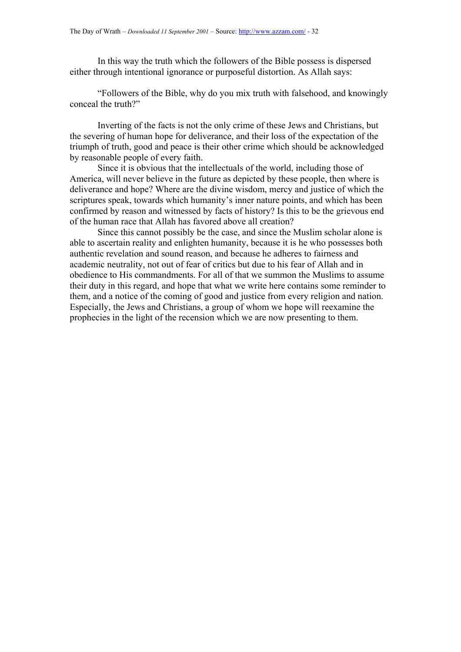In this way the truth which the followers of the Bible possess is dispersed either through intentional ignorance or purposeful distortion. As Allah says:

 "Followers of the Bible, why do you mix truth with falsehood, and knowingly conceal the truth?"

Inverting of the facts is not the only crime of these Jews and Christians, but the severing of human hope for deliverance, and their loss of the expectation of the triumph of truth, good and peace is their other crime which should be acknowledged by reasonable people of every faith.

Since it is obvious that the intellectuals of the world, including those of America, will never believe in the future as depicted by these people, then where is deliverance and hope? Where are the divine wisdom, mercy and justice of which the scriptures speak, towards which humanity's inner nature points, and which has been confirmed by reason and witnessed by facts of history? Is this to be the grievous end of the human race that Allah has favored above all creation?

Since this cannot possibly be the case, and since the Muslim scholar alone is able to ascertain reality and enlighten humanity, because it is he who possesses both authentic revelation and sound reason, and because he adheres to fairness and academic neutrality, not out of fear of critics but due to his fear of Allah and in obedience to His commandments. For all of that we summon the Muslims to assume their duty in this regard, and hope that what we write here contains some reminder to them, and a notice of the coming of good and justice from every religion and nation. Especially, the Jews and Christians, a group of whom we hope will reexamine the prophecies in the light of the recension which we are now presenting to them.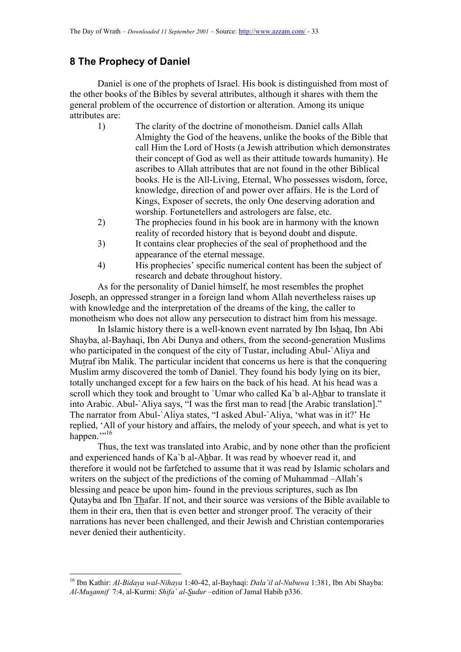#### **8 The Prophecy of Daniel**

Daniel is one of the prophets of Israel. His book is distinguished from most of the other books of the Bibles by several attributes, although it shares with them the general problem of the occurrence of distortion or alteration. Among its unique attributes are:

- 1) The clarity of the doctrine of monotheism. Daniel calls Allah Almighty the God of the heavens, unlike the books of the Bible that call Him the Lord of Hosts (a Jewish attribution which demonstrates their concept of God as well as their attitude towards humanity). He ascribes to Allah attributes that are not found in the other Biblical books. He is the All-Living, Eternal, Who possesses wisdom, force, knowledge, direction of and power over affairs. He is the Lord of Kings, Exposer of secrets, the only One deserving adoration and worship. Fortunetellers and astrologers are false, etc.
- 2) The prophecies found in his book are in harmony with the known reality of recorded history that is beyond doubt and dispute.
- 3) It contains clear prophecies of the seal of prophethood and the appearance of the eternal message.
- 4) His prophecies' specific numerical content has been the subject of research and debate throughout history.

As for the personality of Daniel himself, he most resembles the prophet Joseph, an oppressed stranger in a foreign land whom Allah nevertheless raises up with knowledge and the interpretation of the dreams of the king, the caller to monotheism who does not allow any persecution to distract him from his message.

In Islamic history there is a well-known event narrated by Ibn Ishaq, Ibn Abi Shayba, al-Bayhaqi, Ibn Abi Dunya and others, from the second-generation Muslims who participated in the conquest of the city of Tustar, including Abul-`Aliya and Mutraf ibn Malik. The particular incident that concerns us here is that the conquering Muslim army discovered the tomb of Daniel. They found his body lying on its bier, totally unchanged except for a few hairs on the back of his head. At his head was a scroll which they took and brought to `Umar who called Ka`b al-Ahbar to translate it into Arabic. Abul-`Aliya says, "I was the first man to read [the Arabic translation]." The narrator from Abul-`Aliya states, "I asked Abul-`Aliya, 'what was in it?' He replied, 'All of your history and affairs, the melody of your speech, and what is yet to happen."<sup>16</sup>

Thus, the text was translated into Arabic, and by none other than the proficient and experienced hands of Ka`b al-Ahbar. It was read by whoever read it, and therefore it would not be farfetched to assume that it was read by Islamic scholars and writers on the subject of the predictions of the coming of Muhammad –Allah's blessing and peace be upon him- found in the previous scriptures, such as Ibn Qutayba and Ibn Thafar. If not, and their source was versions of the Bible available to them in their era, then that is even better and stronger proof. The veracity of their narrations has never been challenged, and their Jewish and Christian contemporaries never denied their authenticity.

<span id="page-32-0"></span> $\overline{a}$ 16 Ibn Kathir: *Al-Bidaya wal-Nihaya* 1:40-42, al-Bayhaqi: *Dala'il al-Nubuwa* 1:381, Ibn Abi Shayba: *Al-Musannif* 7:4, al-Kurmi: *Shifa` al-Sudur –*edition of Jamal Habib p336.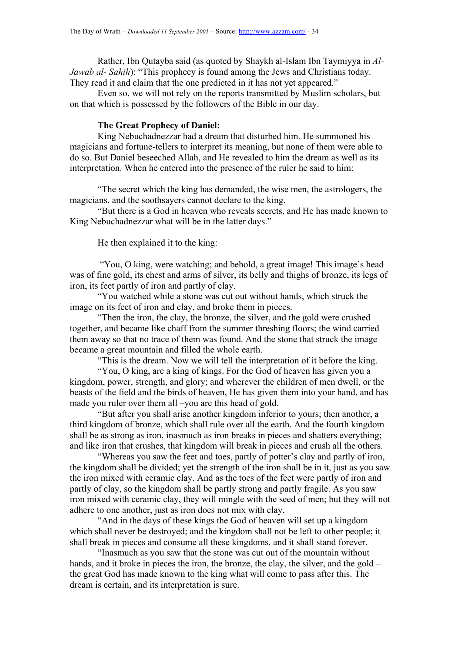Rather, Ibn Qutayba said (as quoted by Shaykh al-Islam Ibn Taymiyya in *Al-Jawab al- Sahih*): "This prophecy is found among the Jews and Christians today. They read it and claim that the one predicted in it has not yet appeared."

Even so, we will not rely on the reports transmitted by Muslim scholars, but on that which is possessed by the followers of the Bible in our day.

#### **The Great Prophecy of Daniel:**

King Nebuchadnezzar had a dream that disturbed him. He summoned his magicians and fortune-tellers to interpret its meaning, but none of them were able to do so. But Daniel beseeched Allah, and He revealed to him the dream as well as its interpretation. When he entered into the presence of the ruler he said to him:

"The secret which the king has demanded, the wise men, the astrologers, the magicians, and the soothsayers cannot declare to the king.

"But there is a God in heaven who reveals secrets, and He has made known to King Nebuchadnezzar what will be in the latter days."

He then explained it to the king:

 "You, O king, were watching; and behold, a great image! This image's head was of fine gold, its chest and arms of silver, its belly and thighs of bronze, its legs of iron, its feet partly of iron and partly of clay.

"You watched while a stone was cut out without hands, which struck the image on its feet of iron and clay, and broke them in pieces.

"Then the iron, the clay, the bronze, the silver, and the gold were crushed together, and became like chaff from the summer threshing floors; the wind carried them away so that no trace of them was found. And the stone that struck the image became a great mountain and filled the whole earth.

"This is the dream. Now we will tell the interpretation of it before the king.

"You, O king, are a king of kings. For the God of heaven has given you a kingdom, power, strength, and glory; and wherever the children of men dwell, or the beasts of the field and the birds of heaven, He has given them into your hand, and has made you ruler over them all –you are this head of gold.

"But after you shall arise another kingdom inferior to yours; then another, a third kingdom of bronze, which shall rule over all the earth. And the fourth kingdom shall be as strong as iron, inasmuch as iron breaks in pieces and shatters everything; and like iron that crushes, that kingdom will break in pieces and crush all the others.

"Whereas you saw the feet and toes, partly of potter's clay and partly of iron, the kingdom shall be divided; yet the strength of the iron shall be in it, just as you saw the iron mixed with ceramic clay. And as the toes of the feet were partly of iron and partly of clay, so the kingdom shall be partly strong and partly fragile. As you saw iron mixed with ceramic clay, they will mingle with the seed of men; but they will not adhere to one another, just as iron does not mix with clay.

"And in the days of these kings the God of heaven will set up a kingdom which shall never be destroyed; and the kingdom shall not be left to other people; it shall break in pieces and consume all these kingdoms, and it shall stand forever.

"Inasmuch as you saw that the stone was cut out of the mountain without hands, and it broke in pieces the iron, the bronze, the clay, the silver, and the gold – the great God has made known to the king what will come to pass after this. The dream is certain, and its interpretation is sure.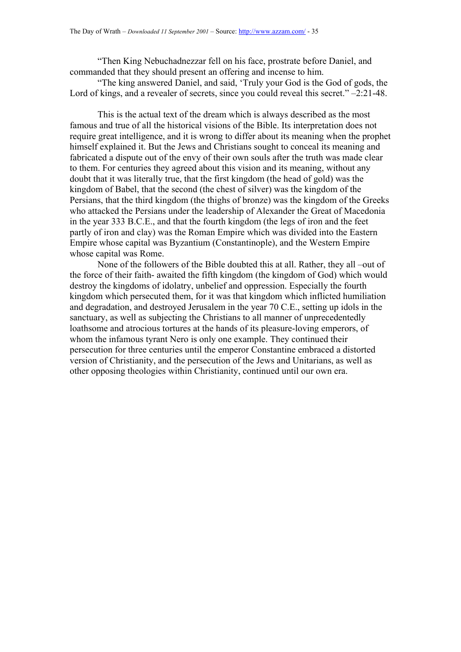"Then King Nebuchadnezzar fell on his face, prostrate before Daniel, and commanded that they should present an offering and incense to him.

"The king answered Daniel, and said, 'Truly your God is the God of gods, the Lord of kings, and a revealer of secrets, since you could reveal this secret." –2:21-48.

This is the actual text of the dream which is always described as the most famous and true of all the historical visions of the Bible. Its interpretation does not require great intelligence, and it is wrong to differ about its meaning when the prophet himself explained it. But the Jews and Christians sought to conceal its meaning and fabricated a dispute out of the envy of their own souls after the truth was made clear to them. For centuries they agreed about this vision and its meaning, without any doubt that it was literally true, that the first kingdom (the head of gold) was the kingdom of Babel, that the second (the chest of silver) was the kingdom of the Persians, that the third kingdom (the thighs of bronze) was the kingdom of the Greeks who attacked the Persians under the leadership of Alexander the Great of Macedonia in the year 333 B.C.E., and that the fourth kingdom (the legs of iron and the feet partly of iron and clay) was the Roman Empire which was divided into the Eastern Empire whose capital was Byzantium (Constantinople), and the Western Empire whose capital was Rome.

None of the followers of the Bible doubted this at all. Rather, they all –out of the force of their faith- awaited the fifth kingdom (the kingdom of God) which would destroy the kingdoms of idolatry, unbelief and oppression. Especially the fourth kingdom which persecuted them, for it was that kingdom which inflicted humiliation and degradation, and destroyed Jerusalem in the year 70 C.E., setting up idols in the sanctuary, as well as subjecting the Christians to all manner of unprecedentedly loathsome and atrocious tortures at the hands of its pleasure-loving emperors, of whom the infamous tyrant Nero is only one example. They continued their persecution for three centuries until the emperor Constantine embraced a distorted version of Christianity, and the persecution of the Jews and Unitarians, as well as other opposing theologies within Christianity, continued until our own era.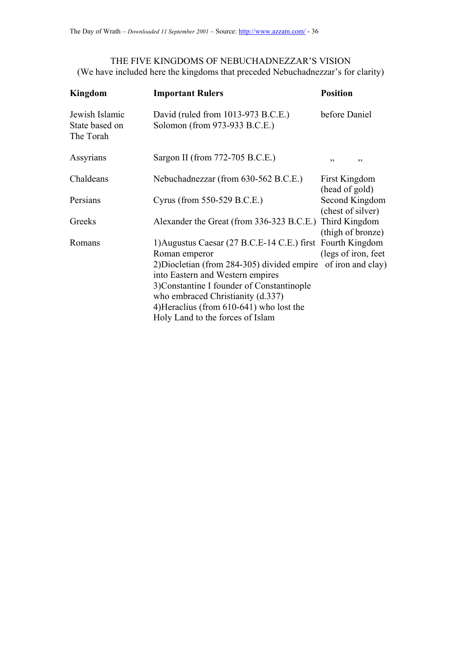#### THE FIVE KINGDOMS OF NEBUCHADNEZZAR'S VISION (We have included here the kingdoms that preceded Nebuchadnezzar's for clarity)

| Kingdom                                       | <b>Important Rulers</b>                                                                                                                                                                                                                                                                                                                             | <b>Position</b>                     |
|-----------------------------------------------|-----------------------------------------------------------------------------------------------------------------------------------------------------------------------------------------------------------------------------------------------------------------------------------------------------------------------------------------------------|-------------------------------------|
| Jewish Islamic<br>State based on<br>The Torah | David (ruled from 1013-973 B.C.E.)<br>Solomon (from 973-933 B.C.E.)                                                                                                                                                                                                                                                                                 | before Daniel                       |
| Assyrians                                     | Sargon II (from 772-705 B.C.E.)                                                                                                                                                                                                                                                                                                                     | , 2<br>, 2                          |
| Chaldeans                                     | Nebuchadnezzar (from 630-562 B.C.E.)                                                                                                                                                                                                                                                                                                                | First Kingdom<br>(head of gold)     |
| Persians                                      | Cyrus (from 550-529 B.C.E.)                                                                                                                                                                                                                                                                                                                         | Second Kingdom<br>(chest of silver) |
| Greeks                                        | Alexander the Great (from 336-323 B.C.E.)                                                                                                                                                                                                                                                                                                           | Third Kingdom<br>(thigh of bronze)  |
| Romans                                        | 1) Augustus Caesar (27 B.C.E-14 C.E.) first Fourth Kingdom<br>Roman emperor<br>2) Diocletian (from 284-305) divided empire of iron and clay)<br>into Eastern and Western empires<br>3) Constantine I founder of Constantinople<br>who embraced Christianity (d.337)<br>4) Heraclius (from 610-641) who lost the<br>Holy Land to the forces of Islam | (legs of iron, feet)                |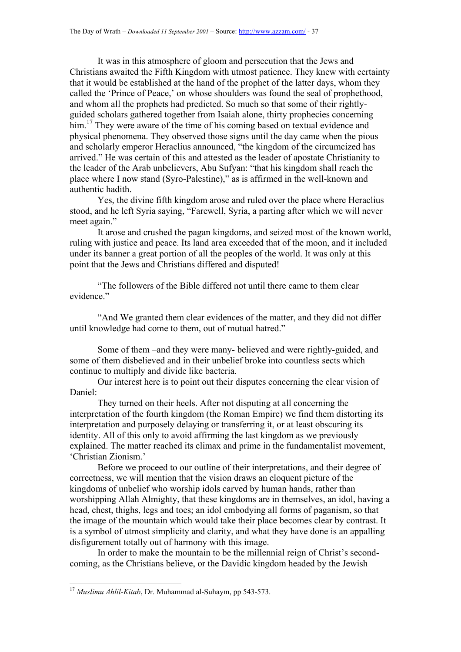It was in this atmosphere of gloom and persecution that the Jews and Christians awaited the Fifth Kingdom with utmost patience. They knew with certainty that it would be established at the hand of the prophet of the latter days, whom they called the 'Prince of Peace,' on whose shoulders was found the seal of prophethood, and whom all the prophets had predicted. So much so that some of their rightlyguided scholars gathered together from Isaiah alone, thirty prophecies concerning him.<sup>17</sup> They were aware of the time of his coming based on textual evidence and physical phenomena. They observed those signs until the day came when the pious and scholarly emperor Heraclius announced, "the kingdom of the circumcized has arrived." He was certain of this and attested as the leader of apostate Christianity to the leader of the Arab unbelievers, Abu Sufyan: "that his kingdom shall reach the place where I now stand (Syro-Palestine)," as is affirmed in the well-known and authentic hadith.

Yes, the divine fifth kingdom arose and ruled over the place where Heraclius stood, and he left Syria saying, "Farewell, Syria, a parting after which we will never meet again."

It arose and crushed the pagan kingdoms, and seized most of the known world, ruling with justice and peace. Its land area exceeded that of the moon, and it included under its banner a great portion of all the peoples of the world. It was only at this point that the Jews and Christians differed and disputed!

"The followers of the Bible differed not until there came to them clear evidence"

"And We granted them clear evidences of the matter, and they did not differ until knowledge had come to them, out of mutual hatred."

Some of them –and they were many- believed and were rightly-guided, and some of them disbelieved and in their unbelief broke into countless sects which continue to multiply and divide like bacteria.

Our interest here is to point out their disputes concerning the clear vision of Daniel:

They turned on their heels. After not disputing at all concerning the interpretation of the fourth kingdom (the Roman Empire) we find them distorting its interpretation and purposely delaying or transferring it, or at least obscuring its identity. All of this only to avoid affirming the last kingdom as we previously explained. The matter reached its climax and prime in the fundamentalist movement, 'Christian Zionism.'

Before we proceed to our outline of their interpretations, and their degree of correctness, we will mention that the vision draws an eloquent picture of the kingdoms of unbelief who worship idols carved by human hands, rather than worshipping Allah Almighty, that these kingdoms are in themselves, an idol, having a head, chest, thighs, legs and toes; an idol embodying all forms of paganism, so that the image of the mountain which would take their place becomes clear by contrast. It is a symbol of utmost simplicity and clarity, and what they have done is an appalling disfigurement totally out of harmony with this image.

In order to make the mountain to be the millennial reign of Christ's secondcoming, as the Christians believe, or the Davidic kingdom headed by the Jewish

<span id="page-36-0"></span><sup>17</sup> *Muslimu Ahlil-Kitab*, Dr. Muhammad al-Suhaym, pp 543-573.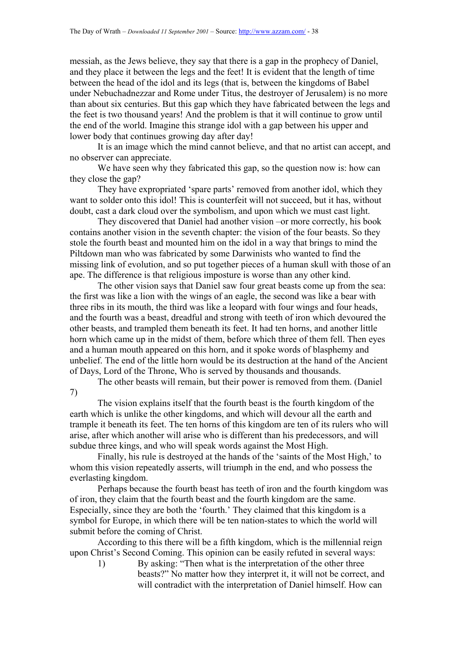messiah, as the Jews believe, they say that there is a gap in the prophecy of Daniel, and they place it between the legs and the feet! It is evident that the length of time between the head of the idol and its legs (that is, between the kingdoms of Babel under Nebuchadnezzar and Rome under Titus, the destroyer of Jerusalem) is no more than about six centuries. But this gap which they have fabricated between the legs and the feet is two thousand years! And the problem is that it will continue to grow until the end of the world. Imagine this strange idol with a gap between his upper and lower body that continues growing day after day!

It is an image which the mind cannot believe, and that no artist can accept, and no observer can appreciate.

We have seen why they fabricated this gap, so the question now is: how can they close the gap?

They have expropriated 'spare parts' removed from another idol, which they want to solder onto this idol! This is counterfeit will not succeed, but it has, without doubt, cast a dark cloud over the symbolism, and upon which we must cast light.

They discovered that Daniel had another vision –or more correctly, his book contains another vision in the seventh chapter: the vision of the four beasts. So they stole the fourth beast and mounted him on the idol in a way that brings to mind the Piltdown man who was fabricated by some Darwinists who wanted to find the missing link of evolution, and so put together pieces of a human skull with those of an ape. The difference is that religious imposture is worse than any other kind.

The other vision says that Daniel saw four great beasts come up from the sea: the first was like a lion with the wings of an eagle, the second was like a bear with three ribs in its mouth, the third was like a leopard with four wings and four heads, and the fourth was a beast, dreadful and strong with teeth of iron which devoured the other beasts, and trampled them beneath its feet. It had ten horns, and another little horn which came up in the midst of them, before which three of them fell. Then eyes and a human mouth appeared on this horn, and it spoke words of blasphemy and unbelief. The end of the little horn would be its destruction at the hand of the Ancient of Days, Lord of the Throne, Who is served by thousands and thousands.

The other beasts will remain, but their power is removed from them. (Daniel 7)

The vision explains itself that the fourth beast is the fourth kingdom of the earth which is unlike the other kingdoms, and which will devour all the earth and trample it beneath its feet. The ten horns of this kingdom are ten of its rulers who will arise, after which another will arise who is different than his predecessors, and will subdue three kings, and who will speak words against the Most High.

Finally, his rule is destroyed at the hands of the 'saints of the Most High,' to whom this vision repeatedly asserts, will triumph in the end, and who possess the everlasting kingdom.

Perhaps because the fourth beast has teeth of iron and the fourth kingdom was of iron, they claim that the fourth beast and the fourth kingdom are the same. Especially, since they are both the 'fourth.' They claimed that this kingdom is a symbol for Europe, in which there will be ten nation-states to which the world will submit before the coming of Christ.

According to this there will be a fifth kingdom, which is the millennial reign upon Christ's Second Coming. This opinion can be easily refuted in several ways:

1) By asking: "Then what is the interpretation of the other three beasts?" No matter how they interpret it, it will not be correct, and will contradict with the interpretation of Daniel himself. How can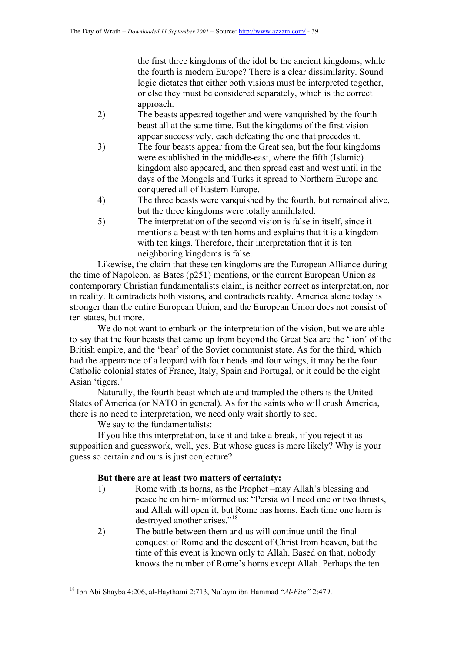the first three kingdoms of the idol be the ancient kingdoms, while the fourth is modern Europe? There is a clear dissimilarity. Sound logic dictates that either both visions must be interpreted together, or else they must be considered separately, which is the correct approach.

- 2) The beasts appeared together and were vanquished by the fourth beast all at the same time. But the kingdoms of the first vision appear successively, each defeating the one that precedes it.
- 3) The four beasts appear from the Great sea, but the four kingdoms were established in the middle-east, where the fifth (Islamic) kingdom also appeared, and then spread east and west until in the days of the Mongols and Turks it spread to Northern Europe and conquered all of Eastern Europe.
- 4) The three beasts were vanquished by the fourth, but remained alive, but the three kingdoms were totally annihilated.
- 5) The interpretation of the second vision is false in itself, since it mentions a beast with ten horns and explains that it is a kingdom with ten kings. Therefore, their interpretation that it is ten neighboring kingdoms is false.

Likewise, the claim that these ten kingdoms are the European Alliance during the time of Napoleon, as Bates (p251) mentions, or the current European Union as contemporary Christian fundamentalists claim, is neither correct as interpretation, nor in reality. It contradicts both visions, and contradicts reality. America alone today is stronger than the entire European Union, and the European Union does not consist of ten states, but more.

We do not want to embark on the interpretation of the vision, but we are able to say that the four beasts that came up from beyond the Great Sea are the 'lion' of the British empire, and the 'bear' of the Soviet communist state. As for the third, which had the appearance of a leopard with four heads and four wings, it may be the four Catholic colonial states of France, Italy, Spain and Portugal, or it could be the eight Asian 'tigers.'

Naturally, the fourth beast which ate and trampled the others is the United States of America (or NATO in general). As for the saints who will crush America, there is no need to interpretation, we need only wait shortly to see.

We say to the fundamentalists:

 $\overline{a}$ 

If you like this interpretation, take it and take a break, if you reject it as supposition and guesswork, well, yes. But whose guess is more likely? Why is your guess so certain and ours is just conjecture?

#### **But there are at least two matters of certainty:**

- 1) Rome with its horns, as the Prophet –may Allah's blessing and peace be on him- informed us: "Persia will need one or two thrusts, and Allah will open it, but Rome has horns. Each time one horn is destroyed another arises."<sup>[18](#page-38-0)</sup>
- 2) The battle between them and us will continue until the final conquest of Rome and the descent of Christ from heaven, but the time of this event is known only to Allah. Based on that, nobody knows the number of Rome's horns except Allah. Perhaps the ten

<span id="page-38-0"></span><sup>18</sup> Ibn Abi Shayba 4:206, al-Haythami 2:713, Nu`aym ibn Hammad "*Al-Fitn"* 2:479.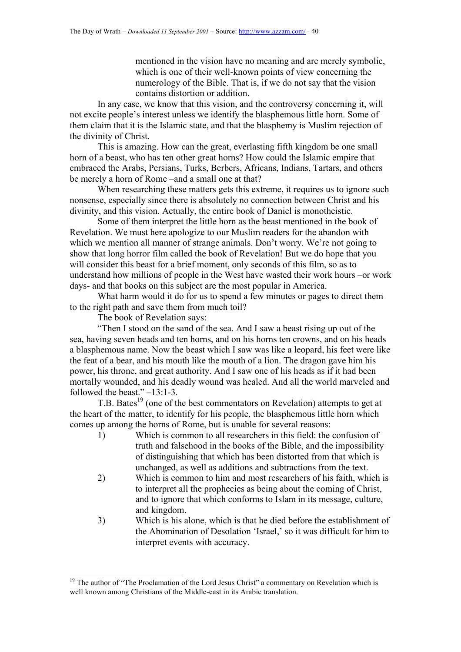mentioned in the vision have no meaning and are merely symbolic, which is one of their well-known points of view concerning the numerology of the Bible. That is, if we do not say that the vision contains distortion or addition.

In any case, we know that this vision, and the controversy concerning it, will not excite people's interest unless we identify the blasphemous little horn. Some of them claim that it is the Islamic state, and that the blasphemy is Muslim rejection of the divinity of Christ.

This is amazing. How can the great, everlasting fifth kingdom be one small horn of a beast, who has ten other great horns? How could the Islamic empire that embraced the Arabs, Persians, Turks, Berbers, Africans, Indians, Tartars, and others be merely a horn of Rome –and a small one at that?

When researching these matters gets this extreme, it requires us to ignore such nonsense, especially since there is absolutely no connection between Christ and his divinity, and this vision. Actually, the entire book of Daniel is monotheistic.

Some of them interpret the little horn as the beast mentioned in the book of Revelation. We must here apologize to our Muslim readers for the abandon with which we mention all manner of strange animals. Don't worry. We're not going to show that long horror film called the book of Revelation! But we do hope that you will consider this beast for a brief moment, only seconds of this film, so as to understand how millions of people in the West have wasted their work hours –or work days- and that books on this subject are the most popular in America.

What harm would it do for us to spend a few minutes or pages to direct them to the right path and save them from much toil?

The book of Revelation says:

 $\overline{a}$ 

"Then I stood on the sand of the sea. And I saw a beast rising up out of the sea, having seven heads and ten horns, and on his horns ten crowns, and on his heads a blasphemous name. Now the beast which I saw was like a leopard, his feet were like the feat of a bear, and his mouth like the mouth of a lion. The dragon gave him his power, his throne, and great authority. And I saw one of his heads as if it had been mortally wounded, and his deadly wound was healed. And all the world marveled and followed the beast." –13:1-3.

T.B. Bates<sup>19</sup> (one of the best commentators on Revelation) attempts to get at the heart of the matter, to identify for his people, the blasphemous little horn which comes up among the horns of Rome, but is unable for several reasons:

- 1) Which is common to all researchers in this field: the confusion of truth and falsehood in the books of the Bible, and the impossibility of distinguishing that which has been distorted from that which is unchanged, as well as additions and subtractions from the text.
- 2) Which is common to him and most researchers of his faith, which is to interpret all the prophecies as being about the coming of Christ, and to ignore that which conforms to Islam in its message, culture, and kingdom.
- 3) Which is his alone, which is that he died before the establishment of the Abomination of Desolation 'Israel,' so it was difficult for him to interpret events with accuracy.

<span id="page-39-0"></span><sup>&</sup>lt;sup>19</sup> The author of "The Proclamation of the Lord Jesus Christ" a commentary on Revelation which is well known among Christians of the Middle-east in its Arabic translation.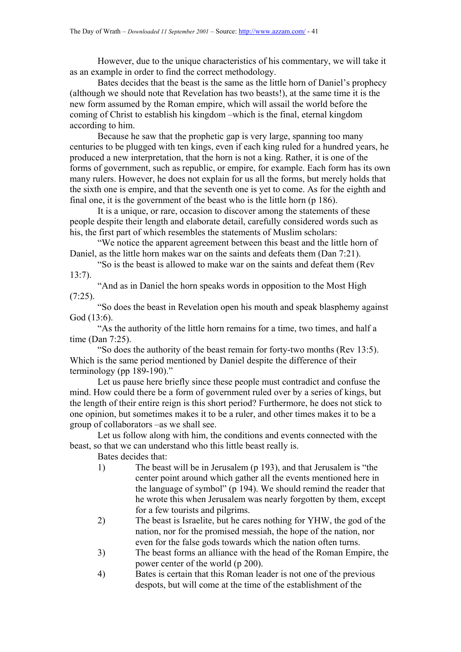However, due to the unique characteristics of his commentary, we will take it as an example in order to find the correct methodology.

Bates decides that the beast is the same as the little horn of Daniel's prophecy (although we should note that Revelation has two beasts!), at the same time it is the new form assumed by the Roman empire, which will assail the world before the coming of Christ to establish his kingdom –which is the final, eternal kingdom according to him.

Because he saw that the prophetic gap is very large, spanning too many centuries to be plugged with ten kings, even if each king ruled for a hundred years, he produced a new interpretation, that the horn is not a king. Rather, it is one of the forms of government, such as republic, or empire, for example. Each form has its own many rulers. However, he does not explain for us all the forms, but merely holds that the sixth one is empire, and that the seventh one is yet to come. As for the eighth and final one, it is the government of the beast who is the little horn (p 186).

It is a unique, or rare, occasion to discover among the statements of these people despite their length and elaborate detail, carefully considered words such as his, the first part of which resembles the statements of Muslim scholars:

"We notice the apparent agreement between this beast and the little horn of Daniel, as the little horn makes war on the saints and defeats them (Dan 7:21).

"So is the beast is allowed to make war on the saints and defeat them (Rev 13:7).

"And as in Daniel the horn speaks words in opposition to the Most High (7:25).

"So does the beast in Revelation open his mouth and speak blasphemy against God (13:6).

"As the authority of the little horn remains for a time, two times, and half a time (Dan 7:25).

"So does the authority of the beast remain for forty-two months (Rev 13:5). Which is the same period mentioned by Daniel despite the difference of their terminology (pp  $189-190$ )."

Let us pause here briefly since these people must contradict and confuse the mind. How could there be a form of government ruled over by a series of kings, but the length of their entire reign is this short period? Furthermore, he does not stick to one opinion, but sometimes makes it to be a ruler, and other times makes it to be a group of collaborators –as we shall see.

Let us follow along with him, the conditions and events connected with the beast, so that we can understand who this little beast really is.

Bates decides that:

- 1) The beast will be in Jerusalem (p 193), and that Jerusalem is "the center point around which gather all the events mentioned here in the language of symbol" (p 194). We should remind the reader that he wrote this when Jerusalem was nearly forgotten by them, except for a few tourists and pilgrims.
- 2) The beast is Israelite, but he cares nothing for YHW, the god of the nation, nor for the promised messiah, the hope of the nation, nor even for the false gods towards which the nation often turns.
- 3) The beast forms an alliance with the head of the Roman Empire, the power center of the world (p 200).
- 4) Bates is certain that this Roman leader is not one of the previous despots, but will come at the time of the establishment of the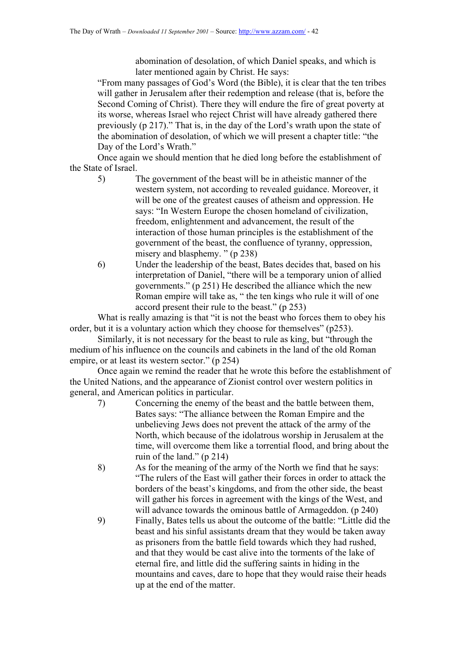abomination of desolation, of which Daniel speaks, and which is later mentioned again by Christ. He says:

"From many passages of God's Word (the Bible), it is clear that the ten tribes will gather in Jerusalem after their redemption and release (that is, before the Second Coming of Christ). There they will endure the fire of great poverty at its worse, whereas Israel who reject Christ will have already gathered there previously (p 217)." That is, in the day of the Lord's wrath upon the state of the abomination of desolation, of which we will present a chapter title: "the Day of the Lord's Wrath."

Once again we should mention that he died long before the establishment of the State of Israel.

- 5) The government of the beast will be in atheistic manner of the western system, not according to revealed guidance. Moreover, it will be one of the greatest causes of atheism and oppression. He says: "In Western Europe the chosen homeland of civilization, freedom, enlightenment and advancement, the result of the interaction of those human principles is the establishment of the government of the beast, the confluence of tyranny, oppression, misery and blasphemy. " (p 238)
- 6) Under the leadership of the beast, Bates decides that, based on his interpretation of Daniel, "there will be a temporary union of allied governments." (p 251) He described the alliance which the new Roman empire will take as, " the ten kings who rule it will of one accord present their rule to the beast." (p 253)

What is really amazing is that "it is not the beast who forces them to obey his order, but it is a voluntary action which they choose for themselves" (p253).

Similarly, it is not necessary for the beast to rule as king, but "through the medium of his influence on the councils and cabinets in the land of the old Roman empire, or at least its western sector." (p 254)

Once again we remind the reader that he wrote this before the establishment of the United Nations, and the appearance of Zionist control over western politics in general, and American politics in particular.

- 7) Concerning the enemy of the beast and the battle between them, Bates says: "The alliance between the Roman Empire and the unbelieving Jews does not prevent the attack of the army of the North, which because of the idolatrous worship in Jerusalem at the time, will overcome them like a torrential flood, and bring about the ruin of the land." (p 214)
- 8) As for the meaning of the army of the North we find that he says: "The rulers of the East will gather their forces in order to attack the borders of the beast's kingdoms, and from the other side, the beast will gather his forces in agreement with the kings of the West, and will advance towards the ominous battle of Armageddon. (p 240)
- 9) Finally, Bates tells us about the outcome of the battle: "Little did the beast and his sinful assistants dream that they would be taken away as prisoners from the battle field towards which they had rushed, and that they would be cast alive into the torments of the lake of eternal fire, and little did the suffering saints in hiding in the mountains and caves, dare to hope that they would raise their heads up at the end of the matter.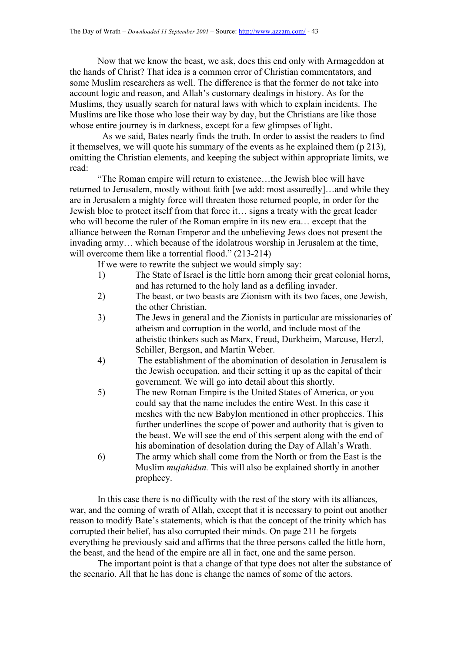Now that we know the beast, we ask, does this end only with Armageddon at the hands of Christ? That idea is a common error of Christian commentators, and some Muslim researchers as well. The difference is that the former do not take into account logic and reason, and Allah's customary dealings in history. As for the Muslims, they usually search for natural laws with which to explain incidents. The Muslims are like those who lose their way by day, but the Christians are like those whose entire journey is in darkness, except for a few glimpses of light.

 As we said, Bates nearly finds the truth. In order to assist the readers to find it themselves, we will quote his summary of the events as he explained them (p 213), omitting the Christian elements, and keeping the subject within appropriate limits, we read:

"The Roman empire will return to existence…the Jewish bloc will have returned to Jerusalem, mostly without faith [we add: most assuredly]…and while they are in Jerusalem a mighty force will threaten those returned people, in order for the Jewish bloc to protect itself from that force it… signs a treaty with the great leader who will become the ruler of the Roman empire in its new era… except that the alliance between the Roman Emperor and the unbelieving Jews does not present the invading army… which because of the idolatrous worship in Jerusalem at the time, will overcome them like a torrential flood." (213-214)

If we were to rewrite the subject we would simply say:

- 1) The State of Israel is the little horn among their great colonial horns, and has returned to the holy land as a defiling invader.
- 2) The beast, or two beasts are Zionism with its two faces, one Jewish, the other Christian.
- 3) The Jews in general and the Zionists in particular are missionaries of atheism and corruption in the world, and include most of the atheistic thinkers such as Marx, Freud, Durkheim, Marcuse, Herzl, Schiller, Bergson, and Martin Weber.
- 4) The establishment of the abomination of desolation in Jerusalem is the Jewish occupation, and their setting it up as the capital of their government. We will go into detail about this shortly.
- 5) The new Roman Empire is the United States of America, or you could say that the name includes the entire West. In this case it meshes with the new Babylon mentioned in other prophecies. This further underlines the scope of power and authority that is given to the beast. We will see the end of this serpent along with the end of his abomination of desolation during the Day of Allah's Wrath.
- 6) The army which shall come from the North or from the East is the Muslim *mujahidun.* This will also be explained shortly in another prophecy.

In this case there is no difficulty with the rest of the story with its alliances, war, and the coming of wrath of Allah, except that it is necessary to point out another reason to modify Bate's statements, which is that the concept of the trinity which has corrupted their belief, has also corrupted their minds. On page 211 he forgets everything he previously said and affirms that the three persons called the little horn, the beast, and the head of the empire are all in fact, one and the same person.

The important point is that a change of that type does not alter the substance of the scenario. All that he has done is change the names of some of the actors.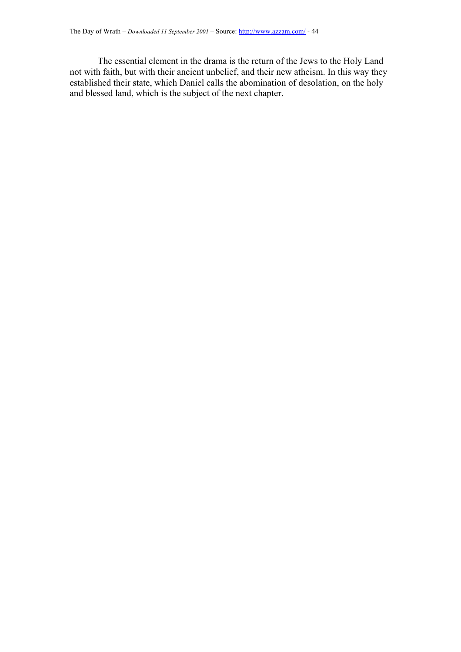The essential element in the drama is the return of the Jews to the Holy Land not with faith, but with their ancient unbelief, and their new atheism. In this way they established their state, which Daniel calls the abomination of desolation, on the holy and blessed land, which is the subject of the next chapter.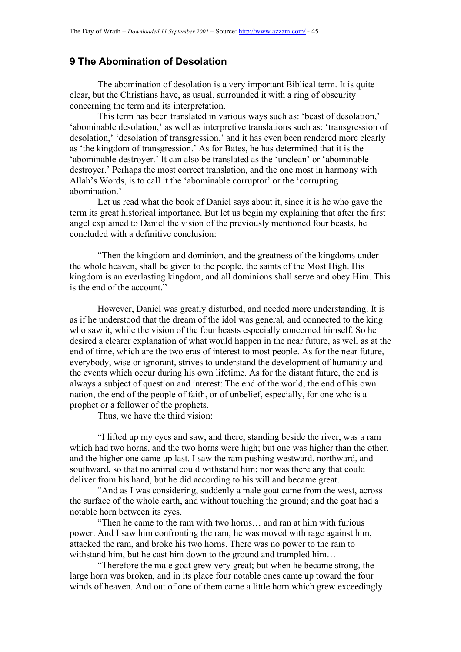# **9 The Abomination of Desolation**

The abomination of desolation is a very important Biblical term. It is quite clear, but the Christians have, as usual, surrounded it with a ring of obscurity concerning the term and its interpretation.

This term has been translated in various ways such as: 'beast of desolation,' 'abominable desolation,' as well as interpretive translations such as: 'transgression of desolation,' 'desolation of transgression,' and it has even been rendered more clearly as 'the kingdom of transgression.' As for Bates, he has determined that it is the 'abominable destroyer.' It can also be translated as the 'unclean' or 'abominable destroyer.' Perhaps the most correct translation, and the one most in harmony with Allah's Words, is to call it the 'abominable corruptor' or the 'corrupting abomination.'

Let us read what the book of Daniel says about it, since it is he who gave the term its great historical importance. But let us begin my explaining that after the first angel explained to Daniel the vision of the previously mentioned four beasts, he concluded with a definitive conclusion:

"Then the kingdom and dominion, and the greatness of the kingdoms under the whole heaven, shall be given to the people, the saints of the Most High. His kingdom is an everlasting kingdom, and all dominions shall serve and obey Him. This is the end of the account."

However, Daniel was greatly disturbed, and needed more understanding. It is as if he understood that the dream of the idol was general, and connected to the king who saw it, while the vision of the four beasts especially concerned himself. So he desired a clearer explanation of what would happen in the near future, as well as at the end of time, which are the two eras of interest to most people. As for the near future, everybody, wise or ignorant, strives to understand the development of humanity and the events which occur during his own lifetime. As for the distant future, the end is always a subject of question and interest: The end of the world, the end of his own nation, the end of the people of faith, or of unbelief, especially, for one who is a prophet or a follower of the prophets.

Thus, we have the third vision:

"I lifted up my eyes and saw, and there, standing beside the river, was a ram which had two horns, and the two horns were high; but one was higher than the other, and the higher one came up last. I saw the ram pushing westward, northward, and southward, so that no animal could withstand him; nor was there any that could deliver from his hand, but he did according to his will and became great.

"And as I was considering, suddenly a male goat came from the west, across the surface of the whole earth, and without touching the ground; and the goat had a notable horn between its eyes.

"Then he came to the ram with two horns… and ran at him with furious power. And I saw him confronting the ram; he was moved with rage against him, attacked the ram, and broke his two horns. There was no power to the ram to withstand him, but he cast him down to the ground and trampled him...

"Therefore the male goat grew very great; but when he became strong, the large horn was broken, and in its place four notable ones came up toward the four winds of heaven. And out of one of them came a little horn which grew exceedingly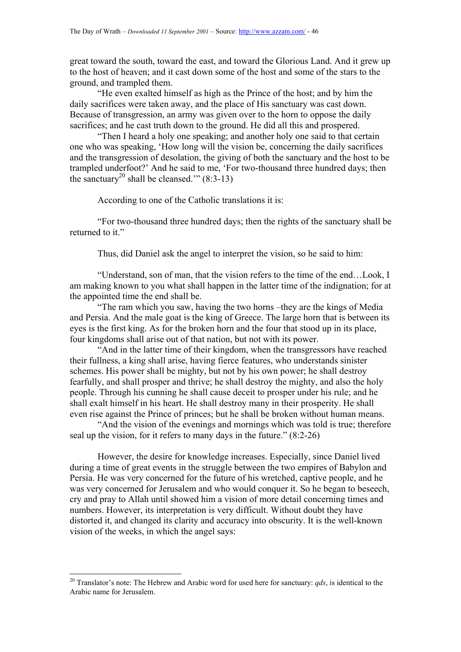great toward the south, toward the east, and toward the Glorious Land. And it grew up to the host of heaven; and it cast down some of the host and some of the stars to the ground, and trampled them.

"He even exalted himself as high as the Prince of the host; and by him the daily sacrifices were taken away, and the place of His sanctuary was cast down. Because of transgression, an army was given over to the horn to oppose the daily sacrifices; and he cast truth down to the ground. He did all this and prospered.

"Then I heard a holy one speaking; and another holy one said to that certain one who was speaking, 'How long will the vision be, concerning the daily sacrifices and the transgression of desolation, the giving of both the sanctuary and the host to be trampled underfoot?' And he said to me, 'For two-thousand three hundred days; then the sanctuary<sup>20</sup> shall be cleansed.'"  $(8:3-13)$ 

According to one of the Catholic translations it is:

"For two-thousand three hundred days; then the rights of the sanctuary shall be returned to it."

Thus, did Daniel ask the angel to interpret the vision, so he said to him:

"Understand, son of man, that the vision refers to the time of the end…Look, I am making known to you what shall happen in the latter time of the indignation; for at the appointed time the end shall be.

"The ram which you saw, having the two horns –they are the kings of Media and Persia. And the male goat is the king of Greece. The large horn that is between its eyes is the first king. As for the broken horn and the four that stood up in its place, four kingdoms shall arise out of that nation, but not with its power.

"And in the latter time of their kingdom, when the transgressors have reached their fullness, a king shall arise, having fierce features, who understands sinister schemes. His power shall be mighty, but not by his own power; he shall destroy fearfully, and shall prosper and thrive; he shall destroy the mighty, and also the holy people. Through his cunning he shall cause deceit to prosper under his rule; and he shall exalt himself in his heart. He shall destroy many in their prosperity. He shall even rise against the Prince of princes; but he shall be broken without human means.

"And the vision of the evenings and mornings which was told is true; therefore seal up the vision, for it refers to many days in the future." (8:2-26)

However, the desire for knowledge increases. Especially, since Daniel lived during a time of great events in the struggle between the two empires of Babylon and Persia. He was very concerned for the future of his wretched, captive people, and he was very concerned for Jerusalem and who would conquer it. So he began to beseech, cry and pray to Allah until showed him a vision of more detail concerning times and numbers. However, its interpretation is very difficult. Without doubt they have distorted it, and changed its clarity and accuracy into obscurity. It is the well-known vision of the weeks, in which the angel says:

<span id="page-45-0"></span><sup>20</sup> Translator's note: The Hebrew and Arabic word for used here for sanctuary: *qds*, is identical to the Arabic name for Jerusalem.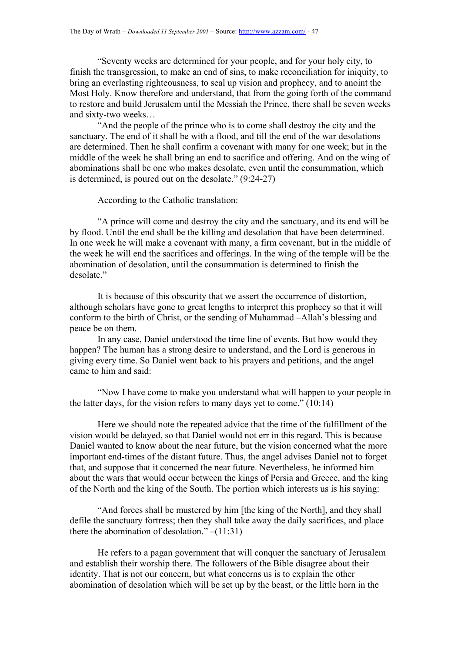"Seventy weeks are determined for your people, and for your holy city, to finish the transgression, to make an end of sins, to make reconciliation for iniquity, to bring an everlasting righteousness, to seal up vision and prophecy, and to anoint the Most Holy. Know therefore and understand, that from the going forth of the command to restore and build Jerusalem until the Messiah the Prince, there shall be seven weeks and sixty-two weeks…

"And the people of the prince who is to come shall destroy the city and the sanctuary. The end of it shall be with a flood, and till the end of the war desolations are determined. Then he shall confirm a covenant with many for one week; but in the middle of the week he shall bring an end to sacrifice and offering. And on the wing of abominations shall be one who makes desolate, even until the consummation, which is determined, is poured out on the desolate." (9:24-27)

According to the Catholic translation:

"A prince will come and destroy the city and the sanctuary, and its end will be by flood. Until the end shall be the killing and desolation that have been determined. In one week he will make a covenant with many, a firm covenant, but in the middle of the week he will end the sacrifices and offerings. In the wing of the temple will be the abomination of desolation, until the consummation is determined to finish the desolate."

It is because of this obscurity that we assert the occurrence of distortion, although scholars have gone to great lengths to interpret this prophecy so that it will conform to the birth of Christ, or the sending of Muhammad –Allah's blessing and peace be on them.

In any case, Daniel understood the time line of events. But how would they happen? The human has a strong desire to understand, and the Lord is generous in giving every time. So Daniel went back to his prayers and petitions, and the angel came to him and said:

"Now I have come to make you understand what will happen to your people in the latter days, for the vision refers to many days yet to come." (10:14)

Here we should note the repeated advice that the time of the fulfillment of the vision would be delayed, so that Daniel would not err in this regard. This is because Daniel wanted to know about the near future, but the vision concerned what the more important end-times of the distant future. Thus, the angel advises Daniel not to forget that, and suppose that it concerned the near future. Nevertheless, he informed him about the wars that would occur between the kings of Persia and Greece, and the king of the North and the king of the South. The portion which interests us is his saying:

"And forces shall be mustered by him [the king of the North], and they shall defile the sanctuary fortress; then they shall take away the daily sacrifices, and place there the abomination of desolation." $-(11:31)$ 

He refers to a pagan government that will conquer the sanctuary of Jerusalem and establish their worship there. The followers of the Bible disagree about their identity. That is not our concern, but what concerns us is to explain the other abomination of desolation which will be set up by the beast, or the little horn in the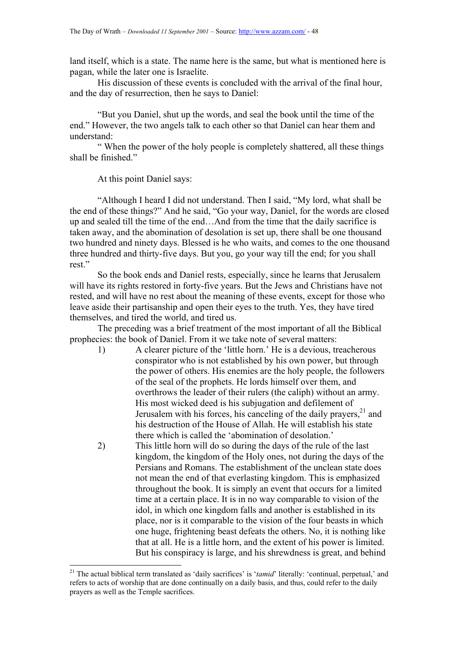land itself, which is a state. The name here is the same, but what is mentioned here is pagan, while the later one is Israelite.

His discussion of these events is concluded with the arrival of the final hour, and the day of resurrection, then he says to Daniel:

"But you Daniel, shut up the words, and seal the book until the time of the end." However, the two angels talk to each other so that Daniel can hear them and understand:

" When the power of the holy people is completely shattered, all these things shall be finished."

#### At this point Daniel says:

 $\overline{a}$ 

"Although I heard I did not understand. Then I said, "My lord, what shall be the end of these things?" And he said, "Go your way, Daniel, for the words are closed up and sealed till the time of the end…And from the time that the daily sacrifice is taken away, and the abomination of desolation is set up, there shall be one thousand two hundred and ninety days. Blessed is he who waits, and comes to the one thousand three hundred and thirty-five days. But you, go your way till the end; for you shall rest."

So the book ends and Daniel rests, especially, since he learns that Jerusalem will have its rights restored in forty-five years. But the Jews and Christians have not rested, and will have no rest about the meaning of these events, except for those who leave aside their partisanship and open their eyes to the truth. Yes, they have tired themselves, and tired the world, and tired us.

The preceding was a brief treatment of the most important of all the Biblical prophecies: the book of Daniel. From it we take note of several matters:

- 1) A clearer picture of the 'little horn.' He is a devious, treacherous conspirator who is not established by his own power, but through the power of others. His enemies are the holy people, the followers of the seal of the prophets. He lords himself over them, and overthrows the leader of their rulers (the caliph) without an army. His most wicked deed is his subjugation and defilement of Jerusalem with his forces, his canceling of the daily prayers, $21$  and his destruction of the House of Allah. He will establish his state there which is called the 'abomination of desolation.'
- 2) This little horn will do so during the days of the rule of the last kingdom, the kingdom of the Holy ones, not during the days of the Persians and Romans. The establishment of the unclean state does not mean the end of that everlasting kingdom. This is emphasized throughout the book. It is simply an event that occurs for a limited time at a certain place. It is in no way comparable to vision of the idol, in which one kingdom falls and another is established in its place, nor is it comparable to the vision of the four beasts in which one huge, frightening beast defeats the others. No, it is nothing like that at all. He is a little horn, and the extent of his power is limited. But his conspiracy is large, and his shrewdness is great, and behind

<span id="page-47-0"></span><sup>21</sup> The actual biblical term translated as 'daily sacrifices' is '*tamid*' literally: 'continual, perpetual,' and refers to acts of worship that are done continually on a daily basis, and thus, could refer to the daily prayers as well as the Temple sacrifices.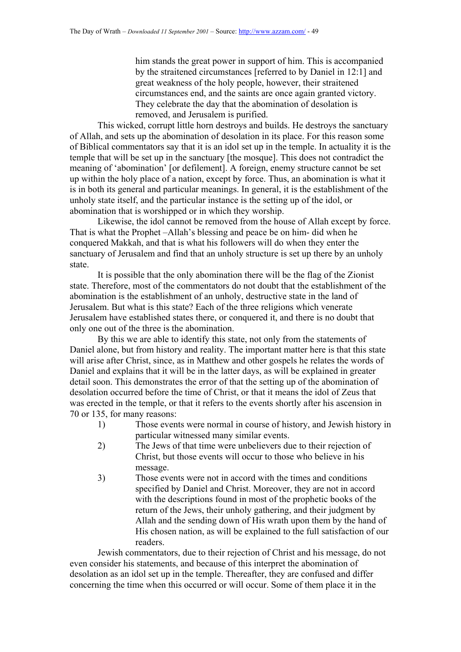him stands the great power in support of him. This is accompanied by the straitened circumstances [referred to by Daniel in 12:1] and great weakness of the holy people, however, their straitened circumstances end, and the saints are once again granted victory. They celebrate the day that the abomination of desolation is removed, and Jerusalem is purified.

This wicked, corrupt little horn destroys and builds. He destroys the sanctuary of Allah, and sets up the abomination of desolation in its place. For this reason some of Biblical commentators say that it is an idol set up in the temple. In actuality it is the temple that will be set up in the sanctuary [the mosque]. This does not contradict the meaning of 'abomination' [or defilement]. A foreign, enemy structure cannot be set up within the holy place of a nation, except by force. Thus, an abomination is what it is in both its general and particular meanings. In general, it is the establishment of the unholy state itself, and the particular instance is the setting up of the idol, or abomination that is worshipped or in which they worship.

Likewise, the idol cannot be removed from the house of Allah except by force. That is what the Prophet –Allah's blessing and peace be on him- did when he conquered Makkah, and that is what his followers will do when they enter the sanctuary of Jerusalem and find that an unholy structure is set up there by an unholy state.

It is possible that the only abomination there will be the flag of the Zionist state. Therefore, most of the commentators do not doubt that the establishment of the abomination is the establishment of an unholy, destructive state in the land of Jerusalem. But what is this state? Each of the three religions which venerate Jerusalem have established states there, or conquered it, and there is no doubt that only one out of the three is the abomination.

By this we are able to identify this state, not only from the statements of Daniel alone, but from history and reality. The important matter here is that this state will arise after Christ, since, as in Matthew and other gospels he relates the words of Daniel and explains that it will be in the latter days, as will be explained in greater detail soon. This demonstrates the error of that the setting up of the abomination of desolation occurred before the time of Christ, or that it means the idol of Zeus that was erected in the temple, or that it refers to the events shortly after his ascension in 70 or 135, for many reasons:

- 1) Those events were normal in course of history, and Jewish history in particular witnessed many similar events.
- 2) The Jews of that time were unbelievers due to their rejection of Christ, but those events will occur to those who believe in his message.
- 3) Those events were not in accord with the times and conditions specified by Daniel and Christ. Moreover, they are not in accord with the descriptions found in most of the prophetic books of the return of the Jews, their unholy gathering, and their judgment by Allah and the sending down of His wrath upon them by the hand of His chosen nation, as will be explained to the full satisfaction of our readers.

Jewish commentators, due to their rejection of Christ and his message, do not even consider his statements, and because of this interpret the abomination of desolation as an idol set up in the temple. Thereafter, they are confused and differ concerning the time when this occurred or will occur. Some of them place it in the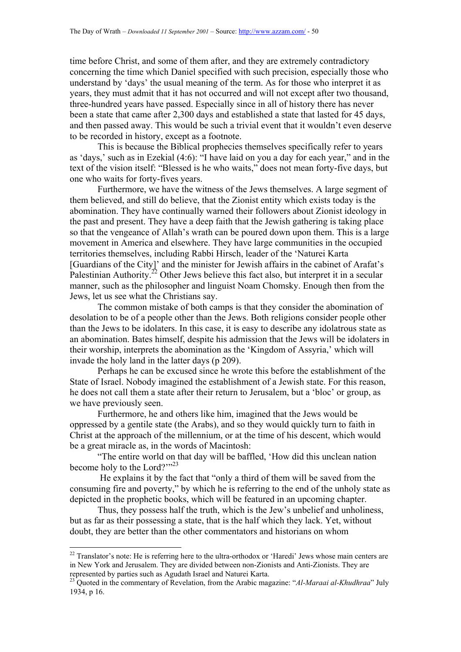time before Christ, and some of them after, and they are extremely contradictory concerning the time which Daniel specified with such precision, especially those who understand by 'days' the usual meaning of the term. As for those who interpret it as years, they must admit that it has not occurred and will not except after two thousand, three-hundred years have passed. Especially since in all of history there has never been a state that came after 2,300 days and established a state that lasted for 45 days, and then passed away. This would be such a trivial event that it wouldn't even deserve to be recorded in history, except as a footnote.

This is because the Biblical prophecies themselves specifically refer to years as 'days,' such as in Ezekial (4:6): "I have laid on you a day for each year," and in the text of the vision itself: "Blessed is he who waits," does not mean forty-five days, but one who waits for forty-fives years.

Furthermore, we have the witness of the Jews themselves. A large segment of them believed, and still do believe, that the Zionist entity which exists today is the abomination. They have continually warned their followers about Zionist ideology in the past and present. They have a deep faith that the Jewish gathering is taking place so that the vengeance of Allah's wrath can be poured down upon them. This is a large movement in America and elsewhere. They have large communities in the occupied territories themselves, including Rabbi Hirsch, leader of the 'Naturei Karta [Guardians of the City]' and the minister for Jewish affairs in the cabinet of Arafat's Palestinian Authority.<sup>22</sup> Other Jews believe this fact also, but interpret it in a secular manner, such as the philosopher and linguist Noam Chomsky. Enough then from the Jews, let us see what the Christians say.

The common mistake of both camps is that they consider the abomination of desolation to be of a people other than the Jews. Both religions consider people other than the Jews to be idolaters. In this case, it is easy to describe any idolatrous state as an abomination. Bates himself, despite his admission that the Jews will be idolaters in their worship, interprets the abomination as the 'Kingdom of Assyria,' which will invade the holy land in the latter days (p 209).

Perhaps he can be excused since he wrote this before the establishment of the State of Israel. Nobody imagined the establishment of a Jewish state. For this reason, he does not call them a state after their return to Jerusalem, but a 'bloc' or group, as we have previously seen.

Furthermore, he and others like him, imagined that the Jews would be oppressed by a gentile state (the Arabs), and so they would quickly turn to faith in Christ at the approach of the millennium, or at the time of his descent, which would be a great miracle as, in the words of Macintosh:

"The entire world on that day will be baffled, 'How did this unclean nation become holy to the Lord?"<sup>[23](#page-49-1)</sup>

 He explains it by the fact that "only a third of them will be saved from the consuming fire and poverty," by which he is referring to the end of the unholy state as depicted in the prophetic books, which will be featured in an upcoming chapter.

Thus, they possess half the truth, which is the Jew's unbelief and unholiness, but as far as their possessing a state, that is the half which they lack. Yet, without doubt, they are better than the other commentators and historians on whom

<span id="page-49-0"></span><sup>&</sup>lt;sup>22</sup> Translator's note: He is referring here to the ultra-orthodox or 'Haredi' Jews whose main centers are in New York and Jerusalem. They are divided between non-Zionists and Anti-Zionists. They are represented by parties such as Agudath Israel and Naturei Karta.

<span id="page-49-1"></span><sup>&</sup>lt;sup>23</sup> Quoted in the commentary of Revelation, from the Arabic magazine: "*Al-Maraai al-Khudhraa*" July 1934, p 16.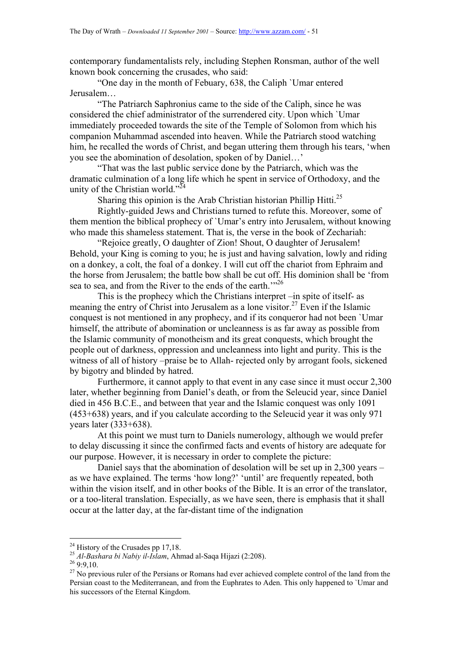contemporary fundamentalists rely, including Stephen Ronsman, author of the well known book concerning the crusades, who said:

"One day in the month of Febuary, 638, the Caliph `Umar entered Jerusalem…

"The Patriarch Saphronius came to the side of the Caliph, since he was considered the chief administrator of the surrendered city. Upon which `Umar immediately proceeded towards the site of the Temple of Solomon from which his companion Muhammad ascended into heaven. While the Patriarch stood watching him, he recalled the words of Christ, and began uttering them through his tears, 'when you see the abomination of desolation, spoken of by Daniel…'

"That was the last public service done by the Patriarch, which was the dramatic culmination of a long life which he spent in service of Orthodoxy, and the unity of the Christian world."<sup>[24](#page-50-0)</sup>

Sharing this opinion is the Arab Christian historian Phillip Hitti.<sup>25</sup>

Rightly-guided Jews and Christians turned to refute this. Moreover, some of them mention the biblical prophecy of `Umar's entry into Jerusalem, without knowing who made this shameless statement. That is, the verse in the book of Zechariah:

"Rejoice greatly, O daughter of Zion! Shout, O daughter of Jerusalem! Behold, your King is coming to you; he is just and having salvation, lowly and riding on a donkey, a colt, the foal of a donkey. I will cut off the chariot from Ephraim and the horse from Jerusalem; the battle bow shall be cut off. His dominion shall be 'from sea to sea, and from the River to the ends of the earth. $1^{1/26}$  $1^{1/26}$  $1^{1/26}$ 

This is the prophecy which the Christians interpret –in spite of itself- as meaning the entry of Christ into Jerusalem as a lone visitor.<sup>27</sup> Even if the Islamic conquest is not mentioned in any prophecy, and if its conqueror had not been `Umar himself, the attribute of abomination or uncleanness is as far away as possible from the Islamic community of monotheism and its great conquests, which brought the people out of darkness, oppression and uncleanness into light and purity. This is the witness of all of history –praise be to Allah- rejected only by arrogant fools, sickened by bigotry and blinded by hatred.

Furthermore, it cannot apply to that event in any case since it must occur 2,300 later, whether beginning from Daniel's death, or from the Seleucid year, since Daniel died in 456 B.C.E., and between that year and the Islamic conquest was only 1091 (453+638) years, and if you calculate according to the Seleucid year it was only 971 years later (333+638).

At this point we must turn to Daniels numerology, although we would prefer to delay discussing it since the confirmed facts and events of history are adequate for our purpose. However, it is necessary in order to complete the picture:

Daniel says that the abomination of desolation will be set up in 2,300 years – as we have explained. The terms 'how long?' 'until' are frequently repeated, both within the vision itself, and in other books of the Bible. It is an error of the translator, or a too-literal translation. Especially, as we have seen, there is emphasis that it shall occur at the latter day, at the far-distant time of the indignation

<span id="page-50-0"></span> $24$  History of the Crusades pp 17,18.

<span id="page-50-1"></span><sup>25</sup> *Al-Bashara bi Nabiy il-Islam*, Ahmad al-Saqa Hijazi (2:208). 26 9:9,10.

<span id="page-50-2"></span>

<span id="page-50-3"></span> $27$  No previous ruler of the Persians or Romans had ever achieved complete control of the land from the Persian coast to the Mediterranean, and from the Euphrates to Aden. This only happened to `Umar and his successors of the Eternal Kingdom.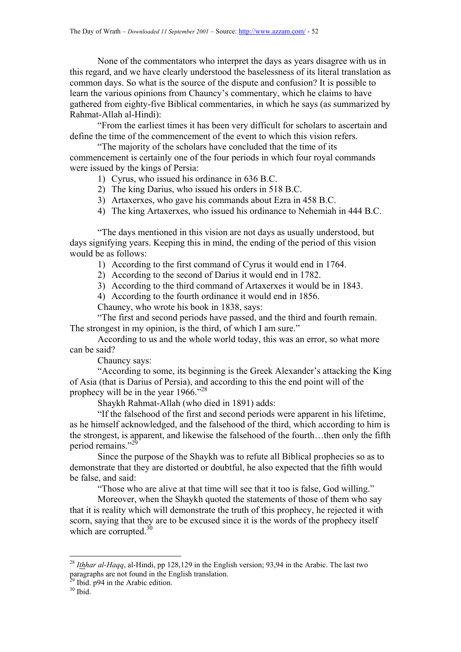None of the commentators who interpret the days as years disagree with us in this regard, and we have clearly understood the baselessness of its literal translation as common days. So what is the source of the dispute and confusion? It is possible to learn the various opinions from Chauncy's commentary, which he claims to have gathered from eighty-five Biblical commentaries, in which he says (as summarized by Rahmat-Allah al-Hindi):

"From the earliest times it has been very difficult for scholars to ascertain and define the time of the commencement of the event to which this vision refers.

"The majority of the scholars have concluded that the time of its commencement is certainly one of the four periods in which four royal commands were issued by the kings of Persia:

1) Cyrus, who issued his ordinance in 636 B.C.

- 2) The king Darius, who issued his orders in 518 B.C.
- 3) Artaxerxes, who gave his commands about Ezra in 458 B.C.
- 4) The king Artaxerxes, who issued his ordinance to Nehemiah in 444 B.C.

"The days mentioned in this vision are not days as usually understood, but days signifying years. Keeping this in mind, the ending of the period of this vision would be as follows:

1) According to the first command of Cyrus it would end in 1764.

2) According to the second of Darius it would end in 1782.

3) According to the third command of Artaxerxes it would be in 1843.

4) According to the fourth ordinance it would end in 1856.

Chauncy, who wrote his book in 1838, says:

"The first and second periods have passed, and the third and fourth remain. The strongest in my opinion, is the third, of which I am sure."

According to us and the whole world today, this was an error, so what more can be said?

Chauncy says:

"According to some, its beginning is the Greek Alexander's attacking the King of Asia (that is Darius of Persia), and according to this the end point will of the prophecy will be in the year 1966."<sup>[28](#page-51-0)</sup>

Shaykh Rahmat-Allah (who died in 1891) adds:

"If the falsehood of the first and second periods were apparent in his lifetime, as he himself acknowledged, and the falsehood of the third, which according to him is the strongest, is apparent, and likewise the falsehood of the fourth…then only the fifth period remains."<sup>2</sup>

Since the purpose of the Shaykh was to refute all Biblical prophecies so as to demonstrate that they are distorted or doubtful, he also expected that the fifth would be false, and said:

"Those who are alive at that time will see that it too is false, God willing."

Moreover, when the Shaykh quoted the statements of those of them who say that it is reality which will demonstrate the truth of this prophecy, he rejected it with scorn, saying that they are to be excused since it is the words of the prophecy itself which are corrupted.<sup>30</sup>

<span id="page-51-0"></span><sup>28</sup> *Ithhar al-Haqq*, al-Hindi, pp 128,129 in the English version; 93,94 in the Arabic. The last two paragraphs are not found in the English translation.

<span id="page-51-1"></span> $\overrightarrow{p}$  Ibid. p94 in the Arabic edition.

<span id="page-51-2"></span> $^{30}$  Ibid.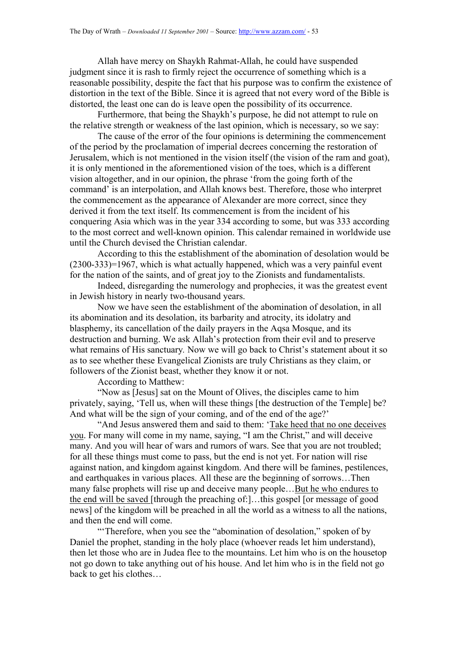Allah have mercy on Shaykh Rahmat-Allah, he could have suspended judgment since it is rash to firmly reject the occurrence of something which is a reasonable possibility, despite the fact that his purpose was to confirm the existence of distortion in the text of the Bible. Since it is agreed that not every word of the Bible is distorted, the least one can do is leave open the possibility of its occurrence.

Furthermore, that being the Shaykh's purpose, he did not attempt to rule on the relative strength or weakness of the last opinion, which is necessary, so we say:

The cause of the error of the four opinions is determining the commencement of the period by the proclamation of imperial decrees concerning the restoration of Jerusalem, which is not mentioned in the vision itself (the vision of the ram and goat), it is only mentioned in the aforementioned vision of the toes, which is a different vision altogether, and in our opinion, the phrase 'from the going forth of the command' is an interpolation, and Allah knows best. Therefore, those who interpret the commencement as the appearance of Alexander are more correct, since they derived it from the text itself. Its commencement is from the incident of his conquering Asia which was in the year 334 according to some, but was 333 according to the most correct and well-known opinion. This calendar remained in worldwide use until the Church devised the Christian calendar.

According to this the establishment of the abomination of desolation would be (2300-333)=1967, which is what actually happened, which was a very painful event for the nation of the saints, and of great joy to the Zionists and fundamentalists.

Indeed, disregarding the numerology and prophecies, it was the greatest event in Jewish history in nearly two-thousand years.

Now we have seen the establishment of the abomination of desolation, in all its abomination and its desolation, its barbarity and atrocity, its idolatry and blasphemy, its cancellation of the daily prayers in the Aqsa Mosque, and its destruction and burning. We ask Allah's protection from their evil and to preserve what remains of His sanctuary*.* Now we will go back to Christ's statement about it so as to see whether these Evangelical Zionists are truly Christians as they claim, or followers of the Zionist beast, whether they know it or not.

According to Matthew:

"Now as [Jesus] sat on the Mount of Olives, the disciples came to him privately, saying, 'Tell us, when will these things [the destruction of the Temple] be? And what will be the sign of your coming, and of the end of the age?'

"And Jesus answered them and said to them: 'Take heed that no one deceives you. For many will come in my name, saying, "I am the Christ," and will deceive many. And you will hear of wars and rumors of wars. See that you are not troubled; for all these things must come to pass, but the end is not yet. For nation will rise against nation, and kingdom against kingdom. And there will be famines, pestilences, and earthquakes in various places. All these are the beginning of sorrows…Then many false prophets will rise up and deceive many people…But he who endures to the end will be saved [through the preaching of:]…this gospel [or message of good news] of the kingdom will be preached in all the world as a witness to all the nations, and then the end will come.

"Therefore, when you see the "abomination of desolation," spoken of by Daniel the prophet, standing in the holy place (whoever reads let him understand), then let those who are in Judea flee to the mountains. Let him who is on the housetop not go down to take anything out of his house. And let him who is in the field not go back to get his clothes…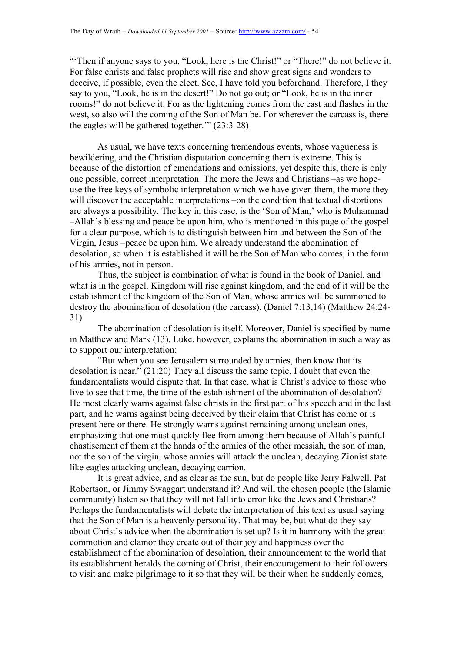"Then if anyone says to you, "Look, here is the Christ!" or "There!" do not believe it. For false christs and false prophets will rise and show great signs and wonders to deceive, if possible, even the elect. See, I have told you beforehand. Therefore, I they say to you, "Look, he is in the desert!" Do not go out; or "Look, he is in the inner rooms!" do not believe it. For as the lightening comes from the east and flashes in the west, so also will the coming of the Son of Man be. For wherever the carcass is, there the eagles will be gathered together.'" (23:3-28)

As usual, we have texts concerning tremendous events, whose vagueness is bewildering, and the Christian disputation concerning them is extreme. This is because of the distortion of emendations and omissions, yet despite this, there is only one possible, correct interpretation. The more the Jews and Christians –as we hopeuse the free keys of symbolic interpretation which we have given them, the more they will discover the acceptable interpretations –on the condition that textual distortions are always a possibility. The key in this case, is the 'Son of Man,' who is Muhammad –Allah's blessing and peace be upon him, who is mentioned in this page of the gospel for a clear purpose, which is to distinguish between him and between the Son of the Virgin, Jesus –peace be upon him. We already understand the abomination of desolation, so when it is established it will be the Son of Man who comes, in the form of his armies, not in person.

Thus, the subject is combination of what is found in the book of Daniel, and what is in the gospel. Kingdom will rise against kingdom, and the end of it will be the establishment of the kingdom of the Son of Man, whose armies will be summoned to destroy the abomination of desolation (the carcass). (Daniel 7:13,14) (Matthew 24:24- 31)

The abomination of desolation is itself. Moreover, Daniel is specified by name in Matthew and Mark (13). Luke, however, explains the abomination in such a way as to support our interpretation:

"But when you see Jerusalem surrounded by armies, then know that its desolation is near." (21:20) They all discuss the same topic, I doubt that even the fundamentalists would dispute that. In that case, what is Christ's advice to those who live to see that time, the time of the establishment of the abomination of desolation? He most clearly warns against false christs in the first part of his speech and in the last part, and he warns against being deceived by their claim that Christ has come or is present here or there. He strongly warns against remaining among unclean ones, emphasizing that one must quickly flee from among them because of Allah's painful chastisement of them at the hands of the armies of the other messiah, the son of man, not the son of the virgin, whose armies will attack the unclean, decaying Zionist state like eagles attacking unclean, decaying carrion.

It is great advice, and as clear as the sun, but do people like Jerry Falwell, Pat Robertson, or Jimmy Swaggart understand it? And will the chosen people (the Islamic community) listen so that they will not fall into error like the Jews and Christians? Perhaps the fundamentalists will debate the interpretation of this text as usual saying that the Son of Man is a heavenly personality. That may be, but what do they say about Christ's advice when the abomination is set up? Is it in harmony with the great commotion and clamor they create out of their joy and happiness over the establishment of the abomination of desolation, their announcement to the world that its establishment heralds the coming of Christ, their encouragement to their followers to visit and make pilgrimage to it so that they will be their when he suddenly comes,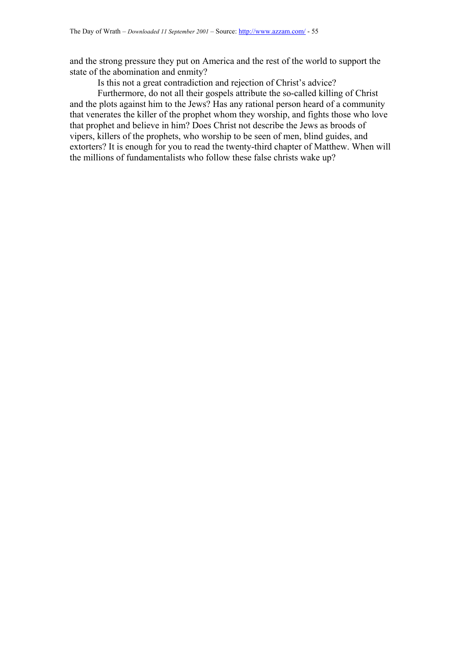and the strong pressure they put on America and the rest of the world to support the state of the abomination and enmity?

Is this not a great contradiction and rejection of Christ's advice?

Furthermore, do not all their gospels attribute the so-called killing of Christ and the plots against him to the Jews? Has any rational person heard of a community that venerates the killer of the prophet whom they worship, and fights those who love that prophet and believe in him? Does Christ not describe the Jews as broods of vipers, killers of the prophets, who worship to be seen of men, blind guides, and extorters? It is enough for you to read the twenty-third chapter of Matthew. When will the millions of fundamentalists who follow these false christs wake up?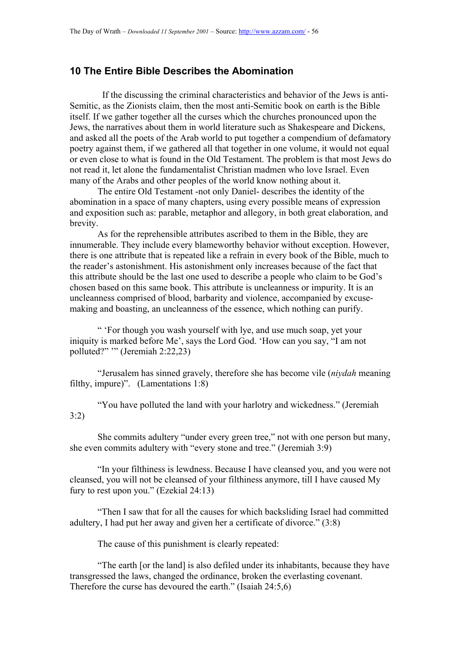### **10 The Entire Bible Describes the Abomination**

 If the discussing the criminal characteristics and behavior of the Jews is anti-Semitic, as the Zionists claim, then the most anti-Semitic book on earth is the Bible itself. If we gather together all the curses which the churches pronounced upon the Jews, the narratives about them in world literature such as Shakespeare and Dickens, and asked all the poets of the Arab world to put together a compendium of defamatory poetry against them, if we gathered all that together in one volume, it would not equal or even close to what is found in the Old Testament. The problem is that most Jews do not read it, let alone the fundamentalist Christian madmen who love Israel. Even many of the Arabs and other peoples of the world know nothing about it.

The entire Old Testament -not only Daniel- describes the identity of the abomination in a space of many chapters, using every possible means of expression and exposition such as: parable, metaphor and allegory, in both great elaboration, and brevity.

As for the reprehensible attributes ascribed to them in the Bible, they are innumerable. They include every blameworthy behavior without exception. However, there is one attribute that is repeated like a refrain in every book of the Bible, much to the reader's astonishment. His astonishment only increases because of the fact that this attribute should be the last one used to describe a people who claim to be God's chosen based on this same book. This attribute is uncleanness or impurity. It is an uncleanness comprised of blood, barbarity and violence, accompanied by excusemaking and boasting, an uncleanness of the essence, which nothing can purify.

" 'For though you wash yourself with lye, and use much soap, yet your iniquity is marked before Me', says the Lord God. 'How can you say, "I am not polluted?" '" (Jeremiah 2:22,23)

"Jerusalem has sinned gravely, therefore she has become vile (*niydah* meaning filthy, impure)". (Lamentations 1:8)

"You have polluted the land with your harlotry and wickedness." (Jeremiah 3:2)

She commits adultery "under every green tree," not with one person but many, she even commits adultery with "every stone and tree." (Jeremiah 3:9)

"In your filthiness is lewdness. Because I have cleansed you, and you were not cleansed, you will not be cleansed of your filthiness anymore, till I have caused My fury to rest upon you." (Ezekial 24:13)

"Then I saw that for all the causes for which backsliding Israel had committed adultery, I had put her away and given her a certificate of divorce." (3:8)

The cause of this punishment is clearly repeated:

"The earth [or the land] is also defiled under its inhabitants, because they have transgressed the laws, changed the ordinance, broken the everlasting covenant. Therefore the curse has devoured the earth." (Isaiah 24:5,6)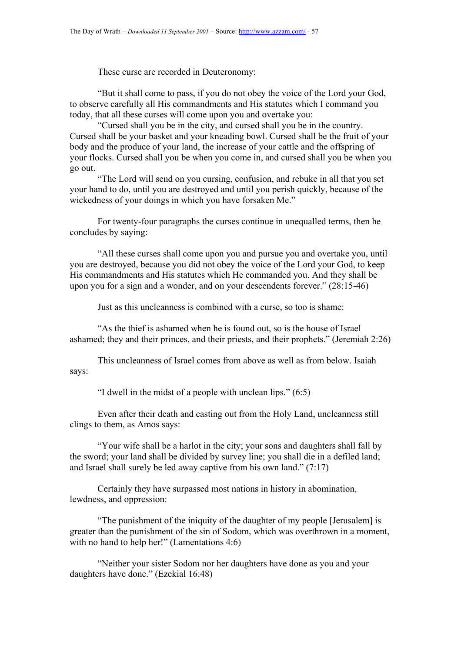These curse are recorded in Deuteronomy:

"But it shall come to pass, if you do not obey the voice of the Lord your God, to observe carefully all His commandments and His statutes which I command you today, that all these curses will come upon you and overtake you:

"Cursed shall you be in the city, and cursed shall you be in the country. Cursed shall be your basket and your kneading bowl. Cursed shall be the fruit of your body and the produce of your land, the increase of your cattle and the offspring of your flocks. Cursed shall you be when you come in, and cursed shall you be when you go out.

"The Lord will send on you cursing, confusion, and rebuke in all that you set your hand to do, until you are destroyed and until you perish quickly, because of the wickedness of your doings in which you have forsaken Me."

For twenty-four paragraphs the curses continue in unequalled terms, then he concludes by saying:

"All these curses shall come upon you and pursue you and overtake you, until you are destroyed, because you did not obey the voice of the Lord your God, to keep His commandments and His statutes which He commanded you. And they shall be upon you for a sign and a wonder, and on your descendents forever." (28:15-46)

Just as this uncleanness is combined with a curse, so too is shame:

"As the thief is ashamed when he is found out, so is the house of Israel ashamed; they and their princes, and their priests, and their prophets." (Jeremiah 2:26)

This uncleanness of Israel comes from above as well as from below. Isaiah says:

"I dwell in the midst of a people with unclean lips." (6:5)

Even after their death and casting out from the Holy Land, uncleanness still clings to them, as Amos says:

"Your wife shall be a harlot in the city; your sons and daughters shall fall by the sword; your land shall be divided by survey line; you shall die in a defiled land; and Israel shall surely be led away captive from his own land." (7:17)

Certainly they have surpassed most nations in history in abomination, lewdness, and oppression:

"The punishment of the iniquity of the daughter of my people [Jerusalem] is greater than the punishment of the sin of Sodom, which was overthrown in a moment, with no hand to help her!" (Lamentations 4:6)

"Neither your sister Sodom nor her daughters have done as you and your daughters have done." (Ezekial 16:48)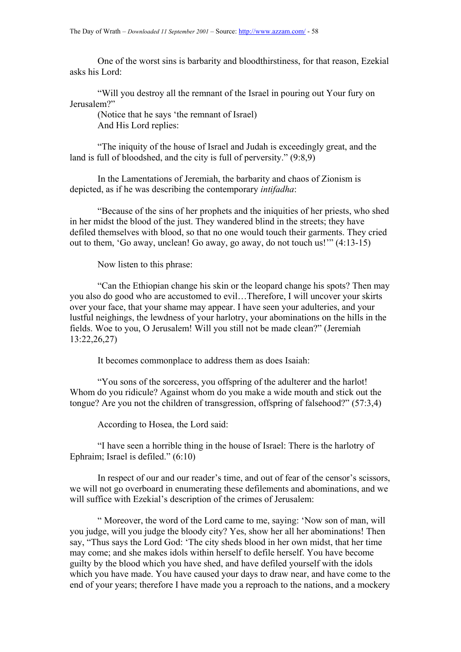One of the worst sins is barbarity and bloodthirstiness, for that reason, Ezekial asks his Lord:

"Will you destroy all the remnant of the Israel in pouring out Your fury on Jerusalem?"

(Notice that he says 'the remnant of Israel) And His Lord replies:

"The iniquity of the house of Israel and Judah is exceedingly great, and the land is full of bloodshed, and the city is full of perversity." (9:8,9)

In the Lamentations of Jeremiah, the barbarity and chaos of Zionism is depicted, as if he was describing the contemporary *intifadha*:

"Because of the sins of her prophets and the iniquities of her priests, who shed in her midst the blood of the just. They wandered blind in the streets; they have defiled themselves with blood, so that no one would touch their garments. They cried out to them, 'Go away, unclean! Go away, go away, do not touch us!'" (4:13-15)

Now listen to this phrase:

"Can the Ethiopian change his skin or the leopard change his spots? Then may you also do good who are accustomed to evil…Therefore, I will uncover your skirts over your face, that your shame may appear. I have seen your adulteries, and your lustful neighings, the lewdness of your harlotry, your abominations on the hills in the fields. Woe to you, O Jerusalem! Will you still not be made clean?" (Jeremiah 13:22,26,27)

It becomes commonplace to address them as does Isaiah:

"You sons of the sorceress, you offspring of the adulterer and the harlot! Whom do you ridicule? Against whom do you make a wide mouth and stick out the tongue? Are you not the children of transgression, offspring of falsehood?" (57:3,4)

According to Hosea, the Lord said:

"I have seen a horrible thing in the house of Israel: There is the harlotry of Ephraim; Israel is defiled." (6:10)

In respect of our and our reader's time, and out of fear of the censor's scissors, we will not go overboard in enumerating these defilements and abominations, and we will suffice with Ezekial's description of the crimes of Jerusalem:

" Moreover, the word of the Lord came to me, saying: 'Now son of man, will you judge, will you judge the bloody city? Yes, show her all her abominations! Then say, "Thus says the Lord God: 'The city sheds blood in her own midst, that her time may come; and she makes idols within herself to defile herself. You have become guilty by the blood which you have shed, and have defiled yourself with the idols which you have made. You have caused your days to draw near, and have come to the end of your years; therefore I have made you a reproach to the nations, and a mockery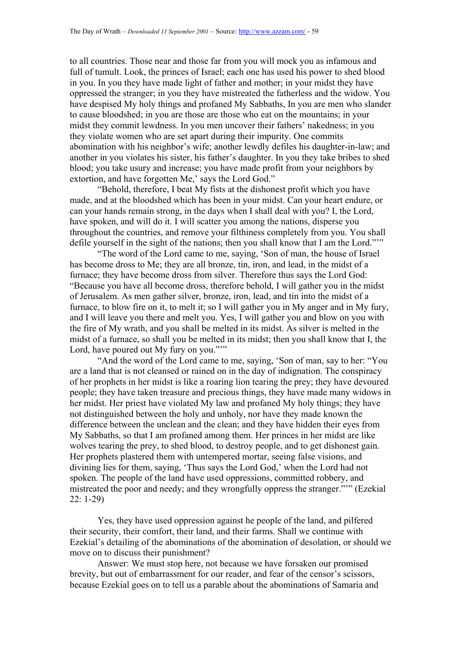to all countries. Those near and those far from you will mock you as infamous and full of tumult. Look, the princes of Israel; each one has used his power to shed blood in you. In you they have made light of father and mother; in your midst they have oppressed the stranger; in you they have mistreated the fatherless and the widow. You have despised My holy things and profaned My Sabbaths, In you are men who slander to cause bloodshed; in you are those are those who eat on the mountains; in your midst they commit lewdness. In you men uncover their fathers' nakedness; in you they violate women who are set apart during their impurity. One commits abomination with his neighbor's wife; another lewdly defiles his daughter-in-law; and another in you violates his sister, his father's daughter. In you they take bribes to shed blood; you take usury and increase; you have made profit from your neighbors by extortion, and have forgotten Me,' says the Lord God."

"Behold, therefore, I beat My fists at the dishonest profit which you have made, and at the bloodshed which has been in your midst. Can your heart endure, or can your hands remain strong, in the days when I shall deal with you? I, the Lord, have spoken, and will do it. I will scatter you among the nations, disperse you throughout the countries, and remove your filthiness completely from you. You shall defile yourself in the sight of the nations; then you shall know that I am the Lord."""

"The word of the Lord came to me, saying, 'Son of man, the house of Israel has become dross to Me; they are all bronze, tin, iron, and lead, in the midst of a furnace; they have become dross from silver. Therefore thus says the Lord God: "Because you have all become dross, therefore behold, I will gather you in the midst of Jerusalem. As men gather silver, bronze, iron, lead, and tin into the midst of a furnace, to blow fire on it, to melt it; so I will gather you in My anger and in My fury, and I will leave you there and melt you. Yes, I will gather you and blow on you with the fire of My wrath, and you shall be melted in its midst. As silver is melted in the midst of a furnace, so shall you be melted in its midst; then you shall know that I, the Lord, have poured out My fury on you.""

"And the word of the Lord came to me, saying, 'Son of man, say to her: "You are a land that is not cleansed or rained on in the day of indignation. The conspiracy of her prophets in her midst is like a roaring lion tearing the prey; they have devoured people; they have taken treasure and precious things, they have made many widows in her midst. Her priest have violated My law and profaned My holy things; they have not distinguished between the holy and unholy, nor have they made known the difference between the unclean and the clean; and they have hidden their eyes from My Sabbaths, so that I am profaned among them. Her princes in her midst are like wolves tearing the prey, to shed blood, to destroy people, and to get dishonest gain. Her prophets plastered them with untempered mortar, seeing false visions, and divining lies for them, saying, 'Thus says the Lord God,' when the Lord had not spoken. The people of the land have used oppressions, committed robbery, and mistreated the poor and needy; and they wrongfully oppress the stranger."'" (Ezekial 22: 1-29)

Yes, they have used oppression against he people of the land, and pilfered their security, their comfort, their land, and their farms. Shall we continue with Ezekial's detailing of the abominations of the abomination of desolation, or should we move on to discuss their punishment?

Answer: We must stop here, not because we have forsaken our promised brevity, but out of embarrassment for our reader, and fear of the censor's scissors, because Ezekial goes on to tell us a parable about the abominations of Samaria and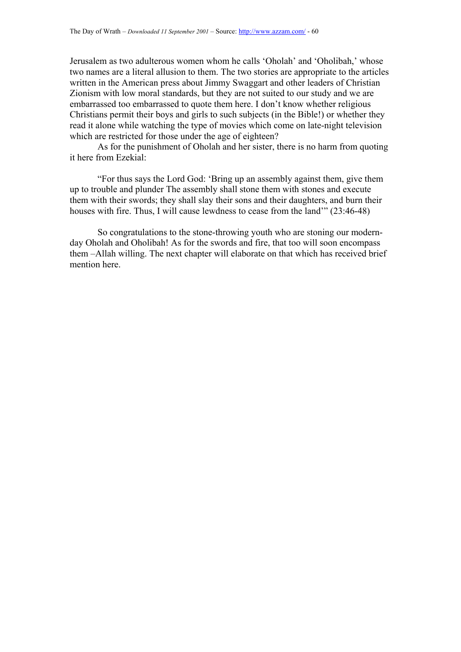Jerusalem as two adulterous women whom he calls 'Oholah' and 'Oholibah,' whose two names are a literal allusion to them. The two stories are appropriate to the articles written in the American press about Jimmy Swaggart and other leaders of Christian Zionism with low moral standards, but they are not suited to our study and we are embarrassed too embarrassed to quote them here. I don't know whether religious Christians permit their boys and girls to such subjects (in the Bible!) or whether they read it alone while watching the type of movies which come on late-night television which are restricted for those under the age of eighteen?

As for the punishment of Oholah and her sister, there is no harm from quoting it here from Ezekial:

"For thus says the Lord God: 'Bring up an assembly against them, give them up to trouble and plunder The assembly shall stone them with stones and execute them with their swords; they shall slay their sons and their daughters, and burn their houses with fire. Thus, I will cause lewdness to cease from the land'" (23:46-48)

So congratulations to the stone-throwing youth who are stoning our modernday Oholah and Oholibah! As for the swords and fire, that too will soon encompass them –Allah willing. The next chapter will elaborate on that which has received brief mention here.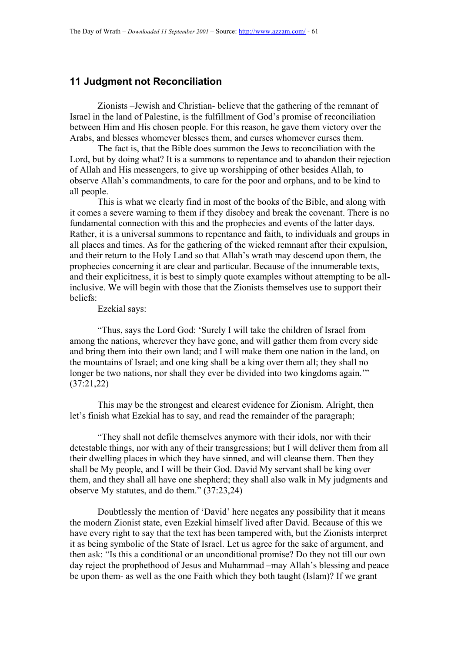## **11 Judgment not Reconciliation**

Zionists –Jewish and Christian- believe that the gathering of the remnant of Israel in the land of Palestine, is the fulfillment of God's promise of reconciliation between Him and His chosen people. For this reason, he gave them victory over the Arabs, and blesses whomever blesses them, and curses whomever curses them.

The fact is, that the Bible does summon the Jews to reconciliation with the Lord, but by doing what? It is a summons to repentance and to abandon their rejection of Allah and His messengers, to give up worshipping of other besides Allah, to observe Allah's commandments, to care for the poor and orphans, and to be kind to all people.

This is what we clearly find in most of the books of the Bible, and along with it comes a severe warning to them if they disobey and break the covenant. There is no fundamental connection with this and the prophecies and events of the latter days. Rather, it is a universal summons to repentance and faith, to individuals and groups in all places and times. As for the gathering of the wicked remnant after their expulsion, and their return to the Holy Land so that Allah's wrath may descend upon them, the prophecies concerning it are clear and particular. Because of the innumerable texts, and their explicitness, it is best to simply quote examples without attempting to be allinclusive. We will begin with those that the Zionists themselves use to support their beliefs:

Ezekial says:

"Thus, says the Lord God: 'Surely I will take the children of Israel from among the nations, wherever they have gone, and will gather them from every side and bring them into their own land; and I will make them one nation in the land, on the mountains of Israel; and one king shall be a king over them all; they shall no longer be two nations, nor shall they ever be divided into two kingdoms again." (37:21,22)

This may be the strongest and clearest evidence for Zionism. Alright, then let's finish what Ezekial has to say, and read the remainder of the paragraph;

"They shall not defile themselves anymore with their idols, nor with their detestable things, nor with any of their transgressions; but I will deliver them from all their dwelling places in which they have sinned, and will cleanse them. Then they shall be My people, and I will be their God. David My servant shall be king over them, and they shall all have one shepherd; they shall also walk in My judgments and observe My statutes, and do them." (37:23,24)

Doubtlessly the mention of 'David' here negates any possibility that it means the modern Zionist state, even Ezekial himself lived after David. Because of this we have every right to say that the text has been tampered with, but the Zionists interpret it as being symbolic of the State of Israel. Let us agree for the sake of argument, and then ask: "Is this a conditional or an unconditional promise? Do they not till our own day reject the prophethood of Jesus and Muhammad –may Allah's blessing and peace be upon them- as well as the one Faith which they both taught (Islam)? If we grant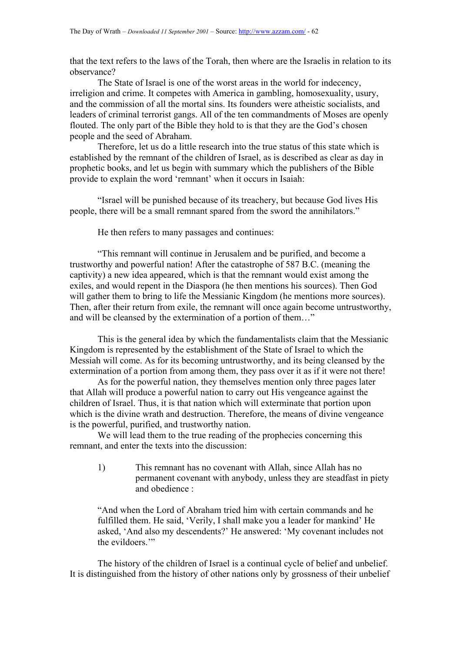that the text refers to the laws of the Torah, then where are the Israelis in relation to its observance?

The State of Israel is one of the worst areas in the world for indecency, irreligion and crime. It competes with America in gambling, homosexuality, usury, and the commission of all the mortal sins. Its founders were atheistic socialists, and leaders of criminal terrorist gangs. All of the ten commandments of Moses are openly flouted. The only part of the Bible they hold to is that they are the God's chosen people and the seed of Abraham.

Therefore, let us do a little research into the true status of this state which is established by the remnant of the children of Israel, as is described as clear as day in prophetic books, and let us begin with summary which the publishers of the Bible provide to explain the word 'remnant' when it occurs in Isaiah:

"Israel will be punished because of its treachery, but because God lives His people, there will be a small remnant spared from the sword the annihilators."

He then refers to many passages and continues:

"This remnant will continue in Jerusalem and be purified, and become a trustworthy and powerful nation! After the catastrophe of 587 B.C. (meaning the captivity) a new idea appeared, which is that the remnant would exist among the exiles, and would repent in the Diaspora (he then mentions his sources). Then God will gather them to bring to life the Messianic Kingdom (he mentions more sources). Then, after their return from exile, the remnant will once again become untrustworthy, and will be cleansed by the extermination of a portion of them…"

This is the general idea by which the fundamentalists claim that the Messianic Kingdom is represented by the establishment of the State of Israel to which the Messiah will come. As for its becoming untrustworthy, and its being cleansed by the extermination of a portion from among them, they pass over it as if it were not there!

As for the powerful nation, they themselves mention only three pages later that Allah will produce a powerful nation to carry out His vengeance against the children of Israel. Thus, it is that nation which will exterminate that portion upon which is the divine wrath and destruction. Therefore, the means of divine vengeance is the powerful, purified, and trustworthy nation.

We will lead them to the true reading of the prophecies concerning this remnant, and enter the texts into the discussion:

1) This remnant has no covenant with Allah, since Allah has no permanent covenant with anybody, unless they are steadfast in piety and obedience :

"And when the Lord of Abraham tried him with certain commands and he fulfilled them. He said, 'Verily, I shall make you a leader for mankind' He asked, 'And also my descendents?' He answered: 'My covenant includes not the evildoers."

The history of the children of Israel is a continual cycle of belief and unbelief. It is distinguished from the history of other nations only by grossness of their unbelief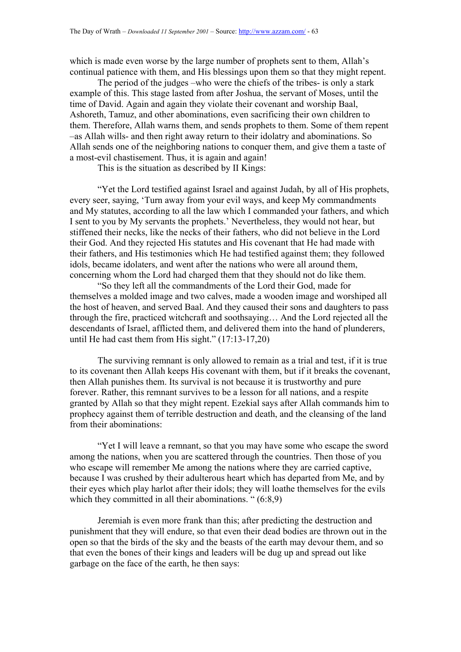which is made even worse by the large number of prophets sent to them, Allah's continual patience with them, and His blessings upon them so that they might repent.

The period of the judges –who were the chiefs of the tribes- is only a stark example of this. This stage lasted from after Joshua, the servant of Moses, until the time of David. Again and again they violate their covenant and worship Baal, Ashoreth, Tamuz, and other abominations, even sacrificing their own children to them. Therefore, Allah warns them, and sends prophets to them. Some of them repent –as Allah wills- and then right away return to their idolatry and abominations. So Allah sends one of the neighboring nations to conquer them, and give them a taste of a most-evil chastisement. Thus, it is again and again!

This is the situation as described by II Kings:

"Yet the Lord testified against Israel and against Judah, by all of His prophets, every seer, saying, 'Turn away from your evil ways, and keep My commandments and My statutes, according to all the law which I commanded your fathers, and which I sent to you by My servants the prophets.' Nevertheless, they would not hear, but stiffened their necks, like the necks of their fathers, who did not believe in the Lord their God. And they rejected His statutes and His covenant that He had made with their fathers, and His testimonies which He had testified against them; they followed idols, became idolaters, and went after the nations who were all around them, concerning whom the Lord had charged them that they should not do like them.

"So they left all the commandments of the Lord their God, made for themselves a molded image and two calves, made a wooden image and worshiped all the host of heaven, and served Baal. And they caused their sons and daughters to pass through the fire, practiced witchcraft and soothsaying… And the Lord rejected all the descendants of Israel, afflicted them, and delivered them into the hand of plunderers, until He had cast them from His sight." (17:13-17,20)

The surviving remnant is only allowed to remain as a trial and test, if it is true to its covenant then Allah keeps His covenant with them, but if it breaks the covenant, then Allah punishes them. Its survival is not because it is trustworthy and pure forever. Rather, this remnant survives to be a lesson for all nations, and a respite granted by Allah so that they might repent. Ezekial says after Allah commands him to prophecy against them of terrible destruction and death, and the cleansing of the land from their abominations:

"Yet I will leave a remnant, so that you may have some who escape the sword among the nations, when you are scattered through the countries. Then those of you who escape will remember Me among the nations where they are carried captive, because I was crushed by their adulterous heart which has departed from Me, and by their eyes which play harlot after their idols; they will loathe themselves for the evils which they committed in all their abominations. "  $(6.8,9)$ 

Jeremiah is even more frank than this; after predicting the destruction and punishment that they will endure, so that even their dead bodies are thrown out in the open so that the birds of the sky and the beasts of the earth may devour them, and so that even the bones of their kings and leaders will be dug up and spread out like garbage on the face of the earth, he then says: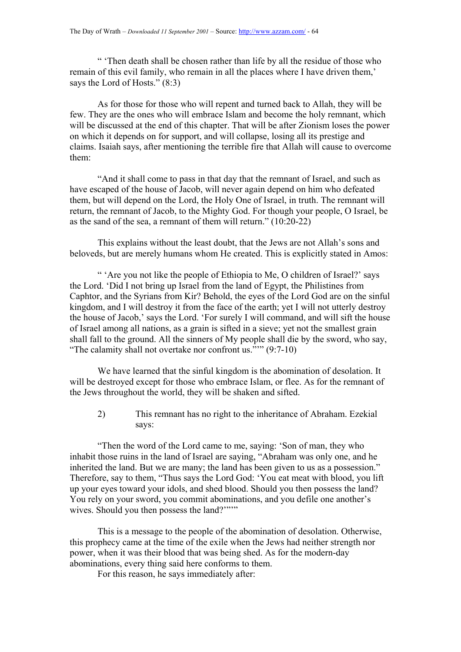" 'Then death shall be chosen rather than life by all the residue of those who remain of this evil family, who remain in all the places where I have driven them,' says the Lord of Hosts." (8:3)

As for those for those who will repent and turned back to Allah, they will be few. They are the ones who will embrace Islam and become the holy remnant, which will be discussed at the end of this chapter. That will be after Zionism loses the power on which it depends on for support, and will collapse, losing all its prestige and claims. Isaiah says, after mentioning the terrible fire that Allah will cause to overcome them:

"And it shall come to pass in that day that the remnant of Israel, and such as have escaped of the house of Jacob, will never again depend on him who defeated them, but will depend on the Lord, the Holy One of Israel, in truth. The remnant will return, the remnant of Jacob, to the Mighty God. For though your people, O Israel, be as the sand of the sea, a remnant of them will return." (10:20-22)

This explains without the least doubt, that the Jews are not Allah's sons and beloveds, but are merely humans whom He created. This is explicitly stated in Amos:

" 'Are you not like the people of Ethiopia to Me, O children of Israel?' says the Lord. 'Did I not bring up Israel from the land of Egypt, the Philistines from Caphtor, and the Syrians from Kir? Behold, the eyes of the Lord God are on the sinful kingdom, and I will destroy it from the face of the earth; yet I will not utterly destroy the house of Jacob,' says the Lord. 'For surely I will command, and will sift the house of Israel among all nations, as a grain is sifted in a sieve; yet not the smallest grain shall fall to the ground. All the sinners of My people shall die by the sword, who say, "The calamity shall not overtake nor confront us.""" (9:7-10)

We have learned that the sinful kingdom is the abomination of desolation. It will be destroyed except for those who embrace Islam, or flee. As for the remnant of the Jews throughout the world, they will be shaken and sifted.

2) This remnant has no right to the inheritance of Abraham. Ezekial says:

"Then the word of the Lord came to me, saying: 'Son of man, they who inhabit those ruins in the land of Israel are saying, "Abraham was only one, and he inherited the land. But we are many; the land has been given to us as a possession." Therefore, say to them, "Thus says the Lord God: 'You eat meat with blood, you lift up your eyes toward your idols, and shed blood. Should you then possess the land? You rely on your sword, you commit abominations, and you defile one another's wives. Should you then possess the land?"""

This is a message to the people of the abomination of desolation. Otherwise, this prophecy came at the time of the exile when the Jews had neither strength nor power, when it was their blood that was being shed. As for the modern-day abominations, every thing said here conforms to them.

For this reason, he says immediately after: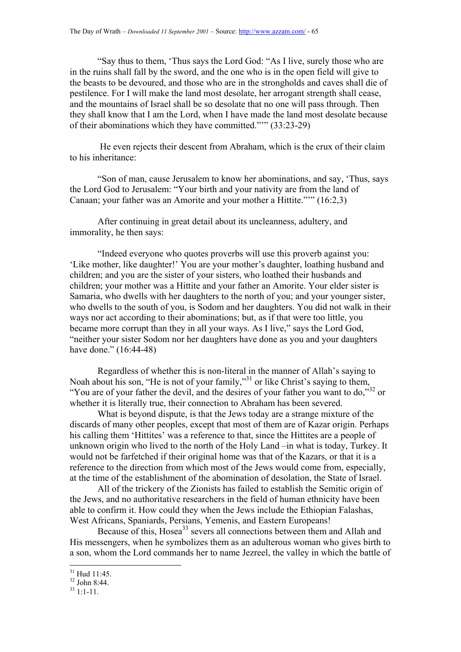"Say thus to them, 'Thus says the Lord God: "As I live, surely those who are in the ruins shall fall by the sword, and the one who is in the open field will give to the beasts to be devoured, and those who are in the strongholds and caves shall die of pestilence. For I will make the land most desolate, her arrogant strength shall cease, and the mountains of Israel shall be so desolate that no one will pass through. Then they shall know that I am the Lord, when I have made the land most desolate because of their abominations which they have committed."'" (33:23-29)

 He even rejects their descent from Abraham, which is the crux of their claim to his inheritance:

"Son of man, cause Jerusalem to know her abominations, and say, 'Thus, says the Lord God to Jerusalem: "Your birth and your nativity are from the land of Canaan; your father was an Amorite and your mother a Hittite."'" (16:2,3)

After continuing in great detail about its uncleanness, adultery, and immorality, he then says:

"Indeed everyone who quotes proverbs will use this proverb against you: 'Like mother, like daughter!' You are your mother's daughter, loathing husband and children; and you are the sister of your sisters, who loathed their husbands and children; your mother was a Hittite and your father an Amorite. Your elder sister is Samaria, who dwells with her daughters to the north of you; and your younger sister, who dwells to the south of you, is Sodom and her daughters. You did not walk in their ways nor act according to their abominations; but, as if that were too little, you became more corrupt than they in all your ways. As I live," says the Lord God, "neither your sister Sodom nor her daughters have done as you and your daughters have done." (16:44-48)

Regardless of whether this is non-literal in the manner of Allah's saying to Noah about his son, "He is not of your family,"<sup>31</sup> or like Christ's saying to them, "You are of your father the devil, and the desires of your father you want to do,<sup>332</sup> or whether it is literally true, their connection to Abraham has been severed.

What is beyond dispute, is that the Jews today are a strange mixture of the discards of many other peoples, except that most of them are of Kazar origin. Perhaps his calling them 'Hittites' was a reference to that, since the Hittites are a people of unknown origin who lived to the north of the Holy Land –in what is today, Turkey. It would not be farfetched if their original home was that of the Kazars, or that it is a reference to the direction from which most of the Jews would come from, especially, at the time of the establishment of the abomination of desolation, the State of Israel.

All of the trickery of the Zionists has failed to establish the Semitic origin of the Jews, and no authoritative researchers in the field of human ethnicity have been able to confirm it. How could they when the Jews include the Ethiopian Falashas, West Africans, Spaniards, Persians, Yemenis, and Eastern Europeans!

Because of this, Hosea<sup>33</sup> severs all connections between them and Allah and His messengers, when he symbolizes them as an adulterous woman who gives birth to a son, whom the Lord commands her to name Jezreel, the valley in which the battle of

<span id="page-64-0"></span> $31$  Hud  $11:45$ .

<span id="page-64-1"></span> $32$  John  $8.44$ .

<span id="page-64-2"></span> $33 \overline{1 \cdot 1 - 11}$ .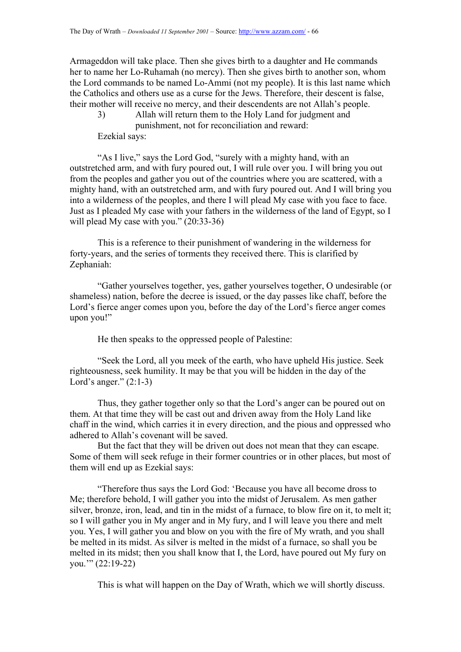Armageddon will take place. Then she gives birth to a daughter and He commands her to name her Lo-Ruhamah (no mercy). Then she gives birth to another son, whom the Lord commands to be named Lo-Ammi (not my people). It is this last name which the Catholics and others use as a curse for the Jews. Therefore, their descent is false, their mother will receive no mercy, and their descendents are not Allah's people.

3) Allah will return them to the Holy Land for judgment and punishment, not for reconciliation and reward:

Ezekial says:

"As I live," says the Lord God, "surely with a mighty hand, with an outstretched arm, and with fury poured out, I will rule over you. I will bring you out from the peoples and gather you out of the countries where you are scattered, with a mighty hand, with an outstretched arm, and with fury poured out. And I will bring you into a wilderness of the peoples, and there I will plead My case with you face to face. Just as I pleaded My case with your fathers in the wilderness of the land of Egypt, so I will plead My case with you." (20:33-36)

This is a reference to their punishment of wandering in the wilderness for forty-years, and the series of torments they received there. This is clarified by Zephaniah:

"Gather yourselves together, yes, gather yourselves together, O undesirable (or shameless) nation, before the decree is issued, or the day passes like chaff, before the Lord's fierce anger comes upon you, before the day of the Lord's fierce anger comes upon you!"

He then speaks to the oppressed people of Palestine:

"Seek the Lord, all you meek of the earth, who have upheld His justice. Seek righteousness, seek humility. It may be that you will be hidden in the day of the Lord's anger."  $(2:1-3)$ 

Thus, they gather together only so that the Lord's anger can be poured out on them. At that time they will be cast out and driven away from the Holy Land like chaff in the wind, which carries it in every direction, and the pious and oppressed who adhered to Allah's covenant will be saved.

But the fact that they will be driven out does not mean that they can escape. Some of them will seek refuge in their former countries or in other places, but most of them will end up as Ezekial says:

"Therefore thus says the Lord God: 'Because you have all become dross to Me; therefore behold, I will gather you into the midst of Jerusalem. As men gather silver, bronze, iron, lead, and tin in the midst of a furnace, to blow fire on it, to melt it; so I will gather you in My anger and in My fury, and I will leave you there and melt you. Yes, I will gather you and blow on you with the fire of My wrath, and you shall be melted in its midst. As silver is melted in the midst of a furnace, so shall you be melted in its midst; then you shall know that I, the Lord, have poured out My fury on you.'" (22:19-22)

This is what will happen on the Day of Wrath, which we will shortly discuss.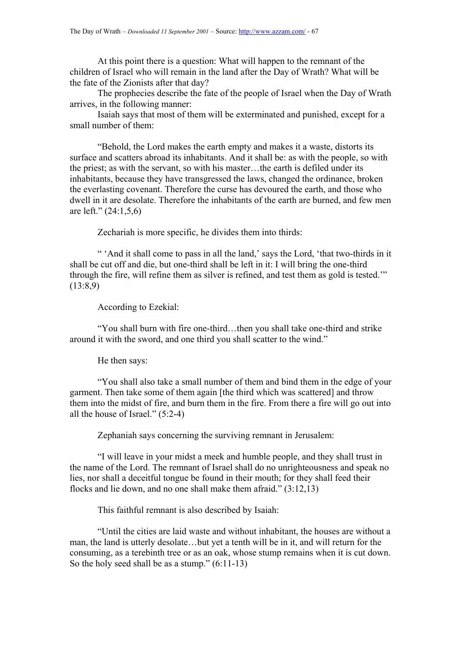At this point there is a question: What will happen to the remnant of the children of Israel who will remain in the land after the Day of Wrath? What will be the fate of the Zionists after that day?

The prophecies describe the fate of the people of Israel when the Day of Wrath arrives, in the following manner:

Isaiah says that most of them will be exterminated and punished, except for a small number of them:

"Behold, the Lord makes the earth empty and makes it a waste, distorts its surface and scatters abroad its inhabitants. And it shall be: as with the people, so with the priest; as with the servant, so with his master…the earth is defiled under its inhabitants, because they have transgressed the laws, changed the ordinance, broken the everlasting covenant. Therefore the curse has devoured the earth, and those who dwell in it are desolate. Therefore the inhabitants of the earth are burned, and few men are left." (24:1,5,6)

Zechariah is more specific, he divides them into thirds:

" 'And it shall come to pass in all the land,' says the Lord, 'that two-thirds in it shall be cut off and die, but one-third shall be left in it: I will bring the one-third through the fire, will refine them as silver is refined, and test them as gold is tested.'"  $(13:8.9)$ 

According to Ezekial:

"You shall burn with fire one-third…then you shall take one-third and strike around it with the sword, and one third you shall scatter to the wind."

He then says:

"You shall also take a small number of them and bind them in the edge of your garment. Then take some of them again [the third which was scattered] and throw them into the midst of fire, and burn them in the fire. From there a fire will go out into all the house of Israel." (5:2-4)

Zephaniah says concerning the surviving remnant in Jerusalem:

"I will leave in your midst a meek and humble people, and they shall trust in the name of the Lord. The remnant of Israel shall do no unrighteousness and speak no lies, nor shall a deceitful tongue be found in their mouth; for they shall feed their flocks and lie down, and no one shall make them afraid." (3:12,13)

This faithful remnant is also described by Isaiah:

"Until the cities are laid waste and without inhabitant, the houses are without a man, the land is utterly desolate…but yet a tenth will be in it, and will return for the consuming, as a terebinth tree or as an oak, whose stump remains when it is cut down. So the holy seed shall be as a stump." (6:11-13)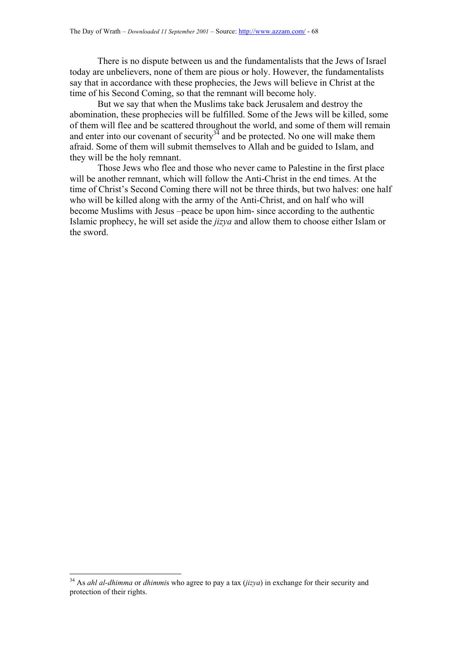There is no dispute between us and the fundamentalists that the Jews of Israel today are unbelievers, none of them are pious or holy. However, the fundamentalists say that in accordance with these prophecies, the Jews will believe in Christ at the time of his Second Coming, so that the remnant will become holy.

But we say that when the Muslims take back Jerusalem and destroy the abomination, these prophecies will be fulfilled. Some of the Jews will be killed, some of them will flee and be scattered throughout the world, and some of them will remain and enter into our covenant of security<sup>34</sup> and be protected. No one will make them afraid. Some of them will submit themselves to Allah and be guided to Islam, and they will be the holy remnant.

Those Jews who flee and those who never came to Palestine in the first place will be another remnant, which will follow the Anti-Christ in the end times. At the time of Christ's Second Coming there will not be three thirds, but two halves: one half who will be killed along with the army of the Anti-Christ, and on half who will become Muslims with Jesus –peace be upon him- since according to the authentic Islamic prophecy, he will set aside the *jizya* and allow them to choose either Islam or the sword.

<span id="page-67-0"></span><sup>34</sup> As *ahl al-dhimma* or *dhimmi*s who agree to pay a tax (*jizya*) in exchange for their security and protection of their rights.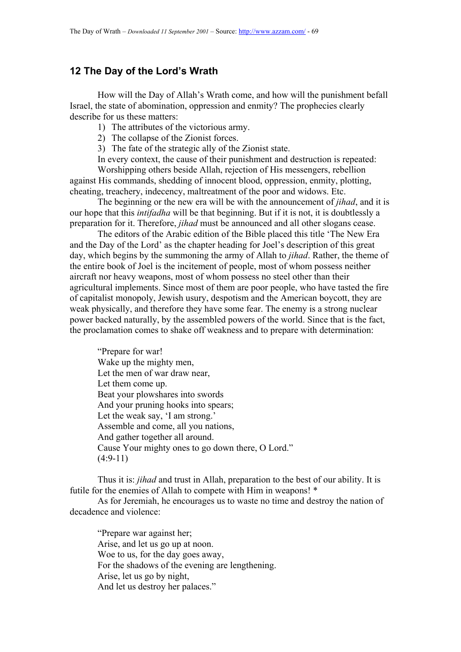## **12 The Day of the Lord's Wrath**

How will the Day of Allah's Wrath come, and how will the punishment befall Israel, the state of abomination, oppression and enmity? The prophecies clearly describe for us these matters:

1) The attributes of the victorious army.

2) The collapse of the Zionist forces.

3) The fate of the strategic ally of the Zionist state.

In every context, the cause of their punishment and destruction is repeated:

Worshipping others beside Allah, rejection of His messengers, rebellion against His commands, shedding of innocent blood, oppression, enmity, plotting, cheating, treachery, indecency, maltreatment of the poor and widows. Etc.

The beginning or the new era will be with the announcement of *jihad*, and it is our hope that this *intifadha* will be that beginning. But if it is not, it is doubtlessly a preparation for it. Therefore, *jihad* must be announced and all other slogans cease.

The editors of the Arabic edition of the Bible placed this title 'The New Era and the Day of the Lord' as the chapter heading for Joel's description of this great day, which begins by the summoning the army of Allah to *jihad*. Rather, the theme of the entire book of Joel is the incitement of people, most of whom possess neither aircraft nor heavy weapons, most of whom possess no steel other than their agricultural implements. Since most of them are poor people, who have tasted the fire of capitalist monopoly, Jewish usury, despotism and the American boycott, they are weak physically, and therefore they have some fear. The enemy is a strong nuclear power backed naturally, by the assembled powers of the world. Since that is the fact, the proclamation comes to shake off weakness and to prepare with determination:

"Prepare for war! Wake up the mighty men, Let the men of war draw near, Let them come up. Beat your plowshares into swords And your pruning hooks into spears; Let the weak say, 'I am strong.' Assemble and come, all you nations, And gather together all around. Cause Your mighty ones to go down there, O Lord."  $(4:9-11)$ 

Thus it is: *jihad* and trust in Allah, preparation to the best of our ability. It is futile for the enemies of Allah to compete with Him in weapons! \*

As for Jeremiah, he encourages us to waste no time and destroy the nation of decadence and violence:

"Prepare war against her; Arise, and let us go up at noon. Woe to us, for the day goes away, For the shadows of the evening are lengthening. Arise, let us go by night, And let us destroy her palaces."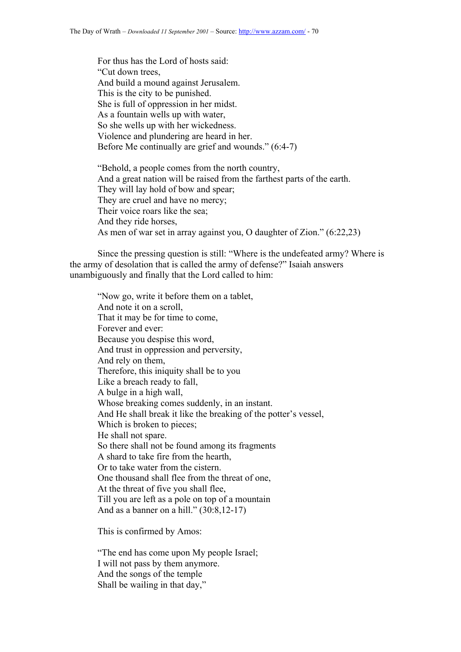For thus has the Lord of hosts said: "Cut down trees, And build a mound against Jerusalem. This is the city to be punished. She is full of oppression in her midst. As a fountain wells up with water, So she wells up with her wickedness. Violence and plundering are heard in her. Before Me continually are grief and wounds." (6:4-7)

"Behold, a people comes from the north country, And a great nation will be raised from the farthest parts of the earth. They will lay hold of bow and spear; They are cruel and have no mercy; Their voice roars like the sea; And they ride horses, As men of war set in array against you, O daughter of Zion." (6:22,23)

Since the pressing question is still: "Where is the undefeated army? Where is the army of desolation that is called the army of defense?" Isaiah answers unambiguously and finally that the Lord called to him:

"Now go, write it before them on a tablet, And note it on a scroll, That it may be for time to come, Forever and ever: Because you despise this word, And trust in oppression and perversity, And rely on them, Therefore, this iniquity shall be to you Like a breach ready to fall, A bulge in a high wall, Whose breaking comes suddenly, in an instant. And He shall break it like the breaking of the potter's vessel, Which is broken to pieces; He shall not spare. So there shall not be found among its fragments A shard to take fire from the hearth, Or to take water from the cistern. One thousand shall flee from the threat of one, At the threat of five you shall flee, Till you are left as a pole on top of a mountain And as a banner on a hill." (30:8,12-17)

This is confirmed by Amos:

"The end has come upon My people Israel; I will not pass by them anymore. And the songs of the temple Shall be wailing in that day,"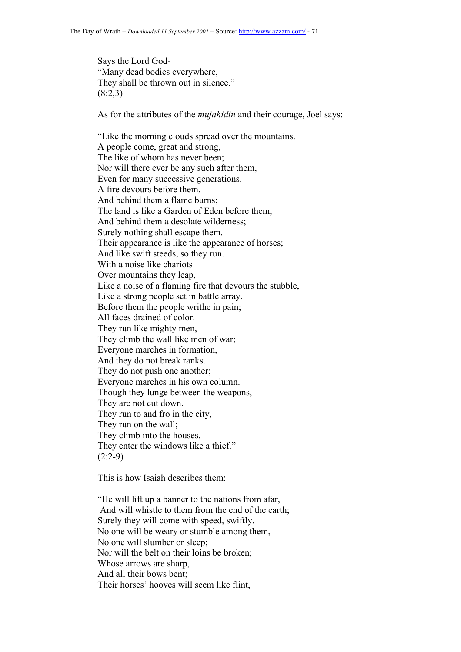Says the Lord God- "Many dead bodies everywhere, They shall be thrown out in silence."  $(8:2,3)$ 

As for the attributes of the *mujahidin* and their courage, Joel says:

"Like the morning clouds spread over the mountains. A people come, great and strong, The like of whom has never been; Nor will there ever be any such after them, Even for many successive generations. A fire devours before them, And behind them a flame burns; The land is like a Garden of Eden before them, And behind them a desolate wilderness; Surely nothing shall escape them. Their appearance is like the appearance of horses; And like swift steeds, so they run. With a noise like chariots Over mountains they leap, Like a noise of a flaming fire that devours the stubble, Like a strong people set in battle array. Before them the people writhe in pain; All faces drained of color. They run like mighty men, They climb the wall like men of war; Everyone marches in formation, And they do not break ranks. They do not push one another; Everyone marches in his own column. Though they lunge between the weapons, They are not cut down. They run to and fro in the city, They run on the wall; They climb into the houses, They enter the windows like a thief."  $(2:2-9)$ 

This is how Isaiah describes them:

"He will lift up a banner to the nations from afar, And will whistle to them from the end of the earth; Surely they will come with speed, swiftly. No one will be weary or stumble among them, No one will slumber or sleep; Nor will the belt on their loins be broken; Whose arrows are sharp, And all their bows bent; Their horses' hooves will seem like flint,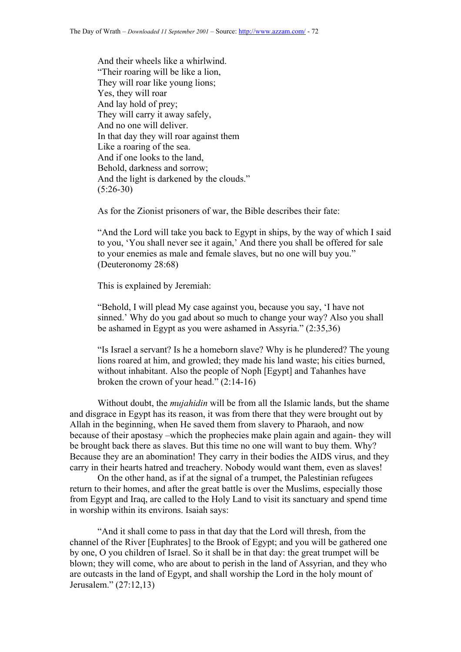And their wheels like a whirlwind. "Their roaring will be like a lion, They will roar like young lions; Yes, they will roar And lay hold of prey; They will carry it away safely, And no one will deliver. In that day they will roar against them Like a roaring of the sea. And if one looks to the land, Behold, darkness and sorrow; And the light is darkened by the clouds." (5:26-30)

As for the Zionist prisoners of war, the Bible describes their fate:

"And the Lord will take you back to Egypt in ships, by the way of which I said to you, 'You shall never see it again,' And there you shall be offered for sale to your enemies as male and female slaves, but no one will buy you." (Deuteronomy 28:68)

This is explained by Jeremiah:

"Behold, I will plead My case against you, because you say, 'I have not sinned.' Why do you gad about so much to change your way? Also you shall be ashamed in Egypt as you were ashamed in Assyria." (2:35,36)

"Is Israel a servant? Is he a homeborn slave? Why is he plundered? The young lions roared at him, and growled; they made his land waste; his cities burned, without inhabitant. Also the people of Noph [Egypt] and Tahanhes have broken the crown of your head." (2:14-16)

Without doubt, the *mujahidin* will be from all the Islamic lands, but the shame and disgrace in Egypt has its reason, it was from there that they were brought out by Allah in the beginning, when He saved them from slavery to Pharaoh, and now because of their apostasy –which the prophecies make plain again and again- they will be brought back there as slaves. But this time no one will want to buy them. Why? Because they are an abomination! They carry in their bodies the AIDS virus, and they carry in their hearts hatred and treachery. Nobody would want them, even as slaves!

On the other hand, as if at the signal of a trumpet, the Palestinian refugees return to their homes, and after the great battle is over the Muslims, especially those from Egypt and Iraq, are called to the Holy Land to visit its sanctuary and spend time in worship within its environs. Isaiah says:

"And it shall come to pass in that day that the Lord will thresh, from the channel of the River [Euphrates] to the Brook of Egypt; and you will be gathered one by one, O you children of Israel. So it shall be in that day: the great trumpet will be blown; they will come, who are about to perish in the land of Assyrian, and they who are outcasts in the land of Egypt, and shall worship the Lord in the holy mount of Jerusalem." (27:12,13)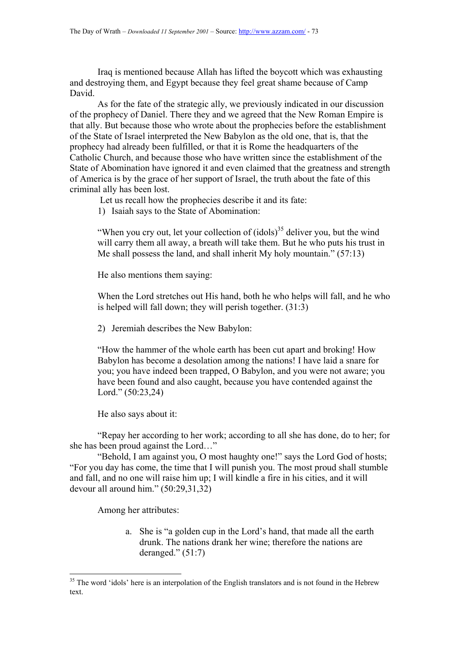Iraq is mentioned because Allah has lifted the boycott which was exhausting and destroying them, and Egypt because they feel great shame because of Camp David.

As for the fate of the strategic ally, we previously indicated in our discussion of the prophecy of Daniel. There they and we agreed that the New Roman Empire is that ally. But because those who wrote about the prophecies before the establishment of the State of Israel interpreted the New Babylon as the old one, that is, that the prophecy had already been fulfilled, or that it is Rome the headquarters of the Catholic Church, and because those who have written since the establishment of the State of Abomination have ignored it and even claimed that the greatness and strength of America is by the grace of her support of Israel, the truth about the fate of this criminal ally has been lost.

Let us recall how the prophecies describe it and its fate:

1) Isaiah says to the State of Abomination:

"When you cry out, let your collection of  $(idols)^{35}$  deliver you, but the wind will carry them all away, a breath will take them. But he who puts his trust in Me shall possess the land, and shall inherit My holy mountain." (57:13)

He also mentions them saying:

When the Lord stretches out His hand, both he who helps will fall, and he who is helped will fall down; they will perish together. (31:3)

2) Jeremiah describes the New Babylon:

"How the hammer of the whole earth has been cut apart and broking! How Babylon has become a desolation among the nations! I have laid a snare for you; you have indeed been trapped, O Babylon, and you were not aware; you have been found and also caught, because you have contended against the Lord." (50:23,24)

He also says about it:

"Repay her according to her work; according to all she has done, do to her; for she has been proud against the Lord…"

"Behold, I am against you, O most haughty one!" says the Lord God of hosts; "For you day has come, the time that I will punish you. The most proud shall stumble and fall, and no one will raise him up; I will kindle a fire in his cities, and it will devour all around him." (50:29,31,32)

Among her attributes:

 $\overline{a}$ 

a. She is "a golden cup in the Lord's hand, that made all the earth drunk. The nations drank her wine; therefore the nations are deranged."  $(51:7)$ 

<span id="page-72-0"></span><sup>&</sup>lt;sup>35</sup> The word 'idols' here is an interpolation of the English translators and is not found in the Hebrew text.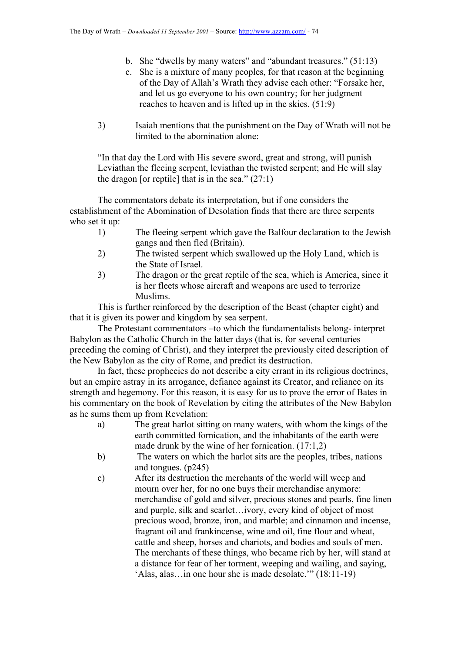- b. She "dwells by many waters" and "abundant treasures." (51:13)
- c. She is a mixture of many peoples, for that reason at the beginning of the Day of Allah's Wrath they advise each other: "Forsake her, and let us go everyone to his own country; for her judgment reaches to heaven and is lifted up in the skies. (51:9)
- 3) Isaiah mentions that the punishment on the Day of Wrath will not be limited to the abomination alone:

"In that day the Lord with His severe sword, great and strong, will punish Leviathan the fleeing serpent, leviathan the twisted serpent; and He will slay the dragon [or reptile] that is in the sea."  $(27:1)$ 

The commentators debate its interpretation, but if one considers the establishment of the Abomination of Desolation finds that there are three serpents who set it up:

- 1) The fleeing serpent which gave the Balfour declaration to the Jewish gangs and then fled (Britain).
- 2) The twisted serpent which swallowed up the Holy Land, which is the State of Israel.
- 3) The dragon or the great reptile of the sea, which is America, since it is her fleets whose aircraft and weapons are used to terrorize Muslims.

This is further reinforced by the description of the Beast (chapter eight) and that it is given its power and kingdom by sea serpent.

The Protestant commentators –to which the fundamentalists belong- interpret Babylon as the Catholic Church in the latter days (that is, for several centuries preceding the coming of Christ), and they interpret the previously cited description of the New Babylon as the city of Rome, and predict its destruction.

In fact, these prophecies do not describe a city errant in its religious doctrines, but an empire astray in its arrogance, defiance against its Creator, and reliance on its strength and hegemony. For this reason, it is easy for us to prove the error of Bates in his commentary on the book of Revelation by citing the attributes of the New Babylon as he sums them up from Revelation:

- a) The great harlot sitting on many waters, with whom the kings of the earth committed fornication, and the inhabitants of the earth were made drunk by the wine of her fornication. (17:1,2)
- b) The waters on which the harlot sits are the peoples, tribes, nations and tongues. (p245)
- c) After its destruction the merchants of the world will weep and mourn over her, for no one buys their merchandise anymore: merchandise of gold and silver, precious stones and pearls, fine linen and purple, silk and scarlet…ivory, every kind of object of most precious wood, bronze, iron, and marble; and cinnamon and incense, fragrant oil and frankincense, wine and oil, fine flour and wheat, cattle and sheep, horses and chariots, and bodies and souls of men. The merchants of these things, who became rich by her, will stand at a distance for fear of her torment, weeping and wailing, and saying, 'Alas, alas…in one hour she is made desolate.'" (18:11-19)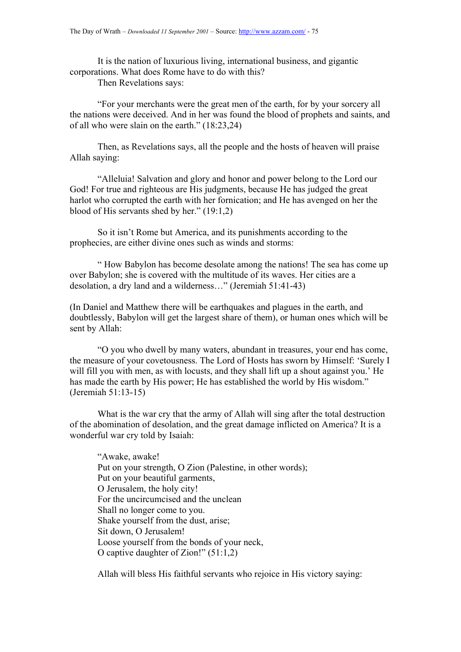It is the nation of luxurious living, international business, and gigantic corporations. What does Rome have to do with this?

Then Revelations says:

"For your merchants were the great men of the earth, for by your sorcery all the nations were deceived. And in her was found the blood of prophets and saints, and of all who were slain on the earth." (18:23,24)

Then, as Revelations says, all the people and the hosts of heaven will praise Allah saying:

"Alleluia! Salvation and glory and honor and power belong to the Lord our God! For true and righteous are His judgments, because He has judged the great harlot who corrupted the earth with her fornication; and He has avenged on her the blood of His servants shed by her." (19:1,2)

So it isn't Rome but America, and its punishments according to the prophecies, are either divine ones such as winds and storms:

" How Babylon has become desolate among the nations! The sea has come up over Babylon; she is covered with the multitude of its waves. Her cities are a desolation, a dry land and a wilderness…" (Jeremiah 51:41-43)

(In Daniel and Matthew there will be earthquakes and plagues in the earth, and doubtlessly, Babylon will get the largest share of them), or human ones which will be sent by Allah:

"O you who dwell by many waters, abundant in treasures, your end has come, the measure of your covetousness. The Lord of Hosts has sworn by Himself: 'Surely I will fill you with men, as with locusts, and they shall lift up a shout against you.' He has made the earth by His power; He has established the world by His wisdom." (Jeremiah 51:13-15)

What is the war cry that the army of Allah will sing after the total destruction of the abomination of desolation, and the great damage inflicted on America? It is a wonderful war cry told by Isaiah:

"Awake, awake! Put on your strength, O Zion (Palestine, in other words); Put on your beautiful garments, O Jerusalem, the holy city! For the uncircumcised and the unclean Shall no longer come to you. Shake yourself from the dust, arise; Sit down, O Jerusalem! Loose yourself from the bonds of your neck, O captive daughter of Zion!" (51:1,2)

Allah will bless His faithful servants who rejoice in His victory saying: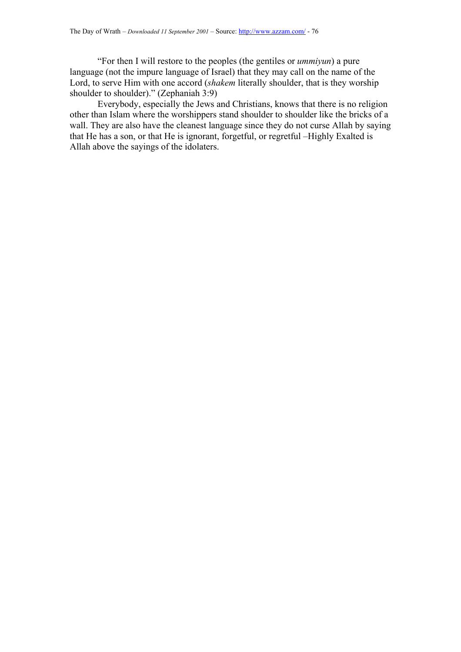"For then I will restore to the peoples (the gentiles or *ummiyun*) a pure language (not the impure language of Israel) that they may call on the name of the Lord, to serve Him with one accord (*shakem* literally shoulder, that is they worship shoulder to shoulder)." (Zephaniah 3:9)

Everybody, especially the Jews and Christians, knows that there is no religion other than Islam where the worshippers stand shoulder to shoulder like the bricks of a wall. They are also have the cleanest language since they do not curse Allah by saying that He has a son, or that He is ignorant, forgetful, or regretful –Highly Exalted is Allah above the sayings of the idolaters.